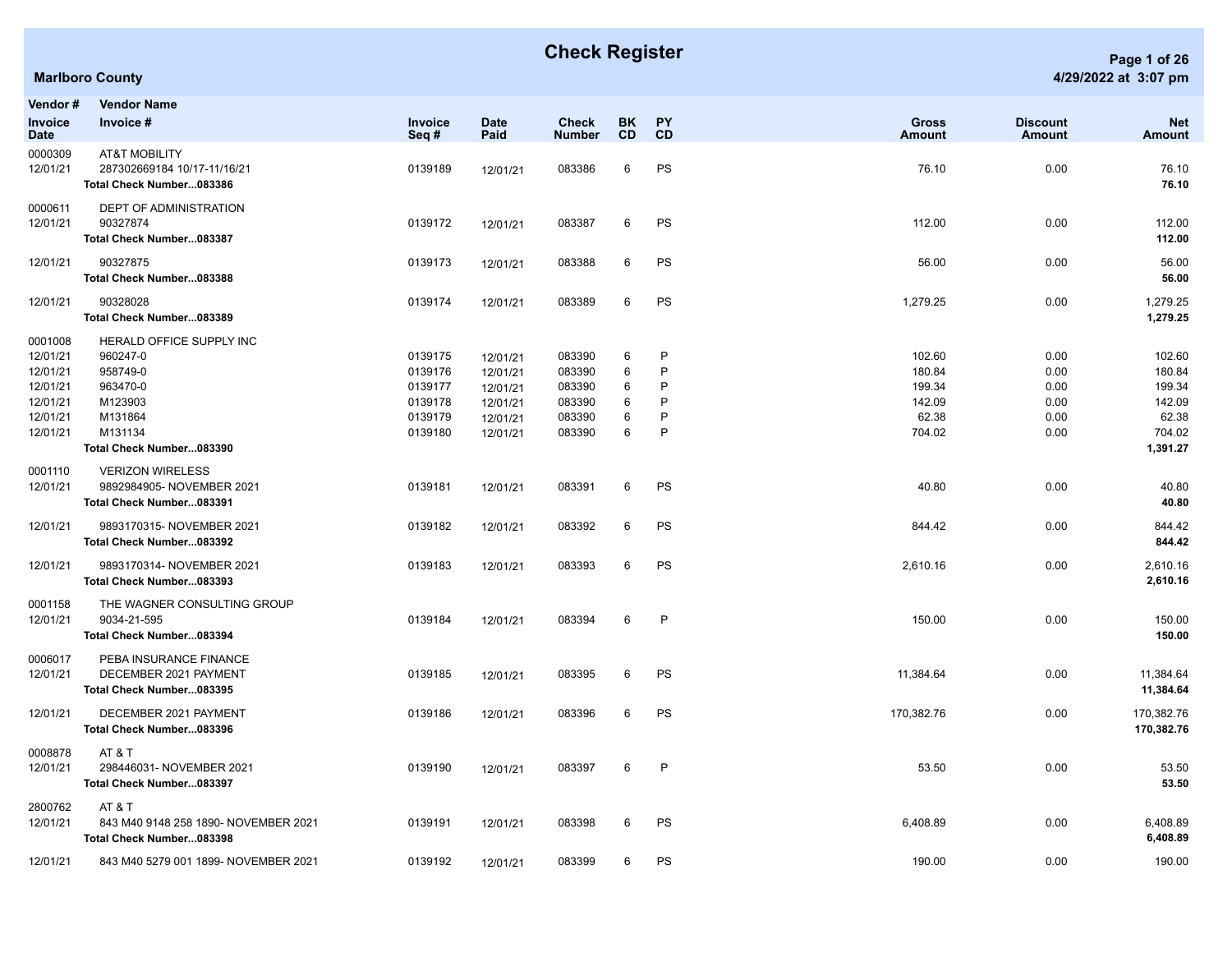|                                                                                 | <b>Marlboro County</b>                                                                                                           |                                                                |                                                                      |                                                          |                                |                            |                                                         |                                              | 4/29/2022 at 3:07 pm                                                |
|---------------------------------------------------------------------------------|----------------------------------------------------------------------------------------------------------------------------------|----------------------------------------------------------------|----------------------------------------------------------------------|----------------------------------------------------------|--------------------------------|----------------------------|---------------------------------------------------------|----------------------------------------------|---------------------------------------------------------------------|
| Vendor #<br>Invoice<br>Date                                                     | <b>Vendor Name</b><br>Invoice #                                                                                                  | Invoice<br>Seq#                                                | <b>Date</b><br>Paid                                                  | <b>Check</b><br><b>Number</b>                            | <b>BK</b><br><b>CD</b>         | <b>PY</b><br>CD            | <b>Gross</b><br>Amount                                  | <b>Discount</b><br><b>Amount</b>             | <b>Net</b><br>Amount                                                |
| 0000309<br>12/01/21                                                             | <b>AT&amp;T MOBILITY</b><br>287302669184 10/17-11/16/21<br>Total Check Number083386                                              | 0139189                                                        | 12/01/21                                                             | 083386                                                   | 6                              | PS                         | 76.10                                                   | 0.00                                         | 76.10<br>76.10                                                      |
| 0000611<br>12/01/21                                                             | DEPT OF ADMINISTRATION<br>90327874<br>Total Check Number083387                                                                   | 0139172                                                        | 12/01/21                                                             | 083387                                                   | 6                              | PS                         | 112.00                                                  | 0.00                                         | 112.00<br>112.00                                                    |
| 12/01/21                                                                        | 90327875<br>Total Check Number083388                                                                                             | 0139173                                                        | 12/01/21                                                             | 083388                                                   | 6                              | PS                         | 56.00                                                   | 0.00                                         | 56.00<br>56.00                                                      |
| 12/01/21                                                                        | 90328028<br>Total Check Number083389                                                                                             | 0139174                                                        | 12/01/21                                                             | 083389                                                   | 6                              | PS                         | 1,279.25                                                | 0.00                                         | 1,279.25<br>1,279.25                                                |
| 0001008<br>12/01/21<br>12/01/21<br>12/01/21<br>12/01/21<br>12/01/21<br>12/01/21 | <b>HERALD OFFICE SUPPLY INC</b><br>960247-0<br>958749-0<br>963470-0<br>M123903<br>M131864<br>M131134<br>Total Check Number083390 | 0139175<br>0139176<br>0139177<br>0139178<br>0139179<br>0139180 | 12/01/21<br>12/01/21<br>12/01/21<br>12/01/21<br>12/01/21<br>12/01/21 | 083390<br>083390<br>083390<br>083390<br>083390<br>083390 | 6<br>6<br>6<br>6<br>$\,6$<br>6 | P<br>P<br>P<br>P<br>P<br>P | 102.60<br>180.84<br>199.34<br>142.09<br>62.38<br>704.02 | 0.00<br>0.00<br>0.00<br>0.00<br>0.00<br>0.00 | 102.60<br>180.84<br>199.34<br>142.09<br>62.38<br>704.02<br>1,391.27 |
| 0001110<br>12/01/21                                                             | <b>VERIZON WIRELESS</b><br>9892984905- NOVEMBER 2021<br>Total Check Number083391                                                 | 0139181                                                        | 12/01/21                                                             | 083391                                                   | 6                              | PS                         | 40.80                                                   | 0.00                                         | 40.80<br>40.80                                                      |
| 12/01/21                                                                        | 9893170315- NOVEMBER 2021<br>Total Check Number083392                                                                            | 0139182                                                        | 12/01/21                                                             | 083392                                                   | 6                              | PS                         | 844.42                                                  | 0.00                                         | 844.42<br>844.42                                                    |
| 12/01/21                                                                        | 9893170314- NOVEMBER 2021<br>Total Check Number083393                                                                            | 0139183                                                        | 12/01/21                                                             | 083393                                                   | 6                              | PS                         | 2,610.16                                                | 0.00                                         | 2,610.16<br>2,610.16                                                |
| 0001158<br>12/01/21                                                             | THE WAGNER CONSULTING GROUP<br>9034-21-595<br>Total Check Number083394                                                           | 0139184                                                        | 12/01/21                                                             | 083394                                                   | 6                              | P                          | 150.00                                                  | 0.00                                         | 150.00<br>150.00                                                    |
| 0006017<br>12/01/21                                                             | PEBA INSURANCE FINANCE<br>DECEMBER 2021 PAYMENT<br>Total Check Number083395                                                      | 0139185                                                        | 12/01/21                                                             | 083395                                                   | 6                              | PS                         | 11,384.64                                               | 0.00                                         | 11,384.64<br>11,384.64                                              |
| 12/01/21                                                                        | DECEMBER 2021 PAYMENT<br>Total Check Number083396                                                                                | 0139186                                                        | 12/01/21                                                             | 083396                                                   | 6                              | PS                         | 170,382.76                                              | 0.00                                         | 170,382.76<br>170,382.76                                            |
| 0008878                                                                         | AT & T                                                                                                                           |                                                                |                                                                      |                                                          |                                |                            |                                                         |                                              |                                                                     |

12/01/21 298446031- NOVEMBER 2021 0139190 12/01/21 083397 6 P 53.50 0.00 53.50 **Total Check Number...083397 53.50** 2800762 AT & T 12/01/21 843 M40 9148 258 1890- NOVEMBER 2021 0139191 12/01/21 083398 6 PS 6,408.89 0.00 6,408.89 **Total Check Number...083398 6,408.89** 12/01/21 843 M40 5279 001 1899- NOVEMBER 2021 0139192 12/01/21 083399 6 PS 190.00 0.00 190.00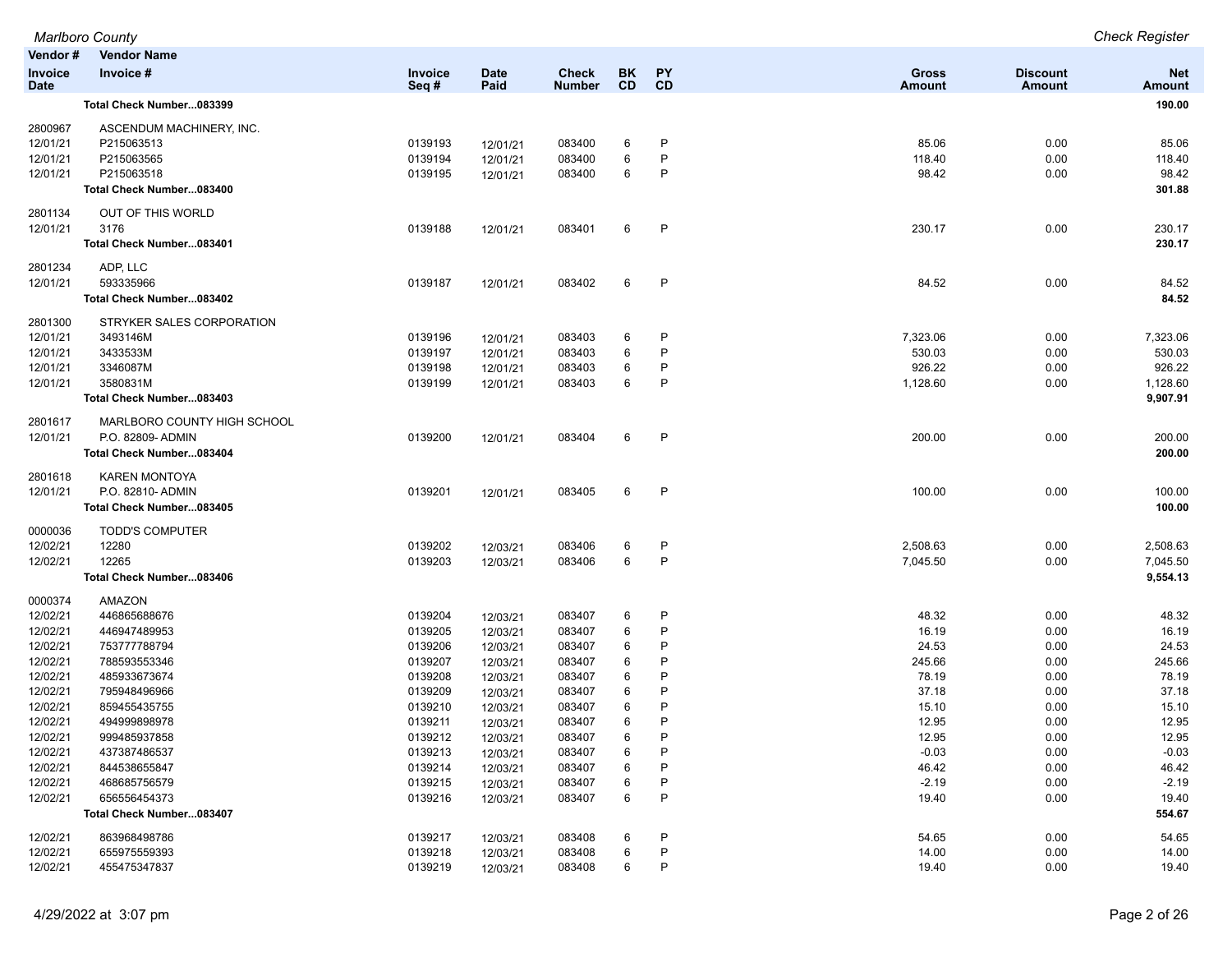| Vendor#                | <b>Vendor Name</b>           |                        |                      |                               |                        |              |                               |                                  |                             |
|------------------------|------------------------------|------------------------|----------------------|-------------------------------|------------------------|--------------|-------------------------------|----------------------------------|-----------------------------|
| Invoice<br><b>Date</b> | Invoice #                    | <b>Invoice</b><br>Seq# | <b>Date</b><br>Paid  | <b>Check</b><br><b>Number</b> | <b>BK</b><br><b>CD</b> | PY<br>CD     | <b>Gross</b><br><b>Amount</b> | <b>Discount</b><br><b>Amount</b> | <b>Net</b><br><b>Amount</b> |
|                        | Total Check Number083399     |                        |                      |                               |                        |              |                               |                                  | 190.00                      |
| 2800967                | ASCENDUM MACHINERY, INC.     |                        |                      |                               |                        |              |                               |                                  |                             |
| 12/01/21               | P215063513                   | 0139193                | 12/01/21             | 083400                        | 6                      | P            | 85.06                         | 0.00                             | 85.06                       |
| 12/01/21               | P215063565                   | 0139194                | 12/01/21             | 083400                        | 6                      | P            | 118.40                        | 0.00                             | 118.40                      |
| 12/01/21               | P215063518                   | 0139195                | 12/01/21             | 083400                        | 6                      | P            | 98.42                         | 0.00                             | 98.42                       |
|                        | Total Check Number083400     |                        |                      |                               |                        |              |                               |                                  | 301.88                      |
| 2801134                | OUT OF THIS WORLD            |                        |                      |                               |                        |              |                               |                                  |                             |
| 12/01/21               | 3176                         | 0139188                | 12/01/21             | 083401                        | 6                      | P            | 230.17                        | 0.00                             | 230.17                      |
|                        | Total Check Number083401     |                        |                      |                               |                        |              |                               |                                  | 230.17                      |
| 2801234                | ADP, LLC                     |                        |                      |                               |                        |              |                               |                                  |                             |
| 12/01/21               | 593335966                    | 0139187                | 12/01/21             | 083402                        | 6                      | P            | 84.52                         | 0.00                             | 84.52                       |
|                        | Total Check Number083402     |                        |                      |                               |                        |              |                               |                                  | 84.52                       |
| 2801300                | STRYKER SALES CORPORATION    |                        |                      |                               |                        |              |                               |                                  |                             |
| 12/01/21               | 3493146M                     | 0139196                | 12/01/21             | 083403                        | 6                      | P            | 7,323.06                      | 0.00                             | 7,323.06                    |
| 12/01/21               | 3433533M                     | 0139197                | 12/01/21             | 083403                        | 6                      | P            | 530.03                        | 0.00                             | 530.03                      |
| 12/01/21               | 3346087M                     | 0139198                | 12/01/21             | 083403                        | 6                      | P            | 926.22                        | 0.00                             | 926.22                      |
| 12/01/21               | 3580831M                     | 0139199                | 12/01/21             | 083403                        | 6                      | P            | 1,128.60                      | 0.00                             | 1,128.60                    |
|                        | Total Check Number083403     |                        |                      |                               |                        |              |                               |                                  | 9,907.91                    |
| 2801617                | MARLBORO COUNTY HIGH SCHOOL  |                        |                      |                               |                        |              |                               |                                  |                             |
| 12/01/21               | P.O. 82809- ADMIN            | 0139200                | 12/01/21             | 083404                        | 6                      | P            | 200.00                        | 0.00                             | 200.00                      |
|                        | Total Check Number083404     |                        |                      |                               |                        |              |                               |                                  | 200.00                      |
| 2801618                | <b>KAREN MONTOYA</b>         |                        |                      |                               |                        |              |                               |                                  |                             |
| 12/01/21               | P.O. 82810- ADMIN            | 0139201                | 12/01/21             | 083405                        | 6                      | $\mathsf{P}$ | 100.00                        | 0.00                             | 100.00                      |
|                        | Total Check Number083405     |                        |                      |                               |                        |              |                               |                                  | 100.00                      |
| 0000036                | <b>TODD'S COMPUTER</b>       |                        |                      |                               |                        |              |                               |                                  |                             |
| 12/02/21               | 12280                        | 0139202                | 12/03/21             | 083406                        | 6                      | P            | 2,508.63                      | 0.00                             | 2,508.63                    |
| 12/02/21               | 12265                        | 0139203                | 12/03/21             | 083406                        | 6                      | P            | 7,045.50                      | 0.00                             | 7,045.50                    |
|                        | Total Check Number083406     |                        |                      |                               |                        |              |                               |                                  | 9,554.13                    |
| 0000374                | AMAZON                       |                        |                      |                               |                        |              |                               |                                  |                             |
| 12/02/21               | 446865688676                 | 0139204                | 12/03/21             | 083407                        | 6                      | P            | 48.32                         | 0.00                             | 48.32                       |
| 12/02/21               | 446947489953                 | 0139205                | 12/03/21             | 083407                        | 6                      | P            | 16.19                         | 0.00                             | 16.19                       |
| 12/02/21               | 753777788794                 | 0139206                | 12/03/21             | 083407                        | 6<br>6                 | P<br>P       | 24.53                         | 0.00                             | 24.53                       |
| 12/02/21<br>12/02/21   | 788593553346<br>485933673674 | 0139207<br>0139208     | 12/03/21             | 083407<br>083407              | 6                      | P            | 245.66<br>78.19               | 0.00<br>0.00                     | 245.66<br>78.19             |
| 12/02/21               | 795948496966                 | 0139209                | 12/03/21             | 083407                        | 6                      | P            | 37.18                         | 0.00                             | 37.18                       |
| 12/02/21               | 859455435755                 | 0139210                | 12/03/21<br>12/03/21 | 083407                        | 6                      | P            | 15.10                         | 0.00                             | 15.10                       |
| 12/02/21               | 494999898978                 | 0139211                | 12/03/21             | 083407                        | 6                      | P            | 12.95                         | 0.00                             | 12.95                       |
| 12/02/21               | 999485937858                 | 0139212                | 12/03/21             | 083407                        | 6                      | P            | 12.95                         | 0.00                             | 12.95                       |
| 12/02/21               | 437387486537                 | 0139213                | 12/03/21             | 083407                        | 6                      | P            | $-0.03$                       | 0.00                             | $-0.03$                     |
| 12/02/21               | 844538655847                 | 0139214                | 12/03/21             | 083407                        | 6                      | P            | 46.42                         | 0.00                             | 46.42                       |
| 12/02/21               | 468685756579                 | 0139215                | 12/03/21             | 083407                        | 6                      | P            | $-2.19$                       | 0.00                             | $-2.19$                     |
| 12/02/21               | 656556454373                 | 0139216                | 12/03/21             | 083407                        | 6                      | P            | 19.40                         | 0.00                             | 19.40                       |
|                        | Total Check Number083407     |                        |                      |                               |                        |              |                               |                                  | 554.67                      |
| 12/02/21               | 863968498786                 | 0139217                | 12/03/21             | 083408                        | 6                      | P            | 54.65                         | 0.00                             | 54.65                       |
| 12/02/21               | 655975559393                 | 0139218                | 12/03/21             | 083408                        | 6                      | P            | 14.00                         | 0.00                             | 14.00                       |
| 12/02/21               | 455475347837                 | 0139219                | 12/03/21             | 083408                        | 6                      | P            | 19.40                         | 0.00                             | 19.40                       |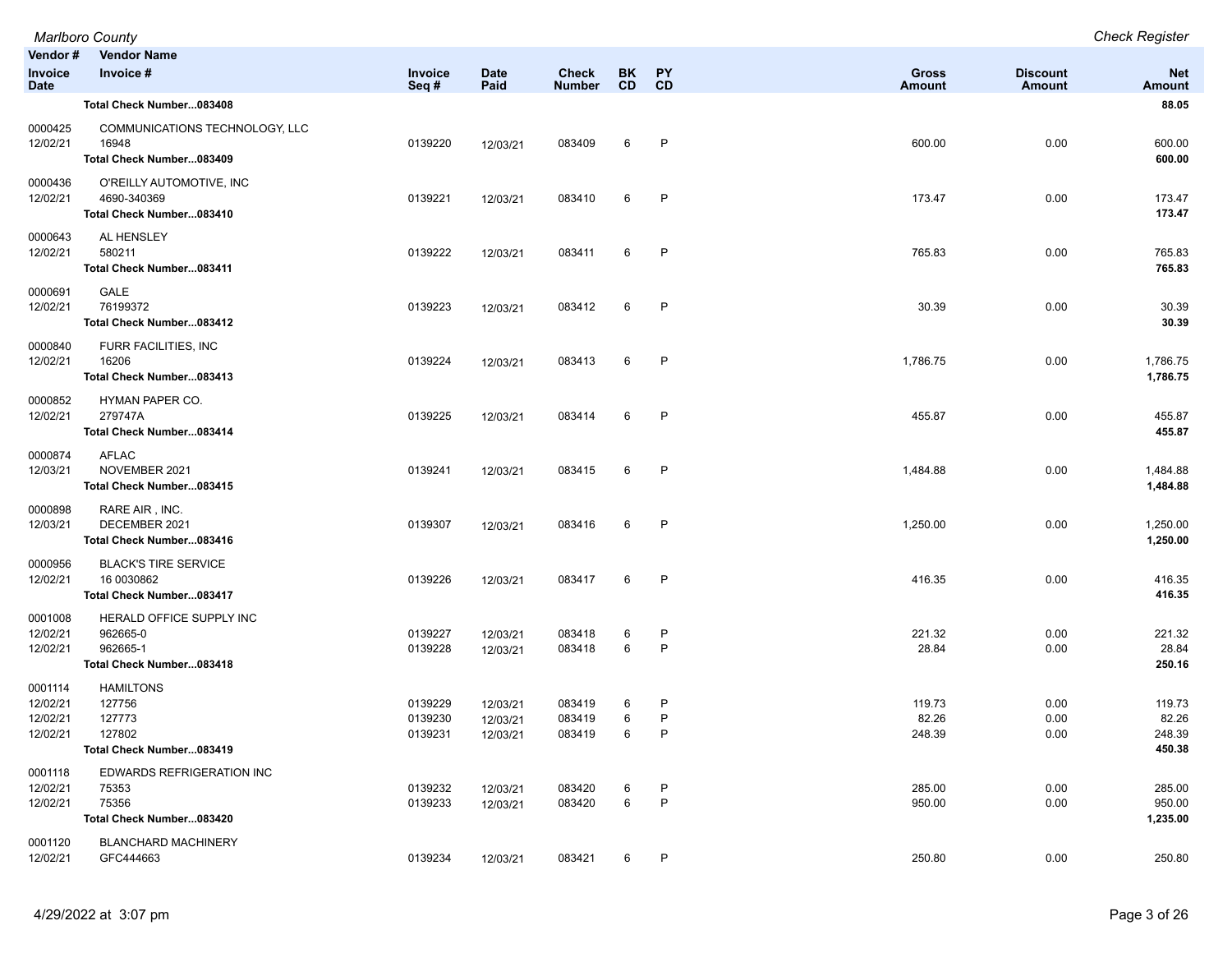|                                             | <b>Marlboro County</b>                                                       |                               |                                  |                               |                 |                   |                               |                           | <b>Check Register</b>               |
|---------------------------------------------|------------------------------------------------------------------------------|-------------------------------|----------------------------------|-------------------------------|-----------------|-------------------|-------------------------------|---------------------------|-------------------------------------|
| Vendor#<br><b>Invoice</b><br><b>Date</b>    | <b>Vendor Name</b><br>Invoice #                                              | Invoice<br>Seq#               | <b>Date</b><br>Paid              | <b>Check</b><br><b>Number</b> | BK<br><b>CD</b> | <b>PY</b><br>CD   | <b>Gross</b><br><b>Amount</b> | <b>Discount</b><br>Amount | <b>Net</b><br>Amount                |
|                                             | Total Check Number083408                                                     |                               |                                  |                               |                 |                   |                               |                           | 88.05                               |
| 0000425<br>12/02/21                         | COMMUNICATIONS TECHNOLOGY, LLC<br>16948<br>Total Check Number083409          | 0139220                       | 12/03/21                         | 083409                        | 6               | P                 | 600.00                        | 0.00                      | 600.00<br>600.00                    |
| 0000436<br>12/02/21                         | O'REILLY AUTOMOTIVE, INC<br>4690-340369<br>Total Check Number083410          | 0139221                       | 12/03/21                         | 083410                        | 6               | $\mathsf{P}$      | 173.47                        | 0.00                      | 173.47<br>173.47                    |
| 0000643<br>12/02/21                         | AL HENSLEY<br>580211<br>Total Check Number083411                             | 0139222                       | 12/03/21                         | 083411                        | 6               | $\mathsf{P}$      | 765.83                        | 0.00                      | 765.83<br>765.83                    |
| 0000691<br>12/02/21                         | GALE<br>76199372<br>Total Check Number083412                                 | 0139223                       | 12/03/21                         | 083412                        | 6               | P                 | 30.39                         | 0.00                      | 30.39<br>30.39                      |
| 0000840<br>12/02/21                         | FURR FACILITIES, INC<br>16206<br>Total Check Number083413                    | 0139224                       | 12/03/21                         | 083413                        | 6               | $\mathsf{P}$      | 1,786.75                      | 0.00                      | 1,786.75<br>1,786.75                |
| 0000852<br>12/02/21                         | HYMAN PAPER CO.<br>279747A<br>Total Check Number083414                       | 0139225                       | 12/03/21                         | 083414                        | 6               | P                 | 455.87                        | 0.00                      | 455.87<br>455.87                    |
| 0000874<br>12/03/21                         | <b>AFLAC</b><br>NOVEMBER 2021<br>Total Check Number083415                    | 0139241                       | 12/03/21                         | 083415                        | 6               | P                 | 1,484.88                      | 0.00                      | 1,484.88<br>1,484.88                |
| 0000898<br>12/03/21                         | RARE AIR, INC.<br>DECEMBER 2021<br>Total Check Number083416                  | 0139307                       | 12/03/21                         | 083416                        | 6               | $\mathsf{P}$      | 1,250.00                      | 0.00                      | 1,250.00<br>1,250.00                |
| 0000956<br>12/02/21                         | <b>BLACK'S TIRE SERVICE</b><br>16 0030862<br>Total Check Number083417        | 0139226                       | 12/03/21                         | 083417                        | 6               | $\mathsf{P}$      | 416.35                        | 0.00                      | 416.35<br>416.35                    |
| 0001008<br>12/02/21<br>12/02/21             | HERALD OFFICE SUPPLY INC<br>962665-0<br>962665-1<br>Total Check Number083418 | 0139227<br>0139228            | 12/03/21<br>12/03/21             | 083418<br>083418              | 6<br>6          | P<br>$\mathsf{P}$ | 221.32<br>28.84               | 0.00<br>0.00              | 221.32<br>28.84<br>250.16           |
| 0001114<br>12/02/21<br>12/02/21<br>12/02/21 | <b>HAMILTONS</b><br>127756<br>127773<br>127802<br>Total Check Number083419   | 0139229<br>0139230<br>0139231 | 12/03/21<br>12/03/21<br>12/03/21 | 083419<br>083419<br>083419    | 6<br>6<br>6     | P<br>P<br>P       | 119.73<br>82.26<br>248.39     | 0.00<br>0.00<br>0.00      | 119.73<br>82.26<br>248.39<br>450.38 |
| 0001118<br>12/02/21<br>12/02/21             | EDWARDS REFRIGERATION INC<br>75353<br>75356<br>Total Check Number083420      | 0139232<br>0139233            | 12/03/21<br>12/03/21             | 083420<br>083420              | 6<br>6          | P<br>P            | 285.00<br>950.00              | 0.00<br>0.00              | 285.00<br>950.00<br>1,235.00        |
| 0001120<br>12/02/21                         | <b>BLANCHARD MACHINERY</b><br>GFC444663                                      | 0139234                       | 12/03/21                         | 083421                        | 6               | P                 | 250.80                        | 0.00                      | 250.80                              |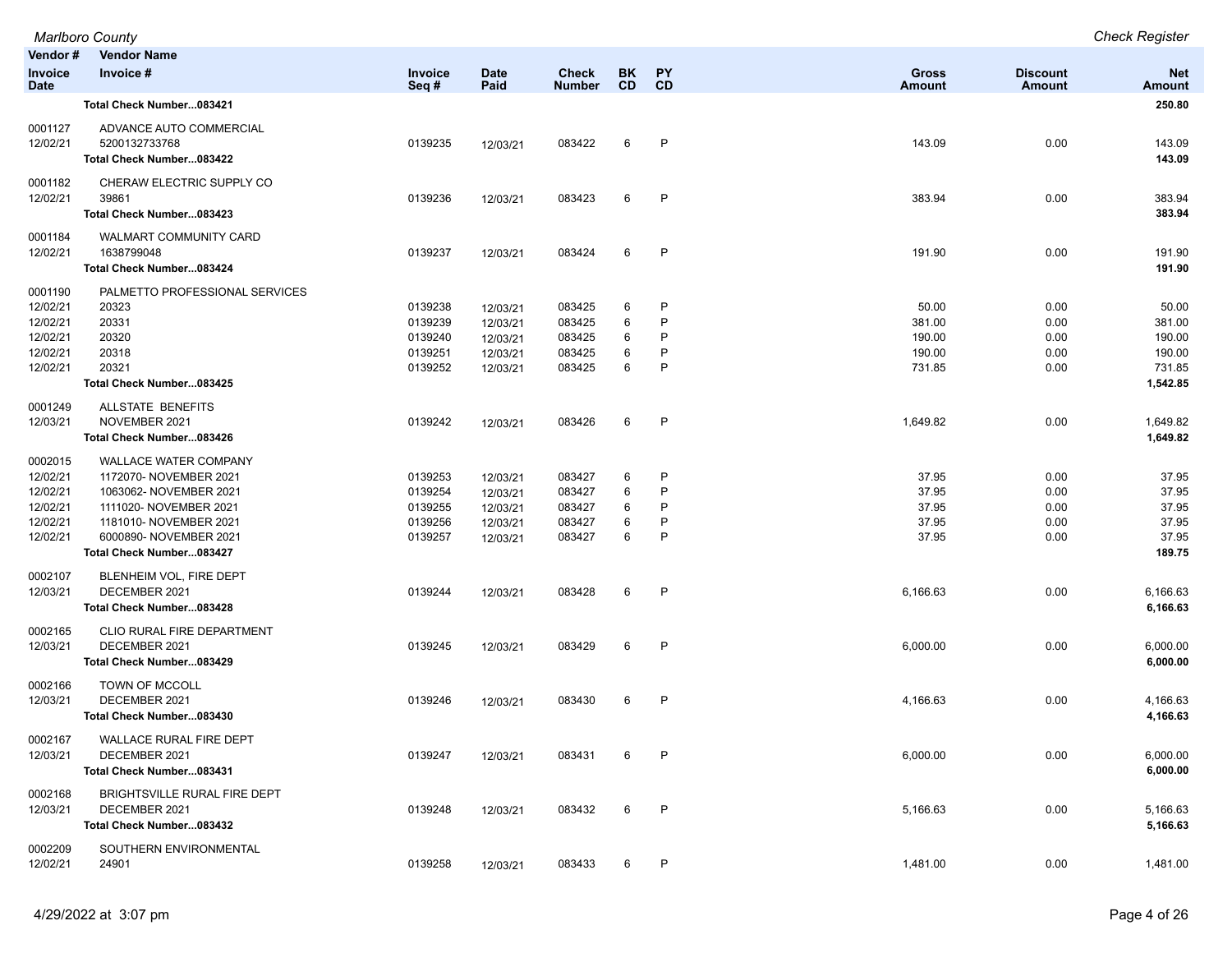| Vendor #<br>Invoice<br>Date                                         | <b>Vendor Name</b><br>Invoice #                                                                                                                                                            | <b>Invoice</b><br>Seq #                             | <b>Date</b><br>Paid                                      | <b>Check</b><br><b>Number</b>                  | BK<br>CD.             | PY<br><b>CD</b>       | Gross<br>Amount                               | <b>Discount</b><br>Amount            | <b>Net</b><br>Amount                                      |
|---------------------------------------------------------------------|--------------------------------------------------------------------------------------------------------------------------------------------------------------------------------------------|-----------------------------------------------------|----------------------------------------------------------|------------------------------------------------|-----------------------|-----------------------|-----------------------------------------------|--------------------------------------|-----------------------------------------------------------|
|                                                                     | Total Check Number083421                                                                                                                                                                   |                                                     |                                                          |                                                |                       |                       |                                               |                                      | 250.80                                                    |
| 0001127<br>12/02/21                                                 | ADVANCE AUTO COMMERCIAL<br>5200132733768<br>Total Check Number083422                                                                                                                       | 0139235                                             | 12/03/21                                                 | 083422                                         | 6                     | P                     | 143.09                                        | 0.00                                 | 143.09<br>143.09                                          |
| 0001182<br>12/02/21                                                 | CHERAW ELECTRIC SUPPLY CO<br>39861<br>Total Check Number083423                                                                                                                             | 0139236                                             | 12/03/21                                                 | 083423                                         | 6                     | P                     | 383.94                                        | 0.00                                 | 383.94<br>383.94                                          |
| 0001184<br>12/02/21                                                 | WALMART COMMUNITY CARD<br>1638799048<br>Total Check Number083424                                                                                                                           | 0139237                                             | 12/03/21                                                 | 083424                                         | 6                     | P                     | 191.90                                        | 0.00                                 | 191.90<br>191.90                                          |
| 0001190<br>12/02/21<br>12/02/21<br>12/02/21<br>12/02/21<br>12/02/21 | PALMETTO PROFESSIONAL SERVICES<br>20323<br>20331<br>20320<br>20318<br>20321<br>Total Check Number083425                                                                                    | 0139238<br>0139239<br>0139240<br>0139251<br>0139252 | 12/03/21<br>12/03/21<br>12/03/21<br>12/03/21<br>12/03/21 | 083425<br>083425<br>083425<br>083425<br>083425 | 6<br>6<br>6<br>6<br>6 | P<br>P<br>P<br>P<br>P | 50.00<br>381.00<br>190.00<br>190.00<br>731.85 | 0.00<br>0.00<br>0.00<br>0.00<br>0.00 | 50.00<br>381.00<br>190.00<br>190.00<br>731.85<br>1,542.85 |
| 0001249<br>12/03/21                                                 | ALLSTATE BENEFITS<br>NOVEMBER 2021<br>Total Check Number083426                                                                                                                             | 0139242                                             | 12/03/21                                                 | 083426                                         | 6                     | P                     | 1,649.82                                      | 0.00                                 | 1,649.82<br>1,649.82                                      |
| 0002015<br>12/02/21<br>12/02/21<br>12/02/21<br>12/02/21<br>12/02/21 | <b>WALLACE WATER COMPANY</b><br>1172070- NOVEMBER 2021<br>1063062- NOVEMBER 2021<br>1111020- NOVEMBER 2021<br>1181010- NOVEMBER 2021<br>6000890- NOVEMBER 2021<br>Total Check Number083427 | 0139253<br>0139254<br>0139255<br>0139256<br>0139257 | 12/03/21<br>12/03/21<br>12/03/21<br>12/03/21<br>12/03/21 | 083427<br>083427<br>083427<br>083427<br>083427 | 6<br>6<br>6<br>6<br>6 | P<br>P<br>P<br>P      | 37.95<br>37.95<br>37.95<br>37.95<br>37.95     | 0.00<br>0.00<br>0.00<br>0.00<br>0.00 | 37.95<br>37.95<br>37.95<br>37.95<br>37.95<br>189.75       |
| 0002107<br>12/03/21                                                 | BLENHEIM VOL, FIRE DEPT<br>DECEMBER 2021<br>Total Check Number083428                                                                                                                       | 0139244                                             | 12/03/21                                                 | 083428                                         | 6                     | P                     | 6,166.63                                      | 0.00                                 | 6,166.63<br>6,166.63                                      |
| 0002165<br>12/03/21                                                 | CLIO RURAL FIRE DEPARTMENT<br>DECEMBER 2021<br>Total Check Number083429                                                                                                                    | 0139245                                             | 12/03/21                                                 | 083429                                         | 6                     | P                     | 6,000.00                                      | 0.00                                 | 6,000.00<br>6,000.00                                      |
| 0002166<br>12/03/21                                                 | TOWN OF MCCOLL<br>DECEMBER 2021<br>Total Check Number083430                                                                                                                                | 0139246                                             | 12/03/21                                                 | 083430                                         | 6                     | P                     | 4,166.63                                      | 0.00                                 | 4,166.63<br>4,166.63                                      |
| 0002167<br>12/03/21                                                 | WALLACE RURAL FIRE DEPT<br>DECEMBER 2021<br>Total Check Number083431                                                                                                                       | 0139247                                             | 12/03/21                                                 | 083431                                         | 6                     | P                     | 6,000.00                                      | 0.00                                 | 6,000.00<br>6,000.00                                      |
| 0002168<br>12/03/21                                                 | BRIGHTSVILLE RURAL FIRE DEPT<br>DECEMBER 2021<br>Total Check Number083432                                                                                                                  | 0139248                                             | 12/03/21                                                 | 083432                                         | 6                     | P                     | 5,166.63                                      | 0.00                                 | 5,166.63<br>5,166.63                                      |
| 0002209<br>12/02/21                                                 | SOUTHERN ENVIRONMENTAL<br>24901                                                                                                                                                            | 0139258                                             | 12/03/21                                                 | 083433                                         | 6                     | P                     | 1,481.00                                      | 0.00                                 | 1,481.00                                                  |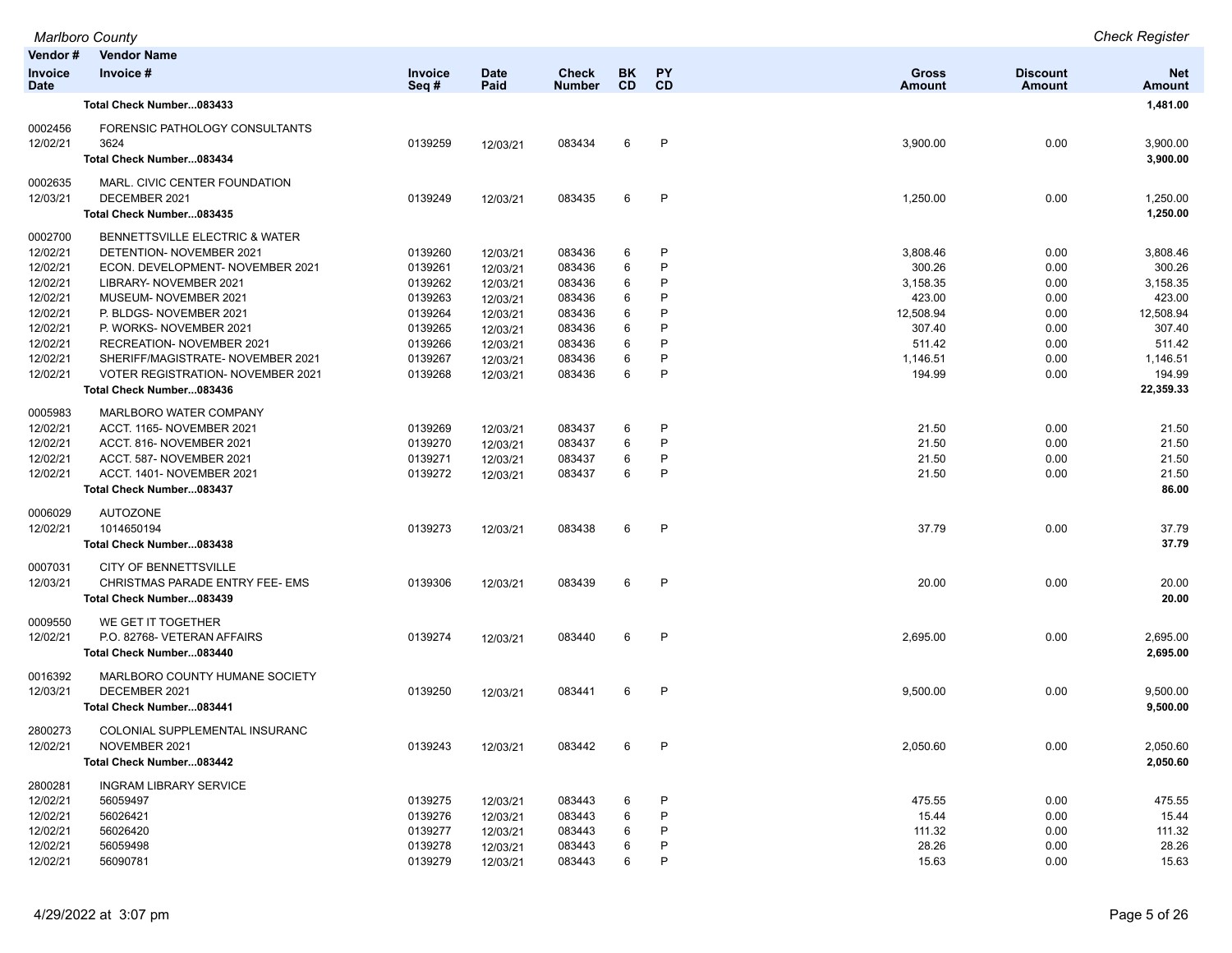| Vendor#<br><b>Vendor Name</b><br>Invoice #<br><b>BK</b><br>PY<br><b>Gross</b><br>Invoice<br><b>Date</b><br><b>Check</b><br><b>Discount</b><br><b>Net</b><br><b>CD</b><br><b>CD</b><br>Seq#<br>Paid<br><b>Number</b><br><b>Amount</b><br>Amount<br><b>Date</b><br>Amount<br>1,481.00<br>Total Check Number083433<br>FORENSIC PATHOLOGY CONSULTANTS<br>3624<br>0139259<br>083434<br>P<br>3,900.00<br>0.00<br>3,900.00<br>6<br>12/03/21<br>3,900.00<br>Total Check Number083434<br>MARL. CIVIC CENTER FOUNDATION<br>$\mathsf{P}$<br>DECEMBER 2021<br>0139249<br>6<br>1,250.00<br>0.00<br>1,250.00<br>083435<br>12/03/21<br>1,250.00<br>Total Check Number083435<br>0002700<br>BENNETTSVILLE ELECTRIC & WATER<br>0139260<br>P<br>DETENTION- NOVEMBER 2021<br>083436<br>6<br>3,808.46<br>0.00<br>3,808.46<br>12/03/21<br>P<br>ECON. DEVELOPMENT- NOVEMBER 2021<br>0139261<br>083436<br>6<br>300.26<br>0.00<br>300.26<br>12/03/21<br>P<br>LIBRARY- NOVEMBER 2021<br>0139262<br>083436<br>6<br>3,158.35<br>3,158.35<br>12/03/21<br>0.00<br>423.00<br>MUSEUM- NOVEMBER 2021<br>0139263<br>083436<br>6<br>P<br>423.00<br>0.00<br>12/03/21<br>P<br>0139264<br>6<br>12,508.94<br>12,508.94<br>P. BLDGS- NOVEMBER 2021<br>083436<br>0.00<br>12/03/21<br>6<br>Þ<br>P. WORKS- NOVEMBER 2021<br>0139265<br>083436<br>307.40<br>0.00<br>307.40<br>12/03/21<br>P<br>12/02/21<br>0139266<br>083436<br>6<br>511.42<br>511.42<br>RECREATION- NOVEMBER 2021<br>0.00<br>12/03/21<br>P<br>12/02/21<br>SHERIFF/MAGISTRATE- NOVEMBER 2021<br>0139267<br>083436<br>6<br>1,146.51<br>0.00<br>1,146.51<br>12/03/21<br>6<br>P<br>194.99<br>194.99<br>12/02/21<br><b>VOTER REGISTRATION- NOVEMBER 2021</b><br>0139268<br>083436<br>0.00<br>12/03/21<br>22,359.33<br>Total Check Number083436<br>MARLBORO WATER COMPANY<br>12/02/21<br>ACCT. 1165-NOVEMBER 2021<br>0139269<br>083437<br>6<br>P<br>21.50<br>21.50<br>0.00<br>12/03/21<br>P<br>12/02/21<br>0139270<br>083437<br>6<br>21.50<br>0.00<br>21.50<br>ACCT. 816- NOVEMBER 2021<br>12/03/21<br>12/02/21<br>0139271<br>083437<br>6<br>P<br>21.50<br>0.00<br>21.50<br>ACCT. 587-NOVEMBER 2021<br>12/03/21<br>6<br>P<br>12/02/21<br>ACCT. 1401- NOVEMBER 2021<br>0139272<br>083437<br>21.50<br>0.00<br>21.50<br>12/03/21<br>Total Check Number083437<br>86.00<br><b>AUTOZONE</b><br>0006029<br>12/02/21<br>1014650194<br>0139273<br>083438<br>6<br>P<br>37.79<br>0.00<br>37.79<br>12/03/21<br>37.79<br>Total Check Number083438<br>CITY OF BENNETTSVILLE<br>CHRISTMAS PARADE ENTRY FEE- EMS<br>0139306<br>083439<br>6<br>P<br>20.00<br>0.00<br>20.00<br>12/03/21<br>20.00<br>Total Check Number083439<br>WE GET IT TOGETHER<br>$\mathsf{P}$<br>P.O. 82768- VETERAN AFFAIRS<br>0139274<br>083440<br>6<br>2,695.00<br>0.00<br>2,695.00<br>12/03/21<br>2,695.00<br>Total Check Number083440<br>MARLBORO COUNTY HUMANE SOCIETY<br>0016392<br>12/03/21<br>DECEMBER 2021<br>0139250<br>083441<br>6<br>P<br>9,500.00<br>0.00<br>9,500.00<br>12/03/21<br>9,500.00<br>Total Check Number083441<br>2800273<br>COLONIAL SUPPLEMENTAL INSURANC<br>0139243<br>083442<br>6<br>P<br>2,050.60<br>0.00<br>2,050.60<br>12/02/21<br>NOVEMBER 2021<br>12/03/21<br>Total Check Number083442<br>2,050.60<br>2800281<br><b>INGRAM LIBRARY SERVICE</b><br>12/02/21<br>56059497<br>0139275<br>083443<br>6<br>P<br>475.55<br>475.55<br>0.00<br>12/03/21<br>P<br>12/02/21<br>56026421<br>0139276<br>083443<br>15.44<br>0.00<br>15.44<br>12/03/21<br>6<br>12/02/21<br>56026420<br>0139277<br>6<br>111.32<br>111.32<br>083443<br>P<br>0.00<br>12/03/21<br>12/02/21<br>56059498<br>0139278<br>083443<br>28.26<br>28.26<br>12/03/21<br>0.00<br>6 |          | <b>Marlboro County</b> |         |          |        |   |   |       |      | <b>Check Register</b> |
|---------------------------------------------------------------------------------------------------------------------------------------------------------------------------------------------------------------------------------------------------------------------------------------------------------------------------------------------------------------------------------------------------------------------------------------------------------------------------------------------------------------------------------------------------------------------------------------------------------------------------------------------------------------------------------------------------------------------------------------------------------------------------------------------------------------------------------------------------------------------------------------------------------------------------------------------------------------------------------------------------------------------------------------------------------------------------------------------------------------------------------------------------------------------------------------------------------------------------------------------------------------------------------------------------------------------------------------------------------------------------------------------------------------------------------------------------------------------------------------------------------------------------------------------------------------------------------------------------------------------------------------------------------------------------------------------------------------------------------------------------------------------------------------------------------------------------------------------------------------------------------------------------------------------------------------------------------------------------------------------------------------------------------------------------------------------------------------------------------------------------------------------------------------------------------------------------------------------------------------------------------------------------------------------------------------------------------------------------------------------------------------------------------------------------------------------------------------------------------------------------------------------------------------------------------------------------------------------------------------------------------------------------------------------------------------------------------------------------------------------------------------------------------------------------------------------------------------------------------------------------------------------------------------------------------------------------------------------------------------------------------------------------------------------------------------------------------------------------------------------------------------------------------------------------------------------------------------------------------------------------------------------------------------------------------------------------------------------------------------------------------------------------------------------------------------------------------------------------------------------------------------------------------------------------------------------------------------------------------------------------------------|----------|------------------------|---------|----------|--------|---|---|-------|------|-----------------------|
|                                                                                                                                                                                                                                                                                                                                                                                                                                                                                                                                                                                                                                                                                                                                                                                                                                                                                                                                                                                                                                                                                                                                                                                                                                                                                                                                                                                                                                                                                                                                                                                                                                                                                                                                                                                                                                                                                                                                                                                                                                                                                                                                                                                                                                                                                                                                                                                                                                                                                                                                                                                                                                                                                                                                                                                                                                                                                                                                                                                                                                                                                                                                                                                                                                                                                                                                                                                                                                                                                                                                                                                                                                       |          |                        |         |          |        |   |   |       |      |                       |
|                                                                                                                                                                                                                                                                                                                                                                                                                                                                                                                                                                                                                                                                                                                                                                                                                                                                                                                                                                                                                                                                                                                                                                                                                                                                                                                                                                                                                                                                                                                                                                                                                                                                                                                                                                                                                                                                                                                                                                                                                                                                                                                                                                                                                                                                                                                                                                                                                                                                                                                                                                                                                                                                                                                                                                                                                                                                                                                                                                                                                                                                                                                                                                                                                                                                                                                                                                                                                                                                                                                                                                                                                                       | Invoice  |                        |         |          |        |   |   |       |      |                       |
|                                                                                                                                                                                                                                                                                                                                                                                                                                                                                                                                                                                                                                                                                                                                                                                                                                                                                                                                                                                                                                                                                                                                                                                                                                                                                                                                                                                                                                                                                                                                                                                                                                                                                                                                                                                                                                                                                                                                                                                                                                                                                                                                                                                                                                                                                                                                                                                                                                                                                                                                                                                                                                                                                                                                                                                                                                                                                                                                                                                                                                                                                                                                                                                                                                                                                                                                                                                                                                                                                                                                                                                                                                       |          |                        |         |          |        |   |   |       |      |                       |
|                                                                                                                                                                                                                                                                                                                                                                                                                                                                                                                                                                                                                                                                                                                                                                                                                                                                                                                                                                                                                                                                                                                                                                                                                                                                                                                                                                                                                                                                                                                                                                                                                                                                                                                                                                                                                                                                                                                                                                                                                                                                                                                                                                                                                                                                                                                                                                                                                                                                                                                                                                                                                                                                                                                                                                                                                                                                                                                                                                                                                                                                                                                                                                                                                                                                                                                                                                                                                                                                                                                                                                                                                                       |          |                        |         |          |        |   |   |       |      |                       |
|                                                                                                                                                                                                                                                                                                                                                                                                                                                                                                                                                                                                                                                                                                                                                                                                                                                                                                                                                                                                                                                                                                                                                                                                                                                                                                                                                                                                                                                                                                                                                                                                                                                                                                                                                                                                                                                                                                                                                                                                                                                                                                                                                                                                                                                                                                                                                                                                                                                                                                                                                                                                                                                                                                                                                                                                                                                                                                                                                                                                                                                                                                                                                                                                                                                                                                                                                                                                                                                                                                                                                                                                                                       | 0002456  |                        |         |          |        |   |   |       |      |                       |
|                                                                                                                                                                                                                                                                                                                                                                                                                                                                                                                                                                                                                                                                                                                                                                                                                                                                                                                                                                                                                                                                                                                                                                                                                                                                                                                                                                                                                                                                                                                                                                                                                                                                                                                                                                                                                                                                                                                                                                                                                                                                                                                                                                                                                                                                                                                                                                                                                                                                                                                                                                                                                                                                                                                                                                                                                                                                                                                                                                                                                                                                                                                                                                                                                                                                                                                                                                                                                                                                                                                                                                                                                                       | 12/02/21 |                        |         |          |        |   |   |       |      |                       |
|                                                                                                                                                                                                                                                                                                                                                                                                                                                                                                                                                                                                                                                                                                                                                                                                                                                                                                                                                                                                                                                                                                                                                                                                                                                                                                                                                                                                                                                                                                                                                                                                                                                                                                                                                                                                                                                                                                                                                                                                                                                                                                                                                                                                                                                                                                                                                                                                                                                                                                                                                                                                                                                                                                                                                                                                                                                                                                                                                                                                                                                                                                                                                                                                                                                                                                                                                                                                                                                                                                                                                                                                                                       |          |                        |         |          |        |   |   |       |      |                       |
|                                                                                                                                                                                                                                                                                                                                                                                                                                                                                                                                                                                                                                                                                                                                                                                                                                                                                                                                                                                                                                                                                                                                                                                                                                                                                                                                                                                                                                                                                                                                                                                                                                                                                                                                                                                                                                                                                                                                                                                                                                                                                                                                                                                                                                                                                                                                                                                                                                                                                                                                                                                                                                                                                                                                                                                                                                                                                                                                                                                                                                                                                                                                                                                                                                                                                                                                                                                                                                                                                                                                                                                                                                       | 0002635  |                        |         |          |        |   |   |       |      |                       |
|                                                                                                                                                                                                                                                                                                                                                                                                                                                                                                                                                                                                                                                                                                                                                                                                                                                                                                                                                                                                                                                                                                                                                                                                                                                                                                                                                                                                                                                                                                                                                                                                                                                                                                                                                                                                                                                                                                                                                                                                                                                                                                                                                                                                                                                                                                                                                                                                                                                                                                                                                                                                                                                                                                                                                                                                                                                                                                                                                                                                                                                                                                                                                                                                                                                                                                                                                                                                                                                                                                                                                                                                                                       | 12/03/21 |                        |         |          |        |   |   |       |      |                       |
|                                                                                                                                                                                                                                                                                                                                                                                                                                                                                                                                                                                                                                                                                                                                                                                                                                                                                                                                                                                                                                                                                                                                                                                                                                                                                                                                                                                                                                                                                                                                                                                                                                                                                                                                                                                                                                                                                                                                                                                                                                                                                                                                                                                                                                                                                                                                                                                                                                                                                                                                                                                                                                                                                                                                                                                                                                                                                                                                                                                                                                                                                                                                                                                                                                                                                                                                                                                                                                                                                                                                                                                                                                       |          |                        |         |          |        |   |   |       |      |                       |
|                                                                                                                                                                                                                                                                                                                                                                                                                                                                                                                                                                                                                                                                                                                                                                                                                                                                                                                                                                                                                                                                                                                                                                                                                                                                                                                                                                                                                                                                                                                                                                                                                                                                                                                                                                                                                                                                                                                                                                                                                                                                                                                                                                                                                                                                                                                                                                                                                                                                                                                                                                                                                                                                                                                                                                                                                                                                                                                                                                                                                                                                                                                                                                                                                                                                                                                                                                                                                                                                                                                                                                                                                                       |          |                        |         |          |        |   |   |       |      |                       |
|                                                                                                                                                                                                                                                                                                                                                                                                                                                                                                                                                                                                                                                                                                                                                                                                                                                                                                                                                                                                                                                                                                                                                                                                                                                                                                                                                                                                                                                                                                                                                                                                                                                                                                                                                                                                                                                                                                                                                                                                                                                                                                                                                                                                                                                                                                                                                                                                                                                                                                                                                                                                                                                                                                                                                                                                                                                                                                                                                                                                                                                                                                                                                                                                                                                                                                                                                                                                                                                                                                                                                                                                                                       | 12/02/21 |                        |         |          |        |   |   |       |      |                       |
|                                                                                                                                                                                                                                                                                                                                                                                                                                                                                                                                                                                                                                                                                                                                                                                                                                                                                                                                                                                                                                                                                                                                                                                                                                                                                                                                                                                                                                                                                                                                                                                                                                                                                                                                                                                                                                                                                                                                                                                                                                                                                                                                                                                                                                                                                                                                                                                                                                                                                                                                                                                                                                                                                                                                                                                                                                                                                                                                                                                                                                                                                                                                                                                                                                                                                                                                                                                                                                                                                                                                                                                                                                       | 12/02/21 |                        |         |          |        |   |   |       |      |                       |
|                                                                                                                                                                                                                                                                                                                                                                                                                                                                                                                                                                                                                                                                                                                                                                                                                                                                                                                                                                                                                                                                                                                                                                                                                                                                                                                                                                                                                                                                                                                                                                                                                                                                                                                                                                                                                                                                                                                                                                                                                                                                                                                                                                                                                                                                                                                                                                                                                                                                                                                                                                                                                                                                                                                                                                                                                                                                                                                                                                                                                                                                                                                                                                                                                                                                                                                                                                                                                                                                                                                                                                                                                                       | 12/02/21 |                        |         |          |        |   |   |       |      |                       |
|                                                                                                                                                                                                                                                                                                                                                                                                                                                                                                                                                                                                                                                                                                                                                                                                                                                                                                                                                                                                                                                                                                                                                                                                                                                                                                                                                                                                                                                                                                                                                                                                                                                                                                                                                                                                                                                                                                                                                                                                                                                                                                                                                                                                                                                                                                                                                                                                                                                                                                                                                                                                                                                                                                                                                                                                                                                                                                                                                                                                                                                                                                                                                                                                                                                                                                                                                                                                                                                                                                                                                                                                                                       | 12/02/21 |                        |         |          |        |   |   |       |      |                       |
|                                                                                                                                                                                                                                                                                                                                                                                                                                                                                                                                                                                                                                                                                                                                                                                                                                                                                                                                                                                                                                                                                                                                                                                                                                                                                                                                                                                                                                                                                                                                                                                                                                                                                                                                                                                                                                                                                                                                                                                                                                                                                                                                                                                                                                                                                                                                                                                                                                                                                                                                                                                                                                                                                                                                                                                                                                                                                                                                                                                                                                                                                                                                                                                                                                                                                                                                                                                                                                                                                                                                                                                                                                       | 12/02/21 |                        |         |          |        |   |   |       |      |                       |
|                                                                                                                                                                                                                                                                                                                                                                                                                                                                                                                                                                                                                                                                                                                                                                                                                                                                                                                                                                                                                                                                                                                                                                                                                                                                                                                                                                                                                                                                                                                                                                                                                                                                                                                                                                                                                                                                                                                                                                                                                                                                                                                                                                                                                                                                                                                                                                                                                                                                                                                                                                                                                                                                                                                                                                                                                                                                                                                                                                                                                                                                                                                                                                                                                                                                                                                                                                                                                                                                                                                                                                                                                                       | 12/02/21 |                        |         |          |        |   |   |       |      |                       |
|                                                                                                                                                                                                                                                                                                                                                                                                                                                                                                                                                                                                                                                                                                                                                                                                                                                                                                                                                                                                                                                                                                                                                                                                                                                                                                                                                                                                                                                                                                                                                                                                                                                                                                                                                                                                                                                                                                                                                                                                                                                                                                                                                                                                                                                                                                                                                                                                                                                                                                                                                                                                                                                                                                                                                                                                                                                                                                                                                                                                                                                                                                                                                                                                                                                                                                                                                                                                                                                                                                                                                                                                                                       |          |                        |         |          |        |   |   |       |      |                       |
|                                                                                                                                                                                                                                                                                                                                                                                                                                                                                                                                                                                                                                                                                                                                                                                                                                                                                                                                                                                                                                                                                                                                                                                                                                                                                                                                                                                                                                                                                                                                                                                                                                                                                                                                                                                                                                                                                                                                                                                                                                                                                                                                                                                                                                                                                                                                                                                                                                                                                                                                                                                                                                                                                                                                                                                                                                                                                                                                                                                                                                                                                                                                                                                                                                                                                                                                                                                                                                                                                                                                                                                                                                       |          |                        |         |          |        |   |   |       |      |                       |
|                                                                                                                                                                                                                                                                                                                                                                                                                                                                                                                                                                                                                                                                                                                                                                                                                                                                                                                                                                                                                                                                                                                                                                                                                                                                                                                                                                                                                                                                                                                                                                                                                                                                                                                                                                                                                                                                                                                                                                                                                                                                                                                                                                                                                                                                                                                                                                                                                                                                                                                                                                                                                                                                                                                                                                                                                                                                                                                                                                                                                                                                                                                                                                                                                                                                                                                                                                                                                                                                                                                                                                                                                                       |          |                        |         |          |        |   |   |       |      |                       |
|                                                                                                                                                                                                                                                                                                                                                                                                                                                                                                                                                                                                                                                                                                                                                                                                                                                                                                                                                                                                                                                                                                                                                                                                                                                                                                                                                                                                                                                                                                                                                                                                                                                                                                                                                                                                                                                                                                                                                                                                                                                                                                                                                                                                                                                                                                                                                                                                                                                                                                                                                                                                                                                                                                                                                                                                                                                                                                                                                                                                                                                                                                                                                                                                                                                                                                                                                                                                                                                                                                                                                                                                                                       |          |                        |         |          |        |   |   |       |      |                       |
|                                                                                                                                                                                                                                                                                                                                                                                                                                                                                                                                                                                                                                                                                                                                                                                                                                                                                                                                                                                                                                                                                                                                                                                                                                                                                                                                                                                                                                                                                                                                                                                                                                                                                                                                                                                                                                                                                                                                                                                                                                                                                                                                                                                                                                                                                                                                                                                                                                                                                                                                                                                                                                                                                                                                                                                                                                                                                                                                                                                                                                                                                                                                                                                                                                                                                                                                                                                                                                                                                                                                                                                                                                       | 0005983  |                        |         |          |        |   |   |       |      |                       |
|                                                                                                                                                                                                                                                                                                                                                                                                                                                                                                                                                                                                                                                                                                                                                                                                                                                                                                                                                                                                                                                                                                                                                                                                                                                                                                                                                                                                                                                                                                                                                                                                                                                                                                                                                                                                                                                                                                                                                                                                                                                                                                                                                                                                                                                                                                                                                                                                                                                                                                                                                                                                                                                                                                                                                                                                                                                                                                                                                                                                                                                                                                                                                                                                                                                                                                                                                                                                                                                                                                                                                                                                                                       |          |                        |         |          |        |   |   |       |      |                       |
|                                                                                                                                                                                                                                                                                                                                                                                                                                                                                                                                                                                                                                                                                                                                                                                                                                                                                                                                                                                                                                                                                                                                                                                                                                                                                                                                                                                                                                                                                                                                                                                                                                                                                                                                                                                                                                                                                                                                                                                                                                                                                                                                                                                                                                                                                                                                                                                                                                                                                                                                                                                                                                                                                                                                                                                                                                                                                                                                                                                                                                                                                                                                                                                                                                                                                                                                                                                                                                                                                                                                                                                                                                       |          |                        |         |          |        |   |   |       |      |                       |
|                                                                                                                                                                                                                                                                                                                                                                                                                                                                                                                                                                                                                                                                                                                                                                                                                                                                                                                                                                                                                                                                                                                                                                                                                                                                                                                                                                                                                                                                                                                                                                                                                                                                                                                                                                                                                                                                                                                                                                                                                                                                                                                                                                                                                                                                                                                                                                                                                                                                                                                                                                                                                                                                                                                                                                                                                                                                                                                                                                                                                                                                                                                                                                                                                                                                                                                                                                                                                                                                                                                                                                                                                                       |          |                        |         |          |        |   |   |       |      |                       |
|                                                                                                                                                                                                                                                                                                                                                                                                                                                                                                                                                                                                                                                                                                                                                                                                                                                                                                                                                                                                                                                                                                                                                                                                                                                                                                                                                                                                                                                                                                                                                                                                                                                                                                                                                                                                                                                                                                                                                                                                                                                                                                                                                                                                                                                                                                                                                                                                                                                                                                                                                                                                                                                                                                                                                                                                                                                                                                                                                                                                                                                                                                                                                                                                                                                                                                                                                                                                                                                                                                                                                                                                                                       |          |                        |         |          |        |   |   |       |      |                       |
|                                                                                                                                                                                                                                                                                                                                                                                                                                                                                                                                                                                                                                                                                                                                                                                                                                                                                                                                                                                                                                                                                                                                                                                                                                                                                                                                                                                                                                                                                                                                                                                                                                                                                                                                                                                                                                                                                                                                                                                                                                                                                                                                                                                                                                                                                                                                                                                                                                                                                                                                                                                                                                                                                                                                                                                                                                                                                                                                                                                                                                                                                                                                                                                                                                                                                                                                                                                                                                                                                                                                                                                                                                       |          |                        |         |          |        |   |   |       |      |                       |
|                                                                                                                                                                                                                                                                                                                                                                                                                                                                                                                                                                                                                                                                                                                                                                                                                                                                                                                                                                                                                                                                                                                                                                                                                                                                                                                                                                                                                                                                                                                                                                                                                                                                                                                                                                                                                                                                                                                                                                                                                                                                                                                                                                                                                                                                                                                                                                                                                                                                                                                                                                                                                                                                                                                                                                                                                                                                                                                                                                                                                                                                                                                                                                                                                                                                                                                                                                                                                                                                                                                                                                                                                                       |          |                        |         |          |        |   |   |       |      |                       |
|                                                                                                                                                                                                                                                                                                                                                                                                                                                                                                                                                                                                                                                                                                                                                                                                                                                                                                                                                                                                                                                                                                                                                                                                                                                                                                                                                                                                                                                                                                                                                                                                                                                                                                                                                                                                                                                                                                                                                                                                                                                                                                                                                                                                                                                                                                                                                                                                                                                                                                                                                                                                                                                                                                                                                                                                                                                                                                                                                                                                                                                                                                                                                                                                                                                                                                                                                                                                                                                                                                                                                                                                                                       |          |                        |         |          |        |   |   |       |      |                       |
|                                                                                                                                                                                                                                                                                                                                                                                                                                                                                                                                                                                                                                                                                                                                                                                                                                                                                                                                                                                                                                                                                                                                                                                                                                                                                                                                                                                                                                                                                                                                                                                                                                                                                                                                                                                                                                                                                                                                                                                                                                                                                                                                                                                                                                                                                                                                                                                                                                                                                                                                                                                                                                                                                                                                                                                                                                                                                                                                                                                                                                                                                                                                                                                                                                                                                                                                                                                                                                                                                                                                                                                                                                       |          |                        |         |          |        |   |   |       |      |                       |
|                                                                                                                                                                                                                                                                                                                                                                                                                                                                                                                                                                                                                                                                                                                                                                                                                                                                                                                                                                                                                                                                                                                                                                                                                                                                                                                                                                                                                                                                                                                                                                                                                                                                                                                                                                                                                                                                                                                                                                                                                                                                                                                                                                                                                                                                                                                                                                                                                                                                                                                                                                                                                                                                                                                                                                                                                                                                                                                                                                                                                                                                                                                                                                                                                                                                                                                                                                                                                                                                                                                                                                                                                                       | 0007031  |                        |         |          |        |   |   |       |      |                       |
|                                                                                                                                                                                                                                                                                                                                                                                                                                                                                                                                                                                                                                                                                                                                                                                                                                                                                                                                                                                                                                                                                                                                                                                                                                                                                                                                                                                                                                                                                                                                                                                                                                                                                                                                                                                                                                                                                                                                                                                                                                                                                                                                                                                                                                                                                                                                                                                                                                                                                                                                                                                                                                                                                                                                                                                                                                                                                                                                                                                                                                                                                                                                                                                                                                                                                                                                                                                                                                                                                                                                                                                                                                       | 12/03/21 |                        |         |          |        |   |   |       |      |                       |
|                                                                                                                                                                                                                                                                                                                                                                                                                                                                                                                                                                                                                                                                                                                                                                                                                                                                                                                                                                                                                                                                                                                                                                                                                                                                                                                                                                                                                                                                                                                                                                                                                                                                                                                                                                                                                                                                                                                                                                                                                                                                                                                                                                                                                                                                                                                                                                                                                                                                                                                                                                                                                                                                                                                                                                                                                                                                                                                                                                                                                                                                                                                                                                                                                                                                                                                                                                                                                                                                                                                                                                                                                                       |          |                        |         |          |        |   |   |       |      |                       |
|                                                                                                                                                                                                                                                                                                                                                                                                                                                                                                                                                                                                                                                                                                                                                                                                                                                                                                                                                                                                                                                                                                                                                                                                                                                                                                                                                                                                                                                                                                                                                                                                                                                                                                                                                                                                                                                                                                                                                                                                                                                                                                                                                                                                                                                                                                                                                                                                                                                                                                                                                                                                                                                                                                                                                                                                                                                                                                                                                                                                                                                                                                                                                                                                                                                                                                                                                                                                                                                                                                                                                                                                                                       | 0009550  |                        |         |          |        |   |   |       |      |                       |
|                                                                                                                                                                                                                                                                                                                                                                                                                                                                                                                                                                                                                                                                                                                                                                                                                                                                                                                                                                                                                                                                                                                                                                                                                                                                                                                                                                                                                                                                                                                                                                                                                                                                                                                                                                                                                                                                                                                                                                                                                                                                                                                                                                                                                                                                                                                                                                                                                                                                                                                                                                                                                                                                                                                                                                                                                                                                                                                                                                                                                                                                                                                                                                                                                                                                                                                                                                                                                                                                                                                                                                                                                                       | 12/02/21 |                        |         |          |        |   |   |       |      |                       |
|                                                                                                                                                                                                                                                                                                                                                                                                                                                                                                                                                                                                                                                                                                                                                                                                                                                                                                                                                                                                                                                                                                                                                                                                                                                                                                                                                                                                                                                                                                                                                                                                                                                                                                                                                                                                                                                                                                                                                                                                                                                                                                                                                                                                                                                                                                                                                                                                                                                                                                                                                                                                                                                                                                                                                                                                                                                                                                                                                                                                                                                                                                                                                                                                                                                                                                                                                                                                                                                                                                                                                                                                                                       |          |                        |         |          |        |   |   |       |      |                       |
|                                                                                                                                                                                                                                                                                                                                                                                                                                                                                                                                                                                                                                                                                                                                                                                                                                                                                                                                                                                                                                                                                                                                                                                                                                                                                                                                                                                                                                                                                                                                                                                                                                                                                                                                                                                                                                                                                                                                                                                                                                                                                                                                                                                                                                                                                                                                                                                                                                                                                                                                                                                                                                                                                                                                                                                                                                                                                                                                                                                                                                                                                                                                                                                                                                                                                                                                                                                                                                                                                                                                                                                                                                       |          |                        |         |          |        |   |   |       |      |                       |
|                                                                                                                                                                                                                                                                                                                                                                                                                                                                                                                                                                                                                                                                                                                                                                                                                                                                                                                                                                                                                                                                                                                                                                                                                                                                                                                                                                                                                                                                                                                                                                                                                                                                                                                                                                                                                                                                                                                                                                                                                                                                                                                                                                                                                                                                                                                                                                                                                                                                                                                                                                                                                                                                                                                                                                                                                                                                                                                                                                                                                                                                                                                                                                                                                                                                                                                                                                                                                                                                                                                                                                                                                                       |          |                        |         |          |        |   |   |       |      |                       |
|                                                                                                                                                                                                                                                                                                                                                                                                                                                                                                                                                                                                                                                                                                                                                                                                                                                                                                                                                                                                                                                                                                                                                                                                                                                                                                                                                                                                                                                                                                                                                                                                                                                                                                                                                                                                                                                                                                                                                                                                                                                                                                                                                                                                                                                                                                                                                                                                                                                                                                                                                                                                                                                                                                                                                                                                                                                                                                                                                                                                                                                                                                                                                                                                                                                                                                                                                                                                                                                                                                                                                                                                                                       |          |                        |         |          |        |   |   |       |      |                       |
|                                                                                                                                                                                                                                                                                                                                                                                                                                                                                                                                                                                                                                                                                                                                                                                                                                                                                                                                                                                                                                                                                                                                                                                                                                                                                                                                                                                                                                                                                                                                                                                                                                                                                                                                                                                                                                                                                                                                                                                                                                                                                                                                                                                                                                                                                                                                                                                                                                                                                                                                                                                                                                                                                                                                                                                                                                                                                                                                                                                                                                                                                                                                                                                                                                                                                                                                                                                                                                                                                                                                                                                                                                       |          |                        |         |          |        |   |   |       |      |                       |
|                                                                                                                                                                                                                                                                                                                                                                                                                                                                                                                                                                                                                                                                                                                                                                                                                                                                                                                                                                                                                                                                                                                                                                                                                                                                                                                                                                                                                                                                                                                                                                                                                                                                                                                                                                                                                                                                                                                                                                                                                                                                                                                                                                                                                                                                                                                                                                                                                                                                                                                                                                                                                                                                                                                                                                                                                                                                                                                                                                                                                                                                                                                                                                                                                                                                                                                                                                                                                                                                                                                                                                                                                                       |          |                        |         |          |        |   |   |       |      |                       |
|                                                                                                                                                                                                                                                                                                                                                                                                                                                                                                                                                                                                                                                                                                                                                                                                                                                                                                                                                                                                                                                                                                                                                                                                                                                                                                                                                                                                                                                                                                                                                                                                                                                                                                                                                                                                                                                                                                                                                                                                                                                                                                                                                                                                                                                                                                                                                                                                                                                                                                                                                                                                                                                                                                                                                                                                                                                                                                                                                                                                                                                                                                                                                                                                                                                                                                                                                                                                                                                                                                                                                                                                                                       |          |                        |         |          |        |   |   |       |      |                       |
|                                                                                                                                                                                                                                                                                                                                                                                                                                                                                                                                                                                                                                                                                                                                                                                                                                                                                                                                                                                                                                                                                                                                                                                                                                                                                                                                                                                                                                                                                                                                                                                                                                                                                                                                                                                                                                                                                                                                                                                                                                                                                                                                                                                                                                                                                                                                                                                                                                                                                                                                                                                                                                                                                                                                                                                                                                                                                                                                                                                                                                                                                                                                                                                                                                                                                                                                                                                                                                                                                                                                                                                                                                       |          |                        |         |          |        |   |   |       |      |                       |
|                                                                                                                                                                                                                                                                                                                                                                                                                                                                                                                                                                                                                                                                                                                                                                                                                                                                                                                                                                                                                                                                                                                                                                                                                                                                                                                                                                                                                                                                                                                                                                                                                                                                                                                                                                                                                                                                                                                                                                                                                                                                                                                                                                                                                                                                                                                                                                                                                                                                                                                                                                                                                                                                                                                                                                                                                                                                                                                                                                                                                                                                                                                                                                                                                                                                                                                                                                                                                                                                                                                                                                                                                                       |          |                        |         |          |        |   |   |       |      |                       |
|                                                                                                                                                                                                                                                                                                                                                                                                                                                                                                                                                                                                                                                                                                                                                                                                                                                                                                                                                                                                                                                                                                                                                                                                                                                                                                                                                                                                                                                                                                                                                                                                                                                                                                                                                                                                                                                                                                                                                                                                                                                                                                                                                                                                                                                                                                                                                                                                                                                                                                                                                                                                                                                                                                                                                                                                                                                                                                                                                                                                                                                                                                                                                                                                                                                                                                                                                                                                                                                                                                                                                                                                                                       |          |                        |         |          |        |   |   |       |      |                       |
|                                                                                                                                                                                                                                                                                                                                                                                                                                                                                                                                                                                                                                                                                                                                                                                                                                                                                                                                                                                                                                                                                                                                                                                                                                                                                                                                                                                                                                                                                                                                                                                                                                                                                                                                                                                                                                                                                                                                                                                                                                                                                                                                                                                                                                                                                                                                                                                                                                                                                                                                                                                                                                                                                                                                                                                                                                                                                                                                                                                                                                                                                                                                                                                                                                                                                                                                                                                                                                                                                                                                                                                                                                       |          |                        |         |          |        |   |   |       |      |                       |
|                                                                                                                                                                                                                                                                                                                                                                                                                                                                                                                                                                                                                                                                                                                                                                                                                                                                                                                                                                                                                                                                                                                                                                                                                                                                                                                                                                                                                                                                                                                                                                                                                                                                                                                                                                                                                                                                                                                                                                                                                                                                                                                                                                                                                                                                                                                                                                                                                                                                                                                                                                                                                                                                                                                                                                                                                                                                                                                                                                                                                                                                                                                                                                                                                                                                                                                                                                                                                                                                                                                                                                                                                                       |          |                        |         |          |        |   |   |       |      |                       |
|                                                                                                                                                                                                                                                                                                                                                                                                                                                                                                                                                                                                                                                                                                                                                                                                                                                                                                                                                                                                                                                                                                                                                                                                                                                                                                                                                                                                                                                                                                                                                                                                                                                                                                                                                                                                                                                                                                                                                                                                                                                                                                                                                                                                                                                                                                                                                                                                                                                                                                                                                                                                                                                                                                                                                                                                                                                                                                                                                                                                                                                                                                                                                                                                                                                                                                                                                                                                                                                                                                                                                                                                                                       | 12/02/21 | 56090781               | 0139279 | 12/03/21 | 083443 | 6 | P | 15.63 | 0.00 | 15.63                 |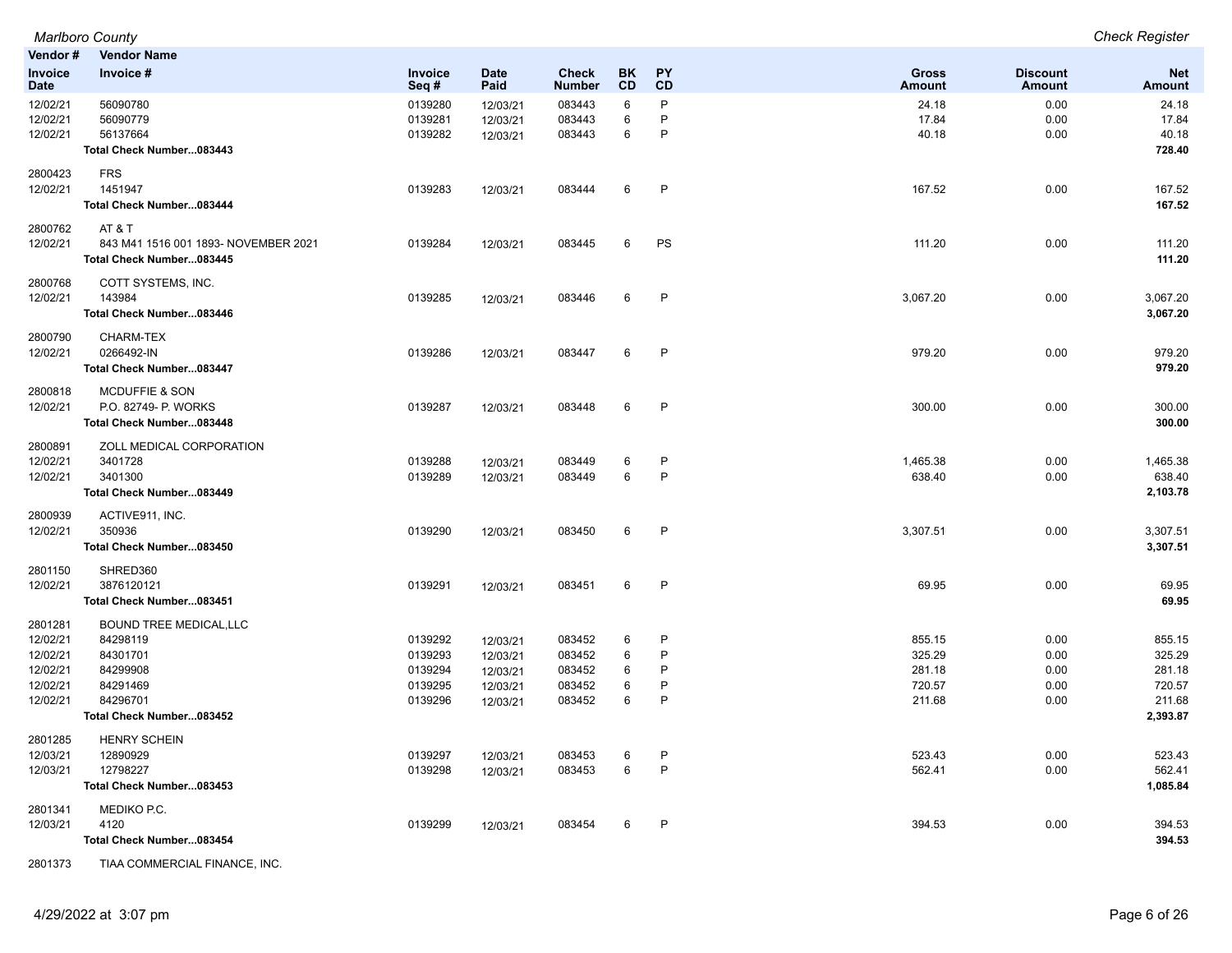|                        | Marlboro County                        |                    |                      |                               |                 |                 |                               |                                  | <b>Check Register</b>       |
|------------------------|----------------------------------------|--------------------|----------------------|-------------------------------|-----------------|-----------------|-------------------------------|----------------------------------|-----------------------------|
| Vendor#                | <b>Vendor Name</b>                     |                    |                      |                               |                 |                 |                               |                                  |                             |
| Invoice<br><b>Date</b> | Invoice #                              | Invoice<br>Seq#    | <b>Date</b><br>Paid  | <b>Check</b><br><b>Number</b> | BK<br><b>CD</b> | <b>PY</b><br>CD | <b>Gross</b><br><b>Amount</b> | <b>Discount</b><br><b>Amount</b> | <b>Net</b><br><b>Amount</b> |
| 12/02/21               | 56090780                               | 0139280            | 12/03/21             | 083443                        | 6               | P               | 24.18                         | 0.00                             | 24.18                       |
| 12/02/21               | 56090779                               | 0139281            | 12/03/21             | 083443                        | 6               | P               | 17.84                         | 0.00                             | 17.84                       |
| 12/02/21               | 56137664                               | 0139282            | 12/03/21             | 083443                        | 6               | P               | 40.18                         | 0.00                             | 40.18                       |
|                        | Total Check Number083443               |                    |                      |                               |                 |                 |                               |                                  | 728.40                      |
| 2800423                | <b>FRS</b>                             |                    |                      |                               |                 |                 |                               |                                  |                             |
| 12/02/21               | 1451947                                | 0139283            | 12/03/21             | 083444                        | 6               | $\mathsf{P}$    | 167.52                        | 0.00                             | 167.52                      |
|                        | Total Check Number083444               |                    |                      |                               |                 |                 |                               |                                  | 167.52                      |
| 2800762                | AT & T                                 |                    |                      |                               |                 |                 |                               |                                  |                             |
| 12/02/21               | 843 M41 1516 001 1893- NOVEMBER 2021   | 0139284            | 12/03/21             | 083445                        | 6               | PS              | 111.20                        | 0.00                             | 111.20                      |
|                        | Total Check Number083445               |                    |                      |                               |                 |                 |                               |                                  | 111.20                      |
| 2800768                | COTT SYSTEMS, INC.                     |                    |                      |                               |                 |                 |                               |                                  |                             |
| 12/02/21               | 143984                                 | 0139285            | 12/03/21             | 083446                        | 6               | $\mathsf{P}$    | 3,067.20                      | 0.00                             | 3,067.20                    |
|                        | Total Check Number083446               |                    |                      |                               |                 |                 |                               |                                  | 3,067.20                    |
| 2800790                | CHARM-TEX                              |                    |                      |                               |                 |                 |                               |                                  |                             |
| 12/02/21               | 0266492-IN                             | 0139286            | 12/03/21             | 083447                        | 6               | $\mathsf{P}$    | 979.20                        | 0.00                             | 979.20                      |
|                        | Total Check Number083447               |                    |                      |                               |                 |                 |                               |                                  | 979.20                      |
| 2800818                | <b>MCDUFFIE &amp; SON</b>              |                    |                      |                               |                 |                 |                               |                                  |                             |
| 12/02/21               | P.O. 82749- P. WORKS                   | 0139287            | 12/03/21             | 083448                        | 6               | P               | 300.00                        | 0.00                             | 300.00                      |
|                        | Total Check Number083448               |                    |                      |                               |                 |                 |                               |                                  | 300.00                      |
| 2800891                | ZOLL MEDICAL CORPORATION               |                    |                      |                               |                 |                 |                               |                                  |                             |
| 12/02/21               | 3401728                                | 0139288            | 12/03/21             | 083449                        | 6               | P               | 1,465.38                      | 0.00                             | 1,465.38                    |
| 12/02/21               | 3401300                                | 0139289            | 12/03/21             | 083449                        | 6               | P               | 638.40                        | 0.00                             | 638.40                      |
|                        | Total Check Number083449               |                    |                      |                               |                 |                 |                               |                                  | 2,103.78                    |
| 2800939                | ACTIVE911, INC.                        |                    |                      |                               |                 |                 |                               |                                  |                             |
| 12/02/21               | 350936                                 | 0139290            | 12/03/21             | 083450                        | 6               | $\mathsf{P}$    | 3,307.51                      | 0.00                             | 3,307.51                    |
|                        | Total Check Number083450               |                    |                      |                               |                 |                 |                               |                                  | 3,307.51                    |
| 2801150                | SHRED360                               |                    |                      |                               |                 |                 |                               |                                  |                             |
| 12/02/21               | 3876120121<br>Total Check Number083451 | 0139291            | 12/03/21             | 083451                        | 6               | $\mathsf{P}$    | 69.95                         | 0.00                             | 69.95<br>69.95              |
|                        |                                        |                    |                      |                               |                 |                 |                               |                                  |                             |
| 2801281                | <b>BOUND TREE MEDICAL, LLC</b>         |                    |                      |                               |                 |                 |                               |                                  |                             |
| 12/02/21               | 84298119<br>84301701                   | 0139292<br>0139293 | 12/03/21             | 083452                        | 6               | P<br>P          | 855.15<br>325.29              | 0.00                             | 855.15                      |
| 12/02/21<br>12/02/21   | 84299908                               | 0139294            | 12/03/21<br>12/03/21 | 083452<br>083452              | 6<br>6          | P               | 281.18                        | 0.00<br>0.00                     | 325.29<br>281.18            |
| 12/02/21               | 84291469                               | 0139295            | 12/03/21             | 083452                        | 6               | P               | 720.57                        | 0.00                             | 720.57                      |
| 12/02/21               | 84296701                               | 0139296            | 12/03/21             | 083452                        | 6               | P               | 211.68                        | 0.00                             | 211.68                      |
|                        | Total Check Number083452               |                    |                      |                               |                 |                 |                               |                                  | 2,393.87                    |
| 2801285                | <b>HENRY SCHEIN</b>                    |                    |                      |                               |                 |                 |                               |                                  |                             |
| 12/03/21               | 12890929                               | 0139297            | 12/03/21             | 083453                        | 6               | P               | 523.43                        | 0.00                             | 523.43                      |
| 12/03/21               | 12798227                               | 0139298            | 12/03/21             | 083453                        | 6               | P               | 562.41                        | 0.00                             | 562.41                      |
|                        | Total Check Number083453               |                    |                      |                               |                 |                 |                               |                                  | 1,085.84                    |
| 2801341                | MEDIKO P.C.                            |                    |                      |                               |                 |                 |                               |                                  |                             |
| 12/03/21               | 4120                                   | 0139299            | 12/03/21             | 083454                        | 6               | $\mathsf{P}$    | 394.53                        | 0.00                             | 394.53                      |
|                        | Total Check Number083454               |                    |                      |                               |                 |                 |                               |                                  | 394.53                      |

2801373 TIAA COMMERCIAL FINANCE, INC.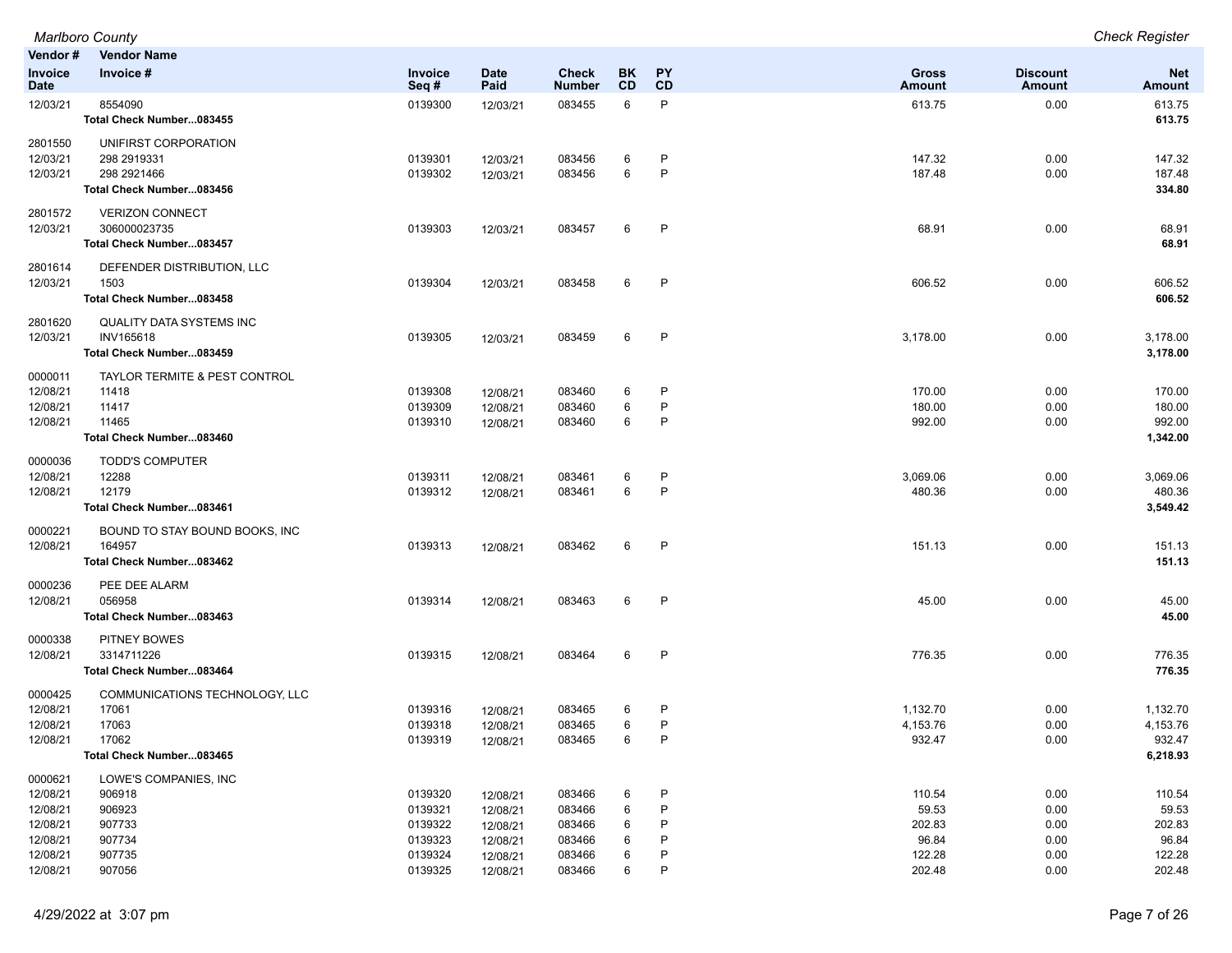| Vendor#                                                                         | <b>Vendor Name</b>                                                                    |                                                                |                                                                      |                                                          |                            |                            |                                                        |                                              |                                                        |
|---------------------------------------------------------------------------------|---------------------------------------------------------------------------------------|----------------------------------------------------------------|----------------------------------------------------------------------|----------------------------------------------------------|----------------------------|----------------------------|--------------------------------------------------------|----------------------------------------------|--------------------------------------------------------|
| <b>Invoice</b><br><b>Date</b>                                                   | Invoice #                                                                             | Invoice<br>Seq#                                                | <b>Date</b><br>Paid                                                  | Check<br><b>Number</b>                                   | BK<br>CD                   | <b>PY</b><br>CD            | <b>Gross</b><br>Amount                                 | <b>Discount</b><br>Amount                    | <b>Net</b><br>Amount                                   |
| 12/03/21                                                                        | 8554090<br>Total Check Number083455                                                   | 0139300                                                        | 12/03/21                                                             | 083455                                                   | 6                          | P                          | 613.75                                                 | 0.00                                         | 613.75<br>613.75                                       |
| 2801550<br>12/03/21<br>12/03/21                                                 | UNIFIRST CORPORATION<br>298 2919331<br>298 2921466<br>Total Check Number083456        | 0139301<br>0139302                                             | 12/03/21<br>12/03/21                                                 | 083456<br>083456                                         | 6<br>6                     | P<br>P                     | 147.32<br>187.48                                       | 0.00<br>0.00                                 | 147.32<br>187.48<br>334.80                             |
| 2801572<br>12/03/21                                                             | <b>VERIZON CONNECT</b><br>306000023735<br>Total Check Number083457                    | 0139303                                                        | 12/03/21                                                             | 083457                                                   | 6                          | $\mathsf{P}$               | 68.91                                                  | 0.00                                         | 68.91<br>68.91                                         |
| 2801614<br>12/03/21                                                             | DEFENDER DISTRIBUTION, LLC<br>1503<br>Total Check Number083458                        | 0139304                                                        | 12/03/21                                                             | 083458                                                   | 6                          | $\mathsf{P}$               | 606.52                                                 | 0.00                                         | 606.52<br>606.52                                       |
| 2801620<br>12/03/21                                                             | <b>QUALITY DATA SYSTEMS INC</b><br>INV165618<br>Total Check Number083459              | 0139305                                                        | 12/03/21                                                             | 083459                                                   | 6                          | P                          | 3,178.00                                               | 0.00                                         | 3,178.00<br>3,178.00                                   |
| 0000011<br>12/08/21<br>12/08/21<br>12/08/21                                     | TAYLOR TERMITE & PEST CONTROL<br>11418<br>11417<br>11465<br>Total Check Number083460  | 0139308<br>0139309<br>0139310                                  | 12/08/21<br>12/08/21<br>12/08/21                                     | 083460<br>083460<br>083460                               | 6<br>6<br>6                | P<br>P<br>P                | 170.00<br>180.00<br>992.00                             | 0.00<br>0.00<br>0.00                         | 170.00<br>180.00<br>992.00<br>1,342.00                 |
| 0000036<br>12/08/21<br>12/08/21                                                 | <b>TODD'S COMPUTER</b><br>12288<br>12179<br>Total Check Number083461                  | 0139311<br>0139312                                             | 12/08/21<br>12/08/21                                                 | 083461<br>083461                                         | 6<br>6                     | P<br>P                     | 3,069.06<br>480.36                                     | 0.00<br>0.00                                 | 3,069.06<br>480.36<br>3,549.42                         |
| 0000221<br>12/08/21                                                             | BOUND TO STAY BOUND BOOKS, INC<br>164957<br>Total Check Number083462                  | 0139313                                                        | 12/08/21                                                             | 083462                                                   | 6                          | P                          | 151.13                                                 | 0.00                                         | 151.13<br>151.13                                       |
| 0000236<br>12/08/21                                                             | PEE DEE ALARM<br>056958<br>Total Check Number083463                                   | 0139314                                                        | 12/08/21                                                             | 083463                                                   | 6                          | $\mathsf{P}$               | 45.00                                                  | 0.00                                         | 45.00<br>45.00                                         |
| 0000338<br>12/08/21                                                             | <b>PITNEY BOWES</b><br>3314711226<br>Total Check Number083464                         | 0139315                                                        | 12/08/21                                                             | 083464                                                   | 6                          | $\mathsf{P}$               | 776.35                                                 | 0.00                                         | 776.35<br>776.35                                       |
| 0000425<br>12/08/21<br>12/08/21<br>12/08/21                                     | COMMUNICATIONS TECHNOLOGY, LLC<br>17061<br>17063<br>17062<br>Total Check Number083465 | 0139316<br>0139318<br>0139319                                  | 12/08/21<br>12/08/21<br>12/08/21                                     | 083465<br>083465<br>083465                               | 6<br>6<br>6                | P<br>P<br>P                | 1,132.70<br>4,153.76<br>932.47                         | 0.00<br>0.00<br>0.00                         | 1,132.70<br>4,153.76<br>932.47<br>6,218.93             |
| 0000621<br>12/08/21<br>12/08/21<br>12/08/21<br>12/08/21<br>12/08/21<br>12/08/21 | LOWE'S COMPANIES, INC<br>906918<br>906923<br>907733<br>907734<br>907735<br>907056     | 0139320<br>0139321<br>0139322<br>0139323<br>0139324<br>0139325 | 12/08/21<br>12/08/21<br>12/08/21<br>12/08/21<br>12/08/21<br>12/08/21 | 083466<br>083466<br>083466<br>083466<br>083466<br>083466 | 6<br>6<br>6<br>6<br>6<br>6 | P<br>P<br>P<br>P<br>P<br>P | 110.54<br>59.53<br>202.83<br>96.84<br>122.28<br>202.48 | 0.00<br>0.00<br>0.00<br>0.00<br>0.00<br>0.00 | 110.54<br>59.53<br>202.83<br>96.84<br>122.28<br>202.48 |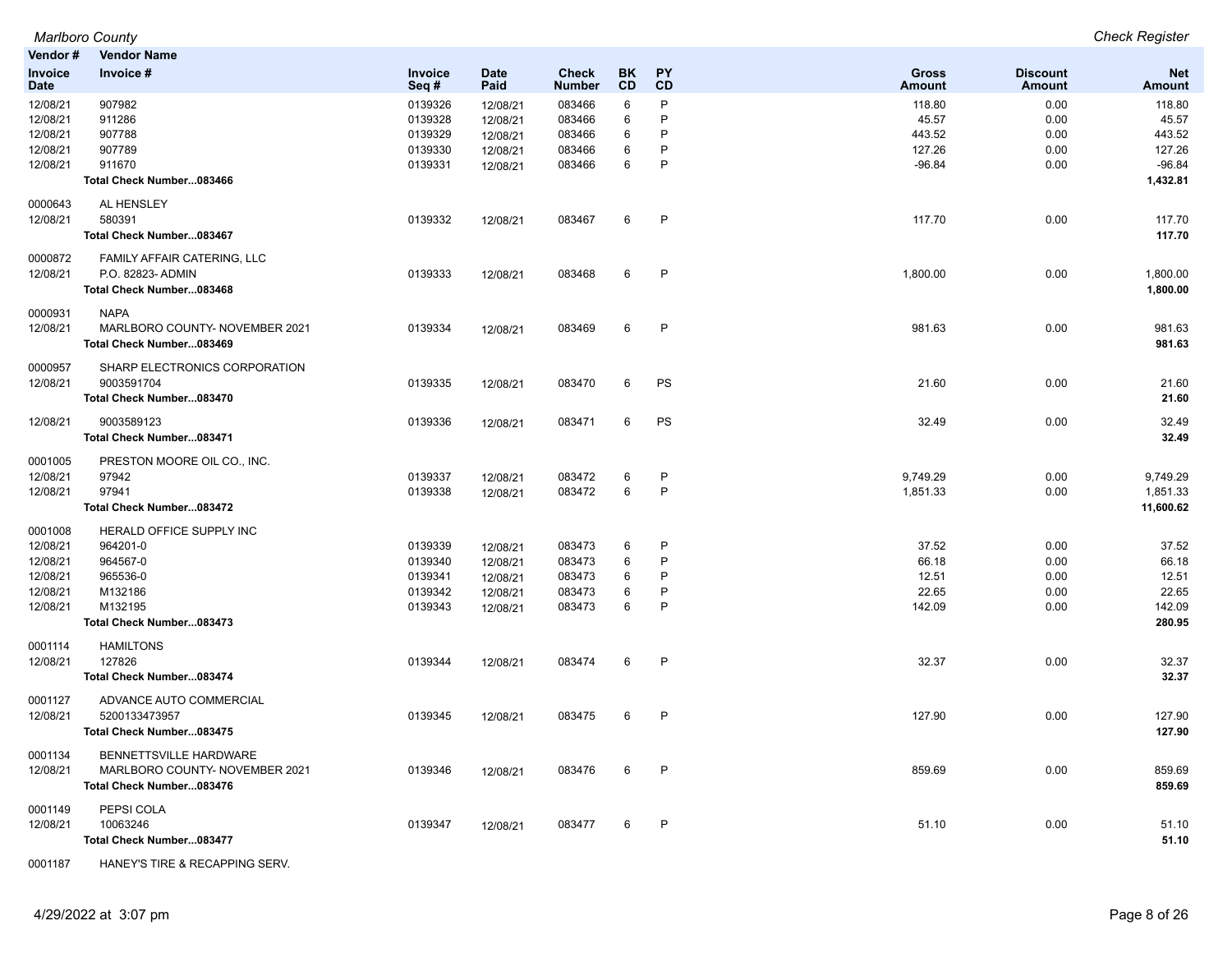| Vendor#                | <b>Vendor Name</b>             |                 |                     |                               |          |              |                               |                                  |                             |
|------------------------|--------------------------------|-----------------|---------------------|-------------------------------|----------|--------------|-------------------------------|----------------------------------|-----------------------------|
| Invoice<br><b>Date</b> | Invoice #                      | Invoice<br>Seq# | <b>Date</b><br>Paid | <b>Check</b><br><b>Number</b> | BK<br>CD | PY<br>CD     | <b>Gross</b><br><b>Amount</b> | <b>Discount</b><br><b>Amount</b> | <b>Net</b><br><b>Amount</b> |
| 12/08/21               | 907982                         | 0139326         | 12/08/21            | 083466                        | 6        | P            | 118.80                        | 0.00                             | 118.80                      |
| 12/08/21               | 911286                         | 0139328         | 12/08/21            | 083466                        | 6        | P            | 45.57                         | 0.00                             | 45.57                       |
| 12/08/21               | 907788                         | 0139329         | 12/08/21            | 083466                        | 6        | P            | 443.52                        | 0.00                             | 443.52                      |
| 12/08/21               | 907789                         | 0139330         | 12/08/21            | 083466                        | 6        | P            | 127.26                        | 0.00                             | 127.26                      |
| 12/08/21               | 911670                         | 0139331         | 12/08/21            | 083466                        | 6        | P            | $-96.84$                      | 0.00                             | $-96.84$                    |
|                        | Total Check Number083466       |                 |                     |                               |          |              |                               |                                  | 1,432.81                    |
| 0000643                | AL HENSLEY                     |                 |                     |                               |          |              |                               |                                  |                             |
| 12/08/21               | 580391                         | 0139332         | 12/08/21            | 083467                        | 6        | $\mathsf{P}$ | 117.70                        | 0.00                             | 117.70                      |
|                        | Total Check Number083467       |                 |                     |                               |          |              |                               |                                  | 117.70                      |
| 0000872                | FAMILY AFFAIR CATERING, LLC    |                 |                     |                               |          |              |                               |                                  |                             |
| 12/08/21               | P.O. 82823- ADMIN              | 0139333         | 12/08/21            | 083468                        | 6        | $\mathsf{P}$ | 1,800.00                      | 0.00                             | 1,800.00                    |
|                        | Total Check Number083468       |                 |                     |                               |          |              |                               |                                  | 1,800.00                    |
| 0000931                | <b>NAPA</b>                    |                 |                     |                               |          |              |                               |                                  |                             |
| 12/08/21               | MARLBORO COUNTY- NOVEMBER 2021 | 0139334         | 12/08/21            | 083469                        | 6        | $\mathsf{P}$ | 981.63                        | 0.00                             | 981.63                      |
|                        | Total Check Number083469       |                 |                     |                               |          |              |                               |                                  | 981.63                      |
| 0000957                | SHARP ELECTRONICS CORPORATION  |                 |                     |                               |          |              |                               |                                  |                             |
| 12/08/21               | 9003591704                     | 0139335         | 12/08/21            | 083470                        | 6        | PS           | 21.60                         | 0.00                             | 21.60                       |
|                        | Total Check Number083470       |                 |                     |                               |          |              |                               |                                  | 21.60                       |
| 12/08/21               | 9003589123                     | 0139336         | 12/08/21            | 083471                        | 6        | <b>PS</b>    | 32.49                         | 0.00                             | 32.49                       |
|                        | Total Check Number083471       |                 |                     |                               |          |              |                               |                                  | 32.49                       |
| 0001005                | PRESTON MOORE OIL CO., INC.    |                 |                     |                               |          |              |                               |                                  |                             |
| 12/08/21               | 97942                          | 0139337         | 12/08/21            | 083472                        | 6        | P            | 9,749.29                      | 0.00                             | 9,749.29                    |
| 12/08/21               | 97941                          | 0139338         | 12/08/21            | 083472                        | 6        | P            | 1,851.33                      | 0.00                             | 1,851.33                    |
|                        | Total Check Number083472       |                 |                     |                               |          |              |                               |                                  | 11,600.62                   |
| 0001008                | HERALD OFFICE SUPPLY INC       |                 |                     |                               |          |              |                               |                                  |                             |
| 12/08/21               | 964201-0                       | 0139339         | 12/08/21            | 083473                        | 6        | P            | 37.52                         | 0.00                             | 37.52                       |
| 12/08/21               | 964567-0                       | 0139340         | 12/08/21            | 083473                        | 6        | P            | 66.18                         | 0.00                             | 66.18                       |
| 12/08/21               | 965536-0                       | 0139341         | 12/08/21            | 083473                        | 6        | P            | 12.51                         | 0.00                             | 12.51                       |
| 12/08/21               | M132186                        | 0139342         | 12/08/21            | 083473                        | 6        | P            | 22.65                         | 0.00                             | 22.65                       |
| 12/08/21               | M132195                        | 0139343         | 12/08/21            | 083473                        | 6        | P            | 142.09                        | 0.00                             | 142.09                      |
|                        | Total Check Number083473       |                 |                     |                               |          |              |                               |                                  | 280.95                      |
| 0001114                | <b>HAMILTONS</b>               |                 |                     |                               |          |              |                               |                                  |                             |
| 12/08/21               | 127826                         | 0139344         | 12/08/21            | 083474                        | 6        | $\mathsf{P}$ | 32.37                         | 0.00                             | 32.37                       |
|                        | Total Check Number083474       |                 |                     |                               |          |              |                               |                                  | 32.37                       |
| 0001127                | ADVANCE AUTO COMMERCIAL        |                 |                     |                               |          |              |                               |                                  |                             |
| 12/08/21               | 5200133473957                  | 0139345         | 12/08/21            | 083475                        | 6        | $\mathsf{P}$ | 127.90                        | 0.00                             | 127.90                      |
|                        | Total Check Number083475       |                 |                     |                               |          |              |                               |                                  | 127.90                      |
| 0001134                | BENNETTSVILLE HARDWARE         |                 |                     |                               |          |              |                               |                                  |                             |
| 12/08/21               | MARLBORO COUNTY- NOVEMBER 2021 | 0139346         | 12/08/21            | 083476                        | 6        | $\mathsf{P}$ | 859.69                        | 0.00                             | 859.69                      |
|                        | Total Check Number083476       |                 |                     |                               |          |              |                               |                                  | 859.69                      |
| 0001149                | PEPSI COLA                     |                 |                     |                               |          |              |                               |                                  |                             |
| 12/08/21               | 10063246                       | 0139347         | 12/08/21            | 083477                        | 6        | P            | 51.10                         | 0.00                             | 51.10                       |
|                        | Total Check Number083477       |                 |                     |                               |          |              |                               |                                  | 51.10                       |

0001187 HANEY'S TIRE & RECAPPING SERV.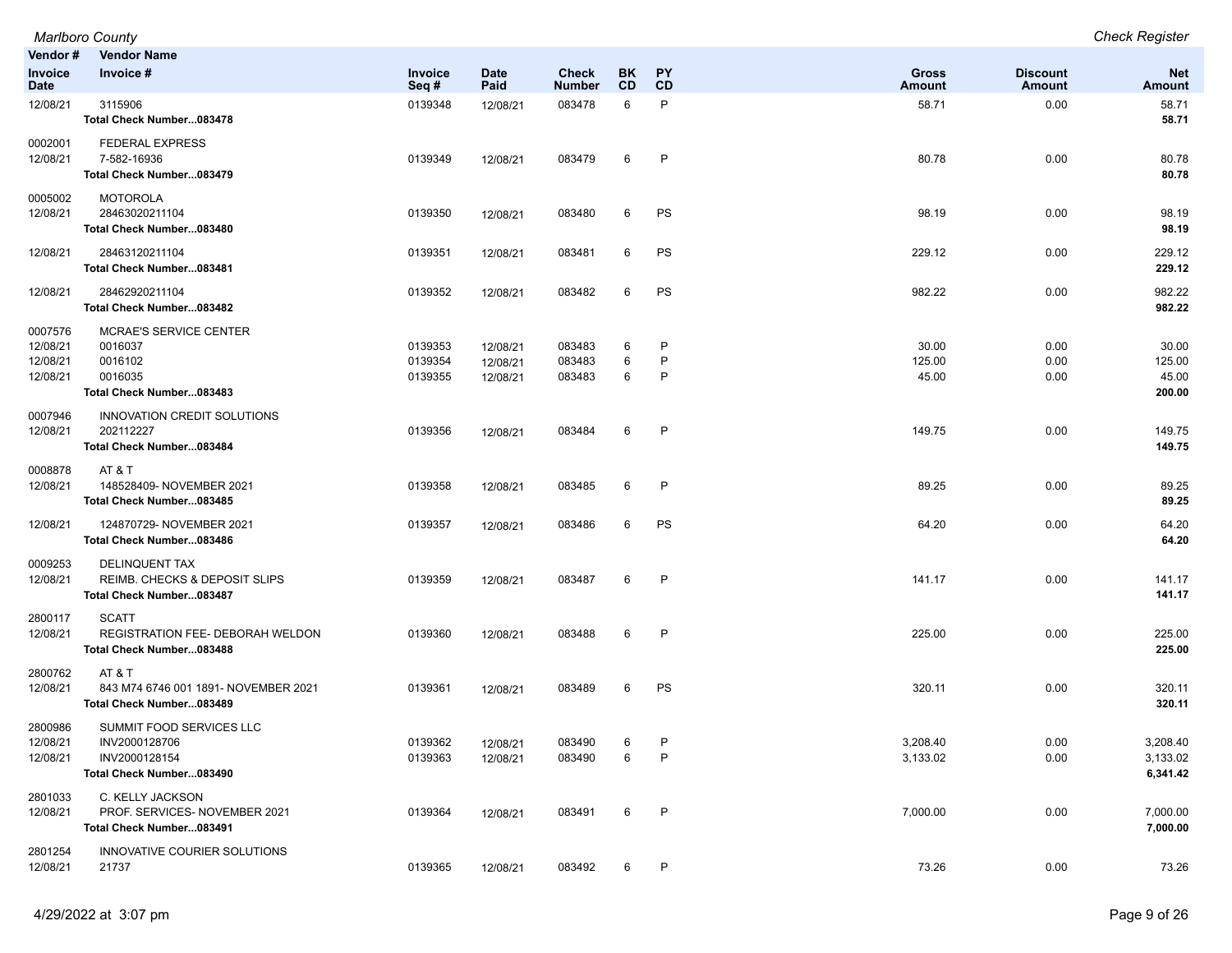|                                             | <b>Marlboro County</b>                                                                 |                               |                                  |                               |                        |                 |                               |                                  | <b>Check Register</b>              |
|---------------------------------------------|----------------------------------------------------------------------------------------|-------------------------------|----------------------------------|-------------------------------|------------------------|-----------------|-------------------------------|----------------------------------|------------------------------------|
| Vendor #                                    | <b>Vendor Name</b>                                                                     |                               |                                  |                               |                        |                 |                               |                                  |                                    |
| Invoice<br>Date                             | Invoice #                                                                              | Invoice<br>Seq#               | <b>Date</b><br>Paid              | <b>Check</b><br><b>Number</b> | <b>BK</b><br><b>CD</b> | <b>PY</b><br>CD | <b>Gross</b><br><b>Amount</b> | <b>Discount</b><br><b>Amount</b> | <b>Net</b><br>Amount               |
| 12/08/21                                    | 3115906<br>Total Check Number083478                                                    | 0139348                       | 12/08/21                         | 083478                        | 6                      | P               | 58.71                         | 0.00                             | 58.71<br>58.71                     |
| 0002001<br>12/08/21                         | <b>FEDERAL EXPRESS</b><br>7-582-16936<br>Total Check Number083479                      | 0139349                       | 12/08/21                         | 083479                        | 6                      | $\mathsf{P}$    | 80.78                         | 0.00                             | 80.78<br>80.78                     |
| 0005002<br>12/08/21                         | <b>MOTOROLA</b><br>28463020211104<br>Total Check Number083480                          | 0139350                       | 12/08/21                         | 083480                        | 6                      | PS              | 98.19                         | 0.00                             | 98.19<br>98.19                     |
| 12/08/21                                    | 28463120211104<br>Total Check Number083481                                             | 0139351                       | 12/08/21                         | 083481                        | 6                      | PS              | 229.12                        | 0.00                             | 229.12<br>229.12                   |
| 12/08/21                                    | 28462920211104<br>Total Check Number083482                                             | 0139352                       | 12/08/21                         | 083482                        | 6                      | PS              | 982.22                        | 0.00                             | 982.22<br>982.22                   |
| 0007576<br>12/08/21<br>12/08/21<br>12/08/21 | MCRAE'S SERVICE CENTER<br>0016037<br>0016102<br>0016035<br>Total Check Number083483    | 0139353<br>0139354<br>0139355 | 12/08/21<br>12/08/21<br>12/08/21 | 083483<br>083483<br>083483    | 6<br>6<br>6            | P<br>P<br>P     | 30.00<br>125.00<br>45.00      | 0.00<br>0.00<br>0.00             | 30.00<br>125.00<br>45.00<br>200.00 |
| 0007946<br>12/08/21                         | INNOVATION CREDIT SOLUTIONS<br>202112227<br>Total Check Number083484                   | 0139356                       | 12/08/21                         | 083484                        | 6                      | $\mathsf{P}$    | 149.75                        | 0.00                             | 149.75<br>149.75                   |
| 0008878<br>12/08/21                         | AT&T<br>148528409- NOVEMBER 2021<br>Total Check Number083485                           | 0139358                       | 12/08/21                         | 083485                        | 6                      | $\mathsf{P}$    | 89.25                         | 0.00                             | 89.25<br>89.25                     |
| 12/08/21                                    | 124870729- NOVEMBER 2021<br>Total Check Number083486                                   | 0139357                       | 12/08/21                         | 083486                        | 6                      | PS              | 64.20                         | 0.00                             | 64.20<br>64.20                     |
| 0009253<br>12/08/21                         | <b>DELINQUENT TAX</b><br>REIMB. CHECKS & DEPOSIT SLIPS<br>Total Check Number083487     | 0139359                       | 12/08/21                         | 083487                        | 6                      | $\mathsf{P}$    | 141.17                        | 0.00                             | 141.17<br>141.17                   |
| 2800117<br>12/08/21                         | <b>SCATT</b><br>REGISTRATION FEE- DEBORAH WELDON<br>Total Check Number083488           | 0139360                       | 12/08/21                         | 083488                        | 6                      | $\mathsf{P}$    | 225.00                        | 0.00                             | 225.00<br>225.00                   |
| 2800762<br>12/08/21                         | AT & T<br>843 M74 6746 001 1891- NOVEMBER 2021<br>Total Check Number083489             | 0139361                       | 12/08/21                         | 083489                        | 6                      | PS              | 320.11                        | 0.00                             | 320.11<br>320.11                   |
| 2800986<br>12/08/21<br>12/08/21             | SUMMIT FOOD SERVICES LLC<br>INV2000128706<br>INV2000128154<br>Total Check Number083490 | 0139362<br>0139363            | 12/08/21<br>12/08/21             | 083490<br>083490              | 6<br>6                 | P<br>P          | 3,208.40<br>3,133.02          | 0.00<br>0.00                     | 3,208.40<br>3,133.02<br>6,341.42   |
| 2801033<br>12/08/21                         | C. KELLY JACKSON<br>PROF. SERVICES- NOVEMBER 2021<br>Total Check Number083491          | 0139364                       | 12/08/21                         | 083491                        | 6                      | P               | 7,000.00                      | 0.00                             | 7,000.00<br>7,000.00               |
| 2801254<br>12/08/21                         | INNOVATIVE COURIER SOLUTIONS<br>21737                                                  | 0139365                       | 12/08/21                         | 083492                        | 6                      | P               | 73.26                         | 0.00                             | 73.26                              |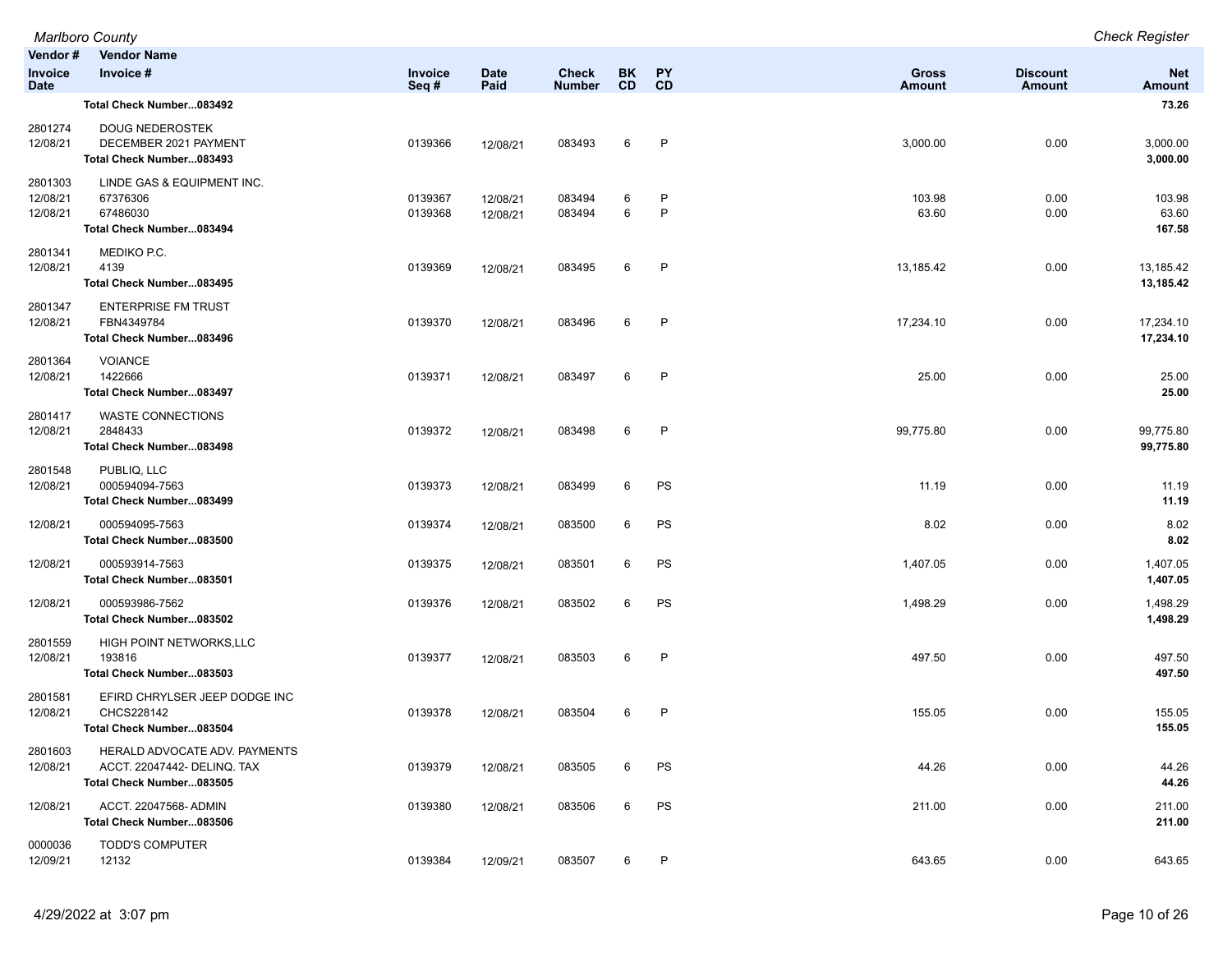|                                   | Marlboro County                                                                          |                    |                      |                               |                        |          |                               |                           | <b>Check Register</b>     |
|-----------------------------------|------------------------------------------------------------------------------------------|--------------------|----------------------|-------------------------------|------------------------|----------|-------------------------------|---------------------------|---------------------------|
| Vendor#<br>Invoice<br><b>Date</b> | <b>Vendor Name</b><br>Invoice #                                                          | Invoice<br>Seq#    | <b>Date</b><br>Paid  | <b>Check</b><br><b>Number</b> | <b>BK</b><br><b>CD</b> | PY<br>CD | <b>Gross</b><br><b>Amount</b> | <b>Discount</b><br>Amount | <b>Net</b><br>Amount      |
|                                   | Total Check Number083492                                                                 |                    |                      |                               |                        |          |                               |                           | 73.26                     |
| 2801274<br>12/08/21               | <b>DOUG NEDEROSTEK</b><br>DECEMBER 2021 PAYMENT<br>Total Check Number083493              | 0139366            | 12/08/21             | 083493                        | 6                      | P        | 3,000.00                      | 0.00                      | 3,000.00<br>3,000.00      |
| 2801303<br>12/08/21<br>12/08/21   | LINDE GAS & EQUIPMENT INC.<br>67376306<br>67486030<br>Total Check Number083494           | 0139367<br>0139368 | 12/08/21<br>12/08/21 | 083494<br>083494              | 6<br>6                 | P<br>P   | 103.98<br>63.60               | 0.00<br>0.00              | 103.98<br>63.60<br>167.58 |
| 2801341<br>12/08/21               | MEDIKO P.C.<br>4139<br>Total Check Number083495                                          | 0139369            | 12/08/21             | 083495                        | 6                      | P        | 13,185.42                     | 0.00                      | 13,185.42<br>13,185.42    |
| 2801347<br>12/08/21               | <b>ENTERPRISE FM TRUST</b><br>FBN4349784<br>Total Check Number083496                     | 0139370            | 12/08/21             | 083496                        | 6                      | P        | 17,234.10                     | 0.00                      | 17,234.10<br>17,234.10    |
| 2801364<br>12/08/21               | <b>VOIANCE</b><br>1422666<br>Total Check Number083497                                    | 0139371            | 12/08/21             | 083497                        | 6                      | P        | 25.00                         | 0.00                      | 25.00<br>25.00            |
| 2801417<br>12/08/21               | <b>WASTE CONNECTIONS</b><br>2848433<br>Total Check Number083498                          | 0139372            | 12/08/21             | 083498                        | 6                      | P        | 99,775.80                     | 0.00                      | 99,775.80<br>99,775.80    |
| 2801548<br>12/08/21               | PUBLIQ, LLC<br>000594094-7563<br>Total Check Number083499                                | 0139373            | 12/08/21             | 083499                        | 6                      | PS       | 11.19                         | 0.00                      | 11.19<br>11.19            |
| 12/08/21                          | 000594095-7563<br>Total Check Number083500                                               | 0139374            | 12/08/21             | 083500                        | 6                      | PS       | 8.02                          | 0.00                      | 8.02<br>8.02              |
| 12/08/21                          | 000593914-7563<br>Total Check Number083501                                               | 0139375            | 12/08/21             | 083501                        | 6                      | PS       | 1,407.05                      | 0.00                      | 1,407.05<br>1,407.05      |
| 12/08/21                          | 000593986-7562<br>Total Check Number083502                                               | 0139376            | 12/08/21             | 083502                        | 6                      | PS       | 1,498.29                      | 0.00                      | 1,498.29<br>1,498.29      |
| 2801559<br>12/08/21               | HIGH POINT NETWORKS, LLC<br>193816<br>Total Check Number083503                           | 0139377            | 12/08/21             | 083503                        | 6                      | P        | 497.50                        | 0.00                      | 497.50<br>497.50          |
| 2801581<br>12/08/21               | EFIRD CHRYLSER JEEP DODGE INC<br>CHCS228142<br>Total Check Number083504                  | 0139378            | 12/08/21             | 083504                        | 6                      | P        | 155.05                        | 0.00                      | 155.05<br>155.05          |
| 2801603<br>12/08/21               | HERALD ADVOCATE ADV. PAYMENTS<br>ACCT. 22047442- DELINQ. TAX<br>Total Check Number083505 | 0139379            | 12/08/21             | 083505                        | 6                      | PS       | 44.26                         | 0.00                      | 44.26<br>44.26            |
| 12/08/21                          | ACCT. 22047568- ADMIN<br>Total Check Number083506                                        | 0139380            | 12/08/21             | 083506                        | 6                      | PS       | 211.00                        | 0.00                      | 211.00<br>211.00          |
| 0000036<br>12/09/21               | <b>TODD'S COMPUTER</b><br>12132                                                          | 0139384            | 12/09/21             | 083507                        | 6                      | P        | 643.65                        | 0.00                      | 643.65                    |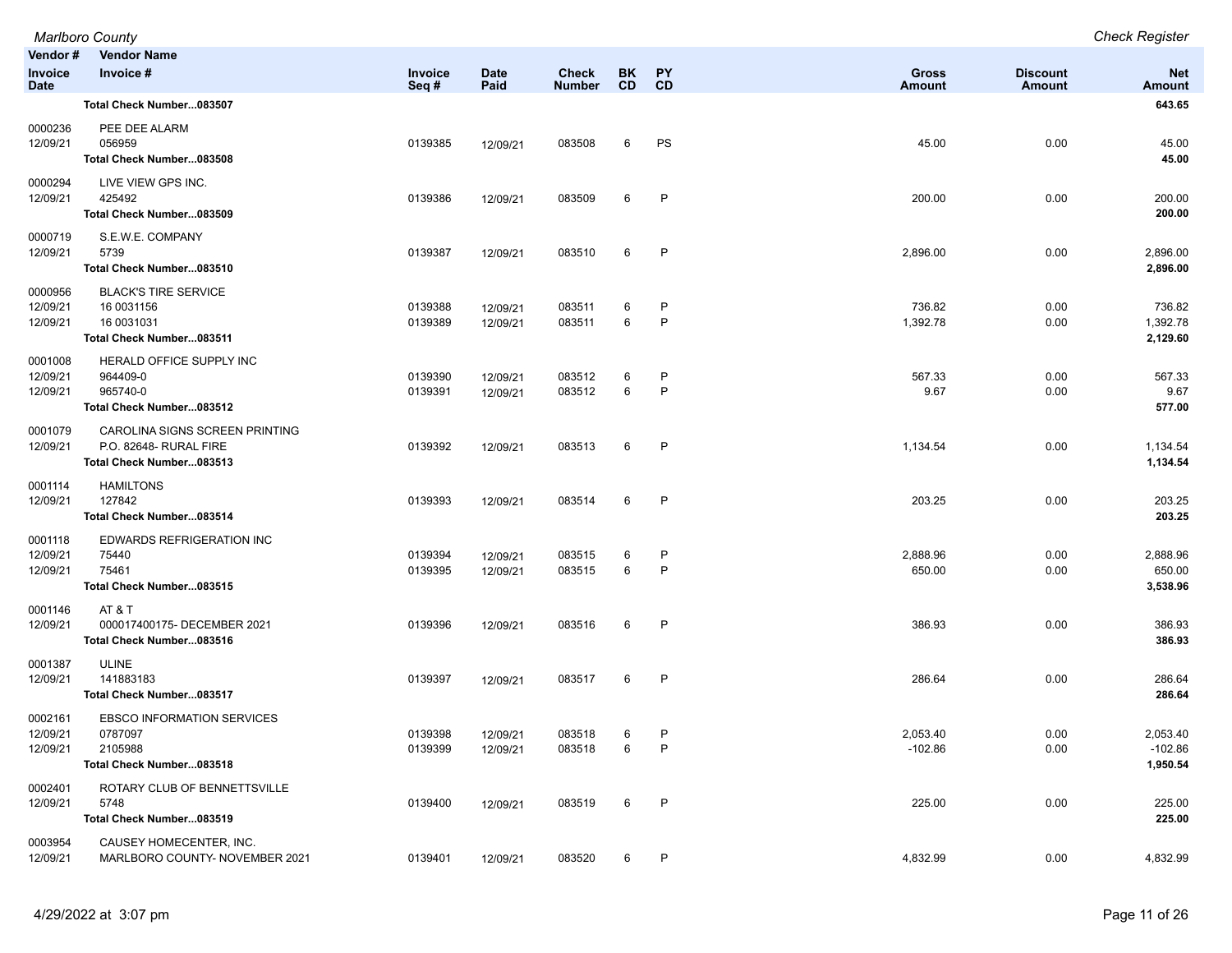|                                          | <b>Marlboro County</b>                                                               |                    |                      |                               |                 |                   |                        |                           | <b>Check Register</b>             |
|------------------------------------------|--------------------------------------------------------------------------------------|--------------------|----------------------|-------------------------------|-----------------|-------------------|------------------------|---------------------------|-----------------------------------|
| Vendor#<br><b>Invoice</b><br><b>Date</b> | <b>Vendor Name</b><br>Invoice #                                                      | Invoice<br>Seq#    | <b>Date</b><br>Paid  | <b>Check</b><br><b>Number</b> | BK<br><b>CD</b> | <b>PY</b><br>CD   | <b>Gross</b><br>Amount | <b>Discount</b><br>Amount | <b>Net</b><br><b>Amount</b>       |
|                                          | Total Check Number083507                                                             |                    |                      |                               |                 |                   |                        |                           | 643.65                            |
| 0000236<br>12/09/21                      | PEE DEE ALARM<br>056959<br>Total Check Number083508                                  | 0139385            | 12/09/21             | 083508                        | 6               | PS                | 45.00                  | 0.00                      | 45.00<br>45.00                    |
| 0000294<br>12/09/21                      | LIVE VIEW GPS INC.<br>425492<br>Total Check Number083509                             | 0139386            | 12/09/21             | 083509                        | 6               | $\mathsf{P}$      | 200.00                 | 0.00                      | 200.00<br>200.00                  |
| 0000719<br>12/09/21                      | S.E.W.E. COMPANY<br>5739<br>Total Check Number083510                                 | 0139387            | 12/09/21             | 083510                        | 6               | $\mathsf{P}$      | 2,896.00               | 0.00                      | 2,896.00<br>2,896.00              |
| 0000956<br>12/09/21<br>12/09/21          | <b>BLACK'S TIRE SERVICE</b><br>16 0031156<br>16 0031031<br>Total Check Number083511  | 0139388<br>0139389 | 12/09/21<br>12/09/21 | 083511<br>083511              | 6<br>6          | P<br>$\mathsf{P}$ | 736.82<br>1,392.78     | 0.00<br>0.00              | 736.82<br>1,392.78<br>2,129.60    |
| 0001008<br>12/09/21<br>12/09/21          | HERALD OFFICE SUPPLY INC<br>964409-0<br>965740-0<br>Total Check Number083512         | 0139390<br>0139391 | 12/09/21<br>12/09/21 | 083512<br>083512              | 6<br>6          | P<br>$\mathsf{P}$ | 567.33<br>9.67         | 0.00<br>0.00              | 567.33<br>9.67<br>577.00          |
| 0001079<br>12/09/21                      | CAROLINA SIGNS SCREEN PRINTING<br>P.O. 82648- RURAL FIRE<br>Total Check Number083513 | 0139392            | 12/09/21             | 083513                        | 6               | $\mathsf{P}$      | 1,134.54               | 0.00                      | 1,134.54<br>1,134.54              |
| 0001114<br>12/09/21                      | <b>HAMILTONS</b><br>127842<br>Total Check Number083514                               | 0139393            | 12/09/21             | 083514                        | 6               | P                 | 203.25                 | 0.00                      | 203.25<br>203.25                  |
| 0001118<br>12/09/21<br>12/09/21          | EDWARDS REFRIGERATION INC<br>75440<br>75461<br>Total Check Number083515              | 0139394<br>0139395 | 12/09/21<br>12/09/21 | 083515<br>083515              | 6<br>6          | P<br>$\mathsf{P}$ | 2,888.96<br>650.00     | 0.00<br>0.00              | 2,888.96<br>650.00<br>3,538.96    |
| 0001146<br>12/09/21                      | AT&T<br>000017400175-DECEMBER 2021<br>Total Check Number083516                       | 0139396            | 12/09/21             | 083516                        | 6               | $\mathsf{P}$      | 386.93                 | 0.00                      | 386.93<br>386.93                  |
| 0001387<br>12/09/21                      | <b>ULINE</b><br>141883183<br>Total Check Number083517                                | 0139397            | 12/09/21             | 083517                        | 6               | $\mathsf{P}$      | 286.64                 | 0.00                      | 286.64<br>286.64                  |
| 0002161<br>12/09/21<br>12/09/21          | <b>EBSCO INFORMATION SERVICES</b><br>0787097<br>2105988<br>Total Check Number083518  | 0139398<br>0139399 | 12/09/21<br>12/09/21 | 083518<br>083518              | 6<br>6          | P<br>P            | 2,053.40<br>$-102.86$  | 0.00<br>0.00              | 2,053.40<br>$-102.86$<br>1,950.54 |
| 0002401<br>12/09/21                      | ROTARY CLUB OF BENNETTSVILLE<br>5748<br>Total Check Number083519                     | 0139400            | 12/09/21             | 083519                        | 6               | $\mathsf{P}$      | 225.00                 | 0.00                      | 225.00<br>225.00                  |
| 0003954<br>12/09/21                      | CAUSEY HOMECENTER, INC.<br>MARLBORO COUNTY- NOVEMBER 2021                            | 0139401            | 12/09/21             | 083520                        | 6               | P                 | 4,832.99               | 0.00                      | 4,832.99                          |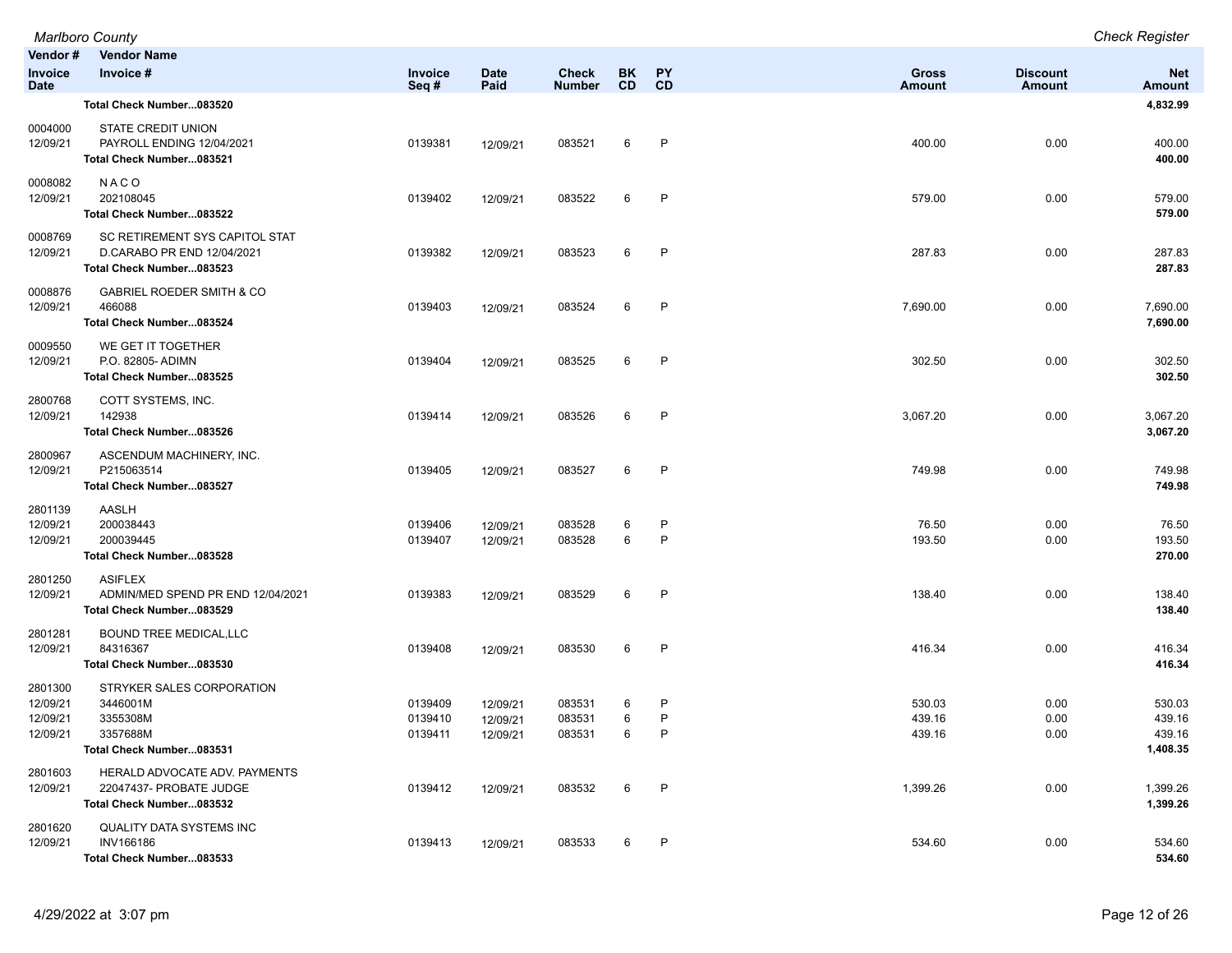| Vendor#                                     | <b>Vendor Name</b>                                                                        |                               |                                  |                               |             |                 |                               |                                  |                                        |
|---------------------------------------------|-------------------------------------------------------------------------------------------|-------------------------------|----------------------------------|-------------------------------|-------------|-----------------|-------------------------------|----------------------------------|----------------------------------------|
| Invoice<br><b>Date</b>                      | Invoice #                                                                                 | Invoice<br>Seq#               | <b>Date</b><br>Paid              | <b>Check</b><br><b>Number</b> | BK<br>CD    | <b>PY</b><br>CD | <b>Gross</b><br><b>Amount</b> | <b>Discount</b><br><b>Amount</b> | <b>Net</b><br><b>Amount</b>            |
|                                             | Total Check Number083520                                                                  |                               |                                  |                               |             |                 |                               |                                  | 4,832.99                               |
| 0004000<br>12/09/21                         | STATE CREDIT UNION<br>PAYROLL ENDING 12/04/2021<br>Total Check Number083521               | 0139381                       | 12/09/21                         | 083521                        | 6           | $\mathsf{P}$    | 400.00                        | 0.00                             | 400.00<br>400.00                       |
| 0008082<br>12/09/21                         | NACO<br>202108045<br>Total Check Number083522                                             | 0139402                       | 12/09/21                         | 083522                        | 6           | P               | 579.00                        | 0.00                             | 579.00<br>579.00                       |
| 0008769<br>12/09/21                         | SC RETIREMENT SYS CAPITOL STAT<br>D.CARABO PR END 12/04/2021<br>Total Check Number083523  | 0139382                       | 12/09/21                         | 083523                        | 6           | P               | 287.83                        | 0.00                             | 287.83<br>287.83                       |
| 0008876<br>12/09/21                         | <b>GABRIEL ROEDER SMITH &amp; CO</b><br>466088<br>Total Check Number083524                | 0139403                       | 12/09/21                         | 083524                        | 6           | P               | 7,690.00                      | 0.00                             | 7,690.00<br>7,690.00                   |
| 0009550<br>12/09/21                         | WE GET IT TOGETHER<br>P.O. 82805- ADIMN<br>Total Check Number083525                       | 0139404                       | 12/09/21                         | 083525                        | 6           | P               | 302.50                        | 0.00                             | 302.50<br>302.50                       |
| 2800768<br>12/09/21                         | COTT SYSTEMS, INC.<br>142938<br>Total Check Number083526                                  | 0139414                       | 12/09/21                         | 083526                        | 6           | P               | 3,067.20                      | 0.00                             | 3,067.20<br>3,067.20                   |
| 2800967<br>12/09/21                         | ASCENDUM MACHINERY, INC.<br>P215063514<br>Total Check Number083527                        | 0139405                       | 12/09/21                         | 083527                        | 6           | P               | 749.98                        | 0.00                             | 749.98<br>749.98                       |
| 2801139<br>12/09/21<br>12/09/21             | AASLH<br>200038443<br>200039445<br>Total Check Number083528                               | 0139406<br>0139407            | 12/09/21<br>12/09/21             | 083528<br>083528              | 6<br>6      | P<br>P          | 76.50<br>193.50               | 0.00<br>0.00                     | 76.50<br>193.50<br>270.00              |
| 2801250<br>12/09/21                         | <b>ASIFLEX</b><br>ADMIN/MED SPEND PR END 12/04/2021<br>Total Check Number083529           | 0139383                       | 12/09/21                         | 083529                        | 6           | P               | 138.40                        | 0.00                             | 138.40<br>138.40                       |
| 2801281<br>12/09/21                         | <b>BOUND TREE MEDICAL,LLC</b><br>84316367<br>Total Check Number083530                     | 0139408                       | 12/09/21                         | 083530                        | 6           | P               | 416.34                        | 0.00                             | 416.34<br>416.34                       |
| 2801300<br>12/09/21<br>12/09/21<br>12/09/21 | STRYKER SALES CORPORATION<br>3446001M<br>3355308M<br>3357688M<br>Total Check Number083531 | 0139409<br>0139410<br>0139411 | 12/09/21<br>12/09/21<br>12/09/21 | 083531<br>083531<br>083531    | 6<br>6<br>6 | P<br>P<br>P     | 530.03<br>439.16<br>439.16    | 0.00<br>0.00<br>0.00             | 530.03<br>439.16<br>439.16<br>1,408.35 |
| 2801603<br>12/09/21                         | HERALD ADVOCATE ADV. PAYMENTS<br>22047437- PROBATE JUDGE<br>Total Check Number083532      | 0139412                       | 12/09/21                         | 083532                        | 6           | P               | 1,399.26                      | 0.00                             | 1,399.26<br>1,399.26                   |
| 2801620<br>12/09/21                         | QUALITY DATA SYSTEMS INC<br><b>INV166186</b><br>Total Check Number083533                  | 0139413                       | 12/09/21                         | 083533                        | 6           | P               | 534.60                        | 0.00                             | 534.60<br>534.60                       |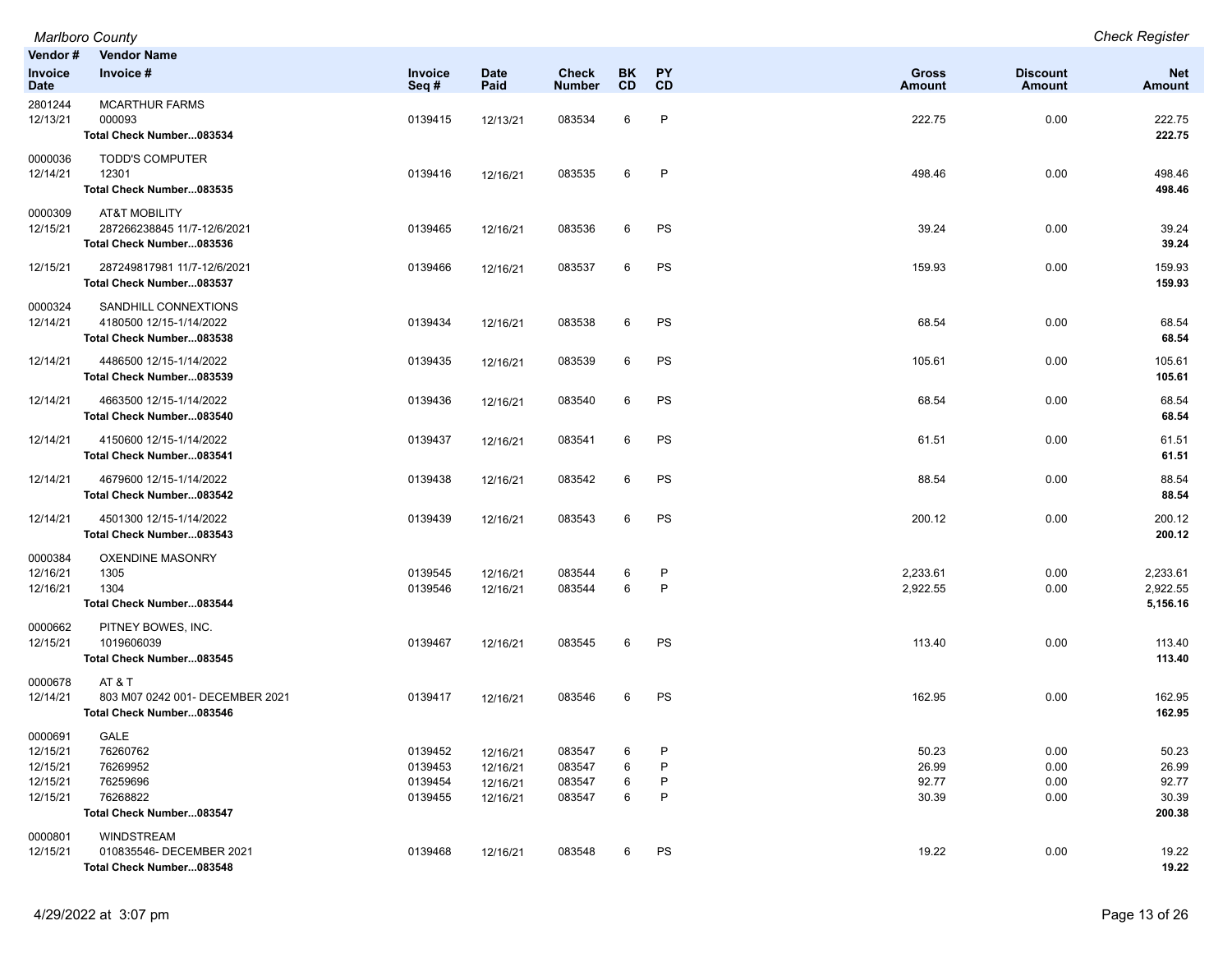| Vendor#                                                 | <b>Vendor Name</b>                                                                  |                                          |                                              |                                      |                  |                   |                                  |                              |                                            |
|---------------------------------------------------------|-------------------------------------------------------------------------------------|------------------------------------------|----------------------------------------------|--------------------------------------|------------------|-------------------|----------------------------------|------------------------------|--------------------------------------------|
| <b>Invoice</b><br><b>Date</b>                           | Invoice #                                                                           | Invoice<br>Seq#                          | <b>Date</b><br>Paid                          | Check<br><b>Number</b>               | BK<br><b>CD</b>  | <b>PY</b><br>CD   | <b>Gross</b><br><b>Amount</b>    | <b>Discount</b><br>Amount    | <b>Net</b><br>Amount                       |
| 2801244<br>12/13/21                                     | <b>MCARTHUR FARMS</b><br>000093<br>Total Check Number083534                         | 0139415                                  | 12/13/21                                     | 083534                               | 6                | P                 | 222.75                           | 0.00                         | 222.75<br>222.75                           |
| 0000036<br>12/14/21                                     | <b>TODD'S COMPUTER</b><br>12301<br>Total Check Number083535                         | 0139416                                  | 12/16/21                                     | 083535                               | 6                | P                 | 498.46                           | 0.00                         | 498.46<br>498.46                           |
| 0000309<br>12/15/21                                     | <b>AT&amp;T MOBILITY</b><br>287266238845 11/7-12/6/2021<br>Total Check Number083536 | 0139465                                  | 12/16/21                                     | 083536                               | 6                | PS                | 39.24                            | 0.00                         | 39.24<br>39.24                             |
| 12/15/21                                                | 287249817981 11/7-12/6/2021<br>Total Check Number083537                             | 0139466                                  | 12/16/21                                     | 083537                               | 6                | PS                | 159.93                           | 0.00                         | 159.93<br>159.93                           |
| 0000324<br>12/14/21                                     | SANDHILL CONNEXTIONS<br>4180500 12/15-1/14/2022<br>Total Check Number083538         | 0139434                                  | 12/16/21                                     | 083538                               | 6                | PS                | 68.54                            | 0.00                         | 68.54<br>68.54                             |
| 12/14/21                                                | 4486500 12/15-1/14/2022<br>Total Check Number083539                                 | 0139435                                  | 12/16/21                                     | 083539                               | 6                | PS                | 105.61                           | 0.00                         | 105.61<br>105.61                           |
| 12/14/21                                                | 4663500 12/15-1/14/2022<br>Total Check Number083540                                 | 0139436                                  | 12/16/21                                     | 083540                               | 6                | PS                | 68.54                            | 0.00                         | 68.54<br>68.54                             |
| 12/14/21                                                | 4150600 12/15-1/14/2022<br>Total Check Number083541                                 | 0139437                                  | 12/16/21                                     | 083541                               | 6                | PS                | 61.51                            | 0.00                         | 61.51<br>61.51                             |
| 12/14/21                                                | 4679600 12/15-1/14/2022<br>Total Check Number083542                                 | 0139438                                  | 12/16/21                                     | 083542                               | 6                | PS                | 88.54                            | 0.00                         | 88.54<br>88.54                             |
| 12/14/21                                                | 4501300 12/15-1/14/2022<br>Total Check Number083543                                 | 0139439                                  | 12/16/21                                     | 083543                               | 6                | PS                | 200.12                           | 0.00                         | 200.12<br>200.12                           |
| 0000384<br>12/16/21<br>12/16/21                         | <b>OXENDINE MASONRY</b><br>1305<br>1304<br>Total Check Number083544                 | 0139545<br>0139546                       | 12/16/21<br>12/16/21                         | 083544<br>083544                     | 6<br>6           | P<br>P            | 2,233.61<br>2,922.55             | 0.00<br>0.00                 | 2,233.61<br>2,922.55<br>5,156.16           |
| 0000662<br>12/15/21                                     | PITNEY BOWES, INC.<br>1019606039<br>Total Check Number083545                        | 0139467                                  | 12/16/21                                     | 083545                               | 6                | PS                | 113.40                           | 0.00                         | 113.40<br>113.40                           |
| 0000678<br>12/14/21                                     | AT&T<br>803 M07 0242 001- DECEMBER 2021<br>Total Check Number083546                 | 0139417                                  | 12/16/21                                     | 083546                               | 6                | PS                | 162.95                           | 0.00                         | 162.95<br>162.95                           |
| 0000691<br>12/15/21<br>12/15/21<br>12/15/21<br>12/15/21 | GALE<br>76260762<br>76269952<br>76259696<br>76268822<br>Total Check Number083547    | 0139452<br>0139453<br>0139454<br>0139455 | 12/16/21<br>12/16/21<br>12/16/21<br>12/16/21 | 083547<br>083547<br>083547<br>083547 | 6<br>6<br>6<br>6 | P<br>P<br>$\sf P$ | 50.23<br>26.99<br>92.77<br>30.39 | 0.00<br>0.00<br>0.00<br>0.00 | 50.23<br>26.99<br>92.77<br>30.39<br>200.38 |
| 0000801<br>12/15/21                                     | <b>WINDSTREAM</b><br>010835546- DECEMBER 2021<br>Total Check Number083548           | 0139468                                  | 12/16/21                                     | 083548                               | 6                | PS                | 19.22                            | 0.00                         | 19.22<br>19.22                             |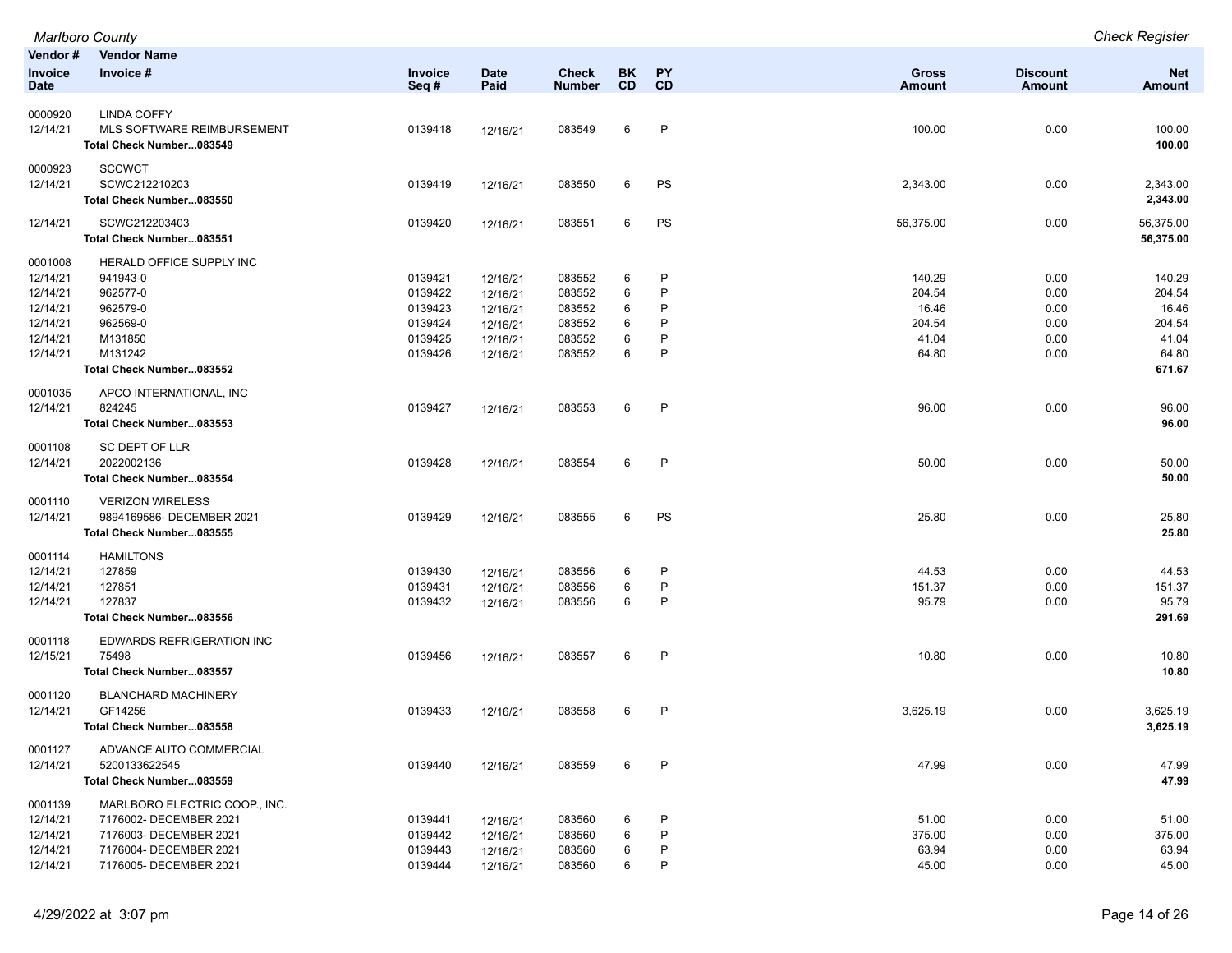|                 | Marlboro County               |                 |                     |                        |                  |                 |                        |                                  | <b>Check Register</b>       |
|-----------------|-------------------------------|-----------------|---------------------|------------------------|------------------|-----------------|------------------------|----------------------------------|-----------------------------|
| Vendor #        | <b>Vendor Name</b>            |                 |                     |                        |                  |                 |                        |                                  |                             |
| Invoice<br>Date | Invoice #                     | Invoice<br>Seq# | <b>Date</b><br>Paid | Check<br><b>Number</b> | BK.<br><b>CD</b> | <b>PY</b><br>CD | Gross<br><b>Amount</b> | <b>Discount</b><br><b>Amount</b> | <b>Net</b><br><b>Amount</b> |
| 0000920         | <b>LINDA COFFY</b>            |                 |                     |                        |                  |                 |                        |                                  |                             |
| 12/14/21        | MLS SOFTWARE REIMBURSEMENT    | 0139418         | 12/16/21            | 083549                 | 6                | P               | 100.00                 | 0.00                             | 100.00                      |
|                 | Total Check Number083549      |                 |                     |                        |                  |                 |                        |                                  | 100.00                      |
| 0000923         | <b>SCCWCT</b>                 |                 |                     |                        |                  |                 |                        |                                  |                             |
| 12/14/21        | SCWC212210203                 | 0139419         | 12/16/21            | 083550                 | 6                | PS              | 2,343.00               | 0.00                             | 2,343.00                    |
|                 | Total Check Number083550      |                 |                     |                        |                  |                 |                        |                                  | 2,343.00                    |
| 12/14/21        | SCWC212203403                 | 0139420         | 12/16/21            | 083551                 | 6                | PS              | 56,375.00              | 0.00                             | 56,375.00                   |
|                 | Total Check Number083551      |                 |                     |                        |                  |                 |                        |                                  | 56,375.00                   |
| 0001008         | HERALD OFFICE SUPPLY INC      |                 |                     |                        |                  |                 |                        |                                  |                             |
| 12/14/21        | 941943-0                      | 0139421         | 12/16/21            | 083552                 | 6                | P               | 140.29                 | 0.00                             | 140.29                      |
| 12/14/21        | 962577-0                      | 0139422         | 12/16/21            | 083552                 | 6                | P               | 204.54                 | 0.00                             | 204.54                      |
| 12/14/21        | 962579-0                      | 0139423         | 12/16/21            | 083552                 | 6                | P               | 16.46                  | 0.00                             | 16.46                       |
| 12/14/21        | 962569-0                      | 0139424         | 12/16/21            | 083552                 | 6                | Р               | 204.54                 | 0.00                             | 204.54                      |
| 12/14/21        | M131850                       | 0139425         | 12/16/21            | 083552                 | 6                | P               | 41.04                  | 0.00                             | 41.04                       |
| 12/14/21        | M131242                       | 0139426         | 12/16/21            | 083552                 | 6                | P               | 64.80                  | 0.00                             | 64.80                       |
|                 | Total Check Number083552      |                 |                     |                        |                  |                 |                        |                                  | 671.67                      |
| 0001035         | APCO INTERNATIONAL, INC       |                 |                     |                        |                  |                 |                        |                                  |                             |
| 12/14/21        | 824245                        | 0139427         | 12/16/21            | 083553                 | 6                | $\mathsf{P}$    | 96.00                  | 0.00                             | 96.00                       |
|                 | Total Check Number083553      |                 |                     |                        |                  |                 |                        |                                  | 96.00                       |
| 0001108         | <b>SC DEPT OF LLR</b>         |                 |                     |                        |                  |                 |                        |                                  |                             |
| 12/14/21        | 2022002136                    | 0139428         | 12/16/21            | 083554                 | 6                | P               | 50.00                  | 0.00                             | 50.00                       |
|                 | Total Check Number083554      |                 |                     |                        |                  |                 |                        |                                  | 50.00                       |
| 0001110         | <b>VERIZON WIRELESS</b>       |                 |                     |                        |                  |                 |                        |                                  |                             |
| 12/14/21        | 9894169586- DECEMBER 2021     | 0139429         | 12/16/21            | 083555                 | 6                | PS              | 25.80                  | 0.00                             | 25.80                       |
|                 | Total Check Number083555      |                 |                     |                        |                  |                 |                        |                                  | 25.80                       |
| 0001114         | <b>HAMILTONS</b>              |                 |                     |                        |                  |                 |                        |                                  |                             |
| 12/14/21        | 127859                        | 0139430         | 12/16/21            | 083556                 | 6                | P               | 44.53                  | 0.00                             | 44.53                       |
| 12/14/21        | 127851                        | 0139431         | 12/16/21            | 083556                 | 6                | P               | 151.37                 | 0.00                             | 151.37                      |
| 12/14/21        | 127837                        | 0139432         | 12/16/21            | 083556                 | 6                | P               | 95.79                  | 0.00                             | 95.79                       |
|                 | Total Check Number083556      |                 |                     |                        |                  |                 |                        |                                  | 291.69                      |
| 0001118         | EDWARDS REFRIGERATION INC     |                 |                     |                        |                  |                 |                        |                                  |                             |
| 12/15/21        | 75498                         | 0139456         | 12/16/21            | 083557                 | 6                | P               | 10.80                  | 0.00                             | 10.80                       |
|                 | Total Check Number083557      |                 |                     |                        |                  |                 |                        |                                  | 10.80                       |
| 0001120         | <b>BLANCHARD MACHINERY</b>    |                 |                     |                        |                  |                 |                        |                                  |                             |
| 12/14/21        | GF14256                       | 0139433         | 12/16/21            | 083558                 | 6                | P               | 3,625.19               | 0.00                             | 3,625.19                    |
|                 | Total Check Number083558      |                 |                     |                        |                  |                 |                        |                                  | 3,625.19                    |
| 0001127         | ADVANCE AUTO COMMERCIAL       |                 |                     |                        |                  |                 |                        |                                  |                             |
| 12/14/21        | 5200133622545                 | 0139440         | 12/16/21            | 083559                 | 6                | P               | 47.99                  | 0.00                             | 47.99                       |
|                 | Total Check Number083559      |                 |                     |                        |                  |                 |                        |                                  | 47.99                       |
| 0001139         | MARLBORO ELECTRIC COOP., INC. |                 |                     |                        |                  |                 |                        |                                  |                             |
| 12/14/21        | 7176002- DECEMBER 2021        | 0139441         | 12/16/21            | 083560                 | 6                | P               | 51.00                  | 0.00                             | 51.00                       |
| 12/14/21        | 7176003- DECEMBER 2021        | 0139442         | 12/16/21            | 083560                 | 6                | P               | 375.00                 | 0.00                             | 375.00                      |
| 12/14/21        | 7176004- DECEMBER 2021        | 0139443         | 12/16/21            | 083560                 | 6                | P               | 63.94                  | 0.00                             | 63.94                       |
| 12/14/21        | 7176005- DECEMBER 2021        | 0139444         | 12/16/21            | 083560                 | 6                | P               | 45.00                  | 0.00                             | 45.00                       |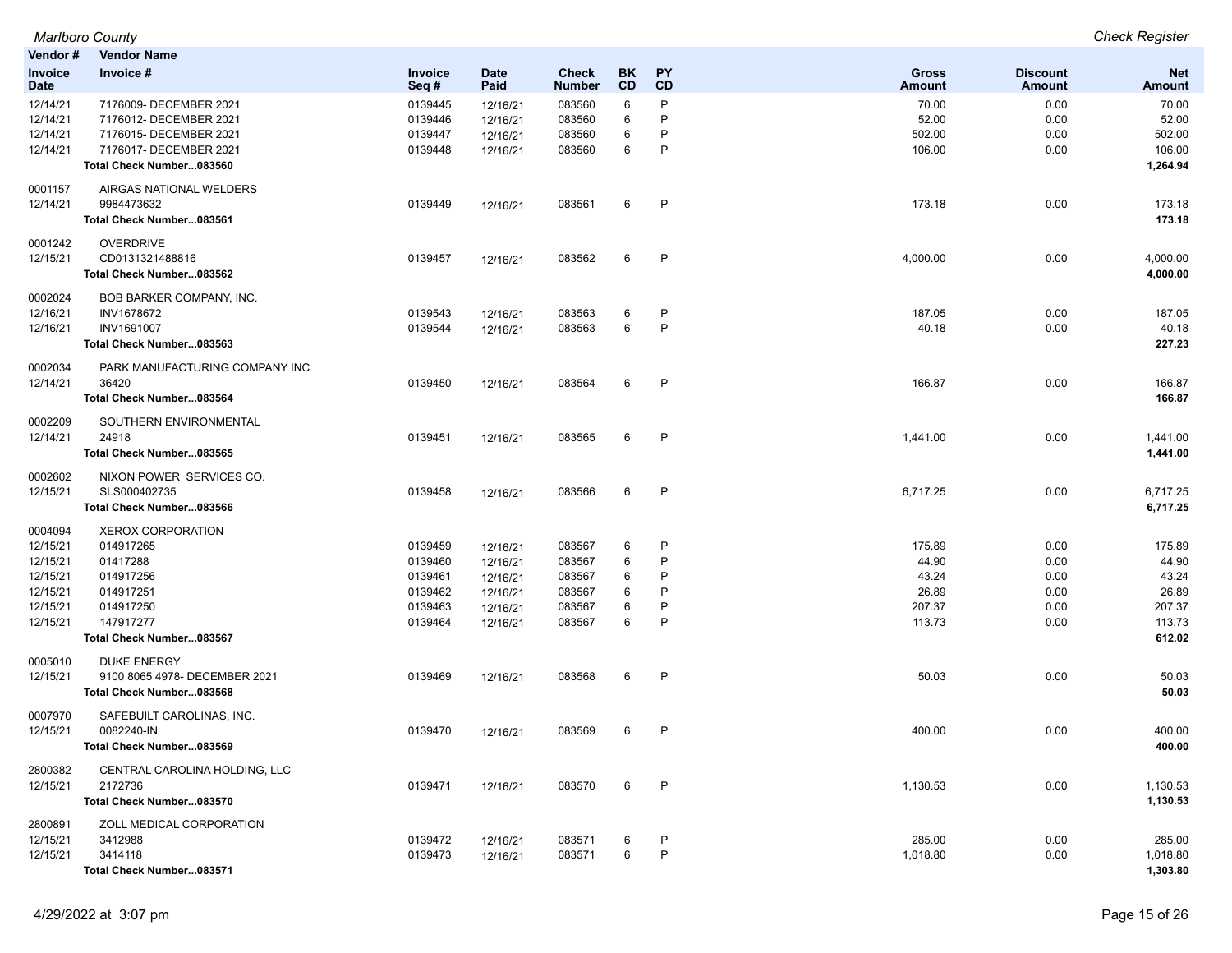| Vendor#                       | <b>Vendor Name</b>                    |                    |                     |                               |          |                   |                    |                                  |                      |
|-------------------------------|---------------------------------------|--------------------|---------------------|-------------------------------|----------|-------------------|--------------------|----------------------------------|----------------------|
| <b>Invoice</b><br><b>Date</b> | Invoice #                             | Invoice<br>Seq#    | <b>Date</b><br>Paid | <b>Check</b><br><b>Number</b> | BK<br>CD | <b>PY</b><br>CD   | Gross<br>Amount    | <b>Discount</b><br><b>Amount</b> | <b>Net</b><br>Amount |
| 12/14/21                      | 7176009- DECEMBER 2021                | 0139445            | 12/16/21            | 083560                        | 6        | P                 | 70.00              | 0.00                             | 70.00                |
| 12/14/21                      | 7176012- DECEMBER 2021                | 0139446            | 12/16/21            | 083560                        | 6        | P                 | 52.00              | 0.00                             | 52.00                |
| 12/14/21                      | 7176015- DECEMBER 2021                | 0139447            | 12/16/21            | 083560                        | 6        | P                 | 502.00             | 0.00                             | 502.00               |
| 12/14/21                      | 7176017- DECEMBER 2021                | 0139448            | 12/16/21            | 083560                        | 6        | P                 | 106.00             | 0.00                             | 106.00               |
|                               | Total Check Number083560              |                    |                     |                               |          |                   |                    |                                  | 1,264.94             |
| 0001157                       | AIRGAS NATIONAL WELDERS               |                    |                     |                               |          |                   |                    |                                  |                      |
| 12/14/21                      | 9984473632                            | 0139449            | 12/16/21            | 083561                        | 6        | P                 | 173.18             | 0.00                             | 173.18               |
|                               | Total Check Number083561              |                    |                     |                               |          |                   |                    |                                  | 173.18               |
| 0001242                       | <b>OVERDRIVE</b>                      |                    |                     |                               |          |                   |                    |                                  |                      |
| 12/15/21                      | CD0131321488816                       | 0139457            | 12/16/21            | 083562                        | 6        | P                 | 4,000.00           | 0.00                             | 4,000.00             |
|                               | Total Check Number083562              |                    |                     |                               |          |                   |                    |                                  | 4,000.00             |
| 0002024                       | BOB BARKER COMPANY, INC.              |                    |                     |                               |          |                   |                    |                                  |                      |
| 12/16/21                      | INV1678672                            | 0139543            | 12/16/21            | 083563                        | 6        | P                 | 187.05             | 0.00                             | 187.05               |
| 12/16/21                      | <b>INV1691007</b>                     | 0139544            | 12/16/21            | 083563                        | 6        | P                 | 40.18              | 0.00                             | 40.18                |
|                               | Total Check Number083563              |                    |                     |                               |          |                   |                    |                                  | 227.23               |
| 0002034                       | PARK MANUFACTURING COMPANY INC        |                    |                     |                               |          |                   |                    |                                  |                      |
| 12/14/21                      | 36420                                 | 0139450            | 12/16/21            | 083564                        | 6        | P                 | 166.87             | 0.00                             | 166.87               |
|                               | Total Check Number083564              |                    |                     |                               |          |                   |                    |                                  | 166.87               |
| 0002209                       | SOUTHERN ENVIRONMENTAL                |                    |                     |                               |          |                   |                    |                                  |                      |
| 12/14/21                      | 24918                                 | 0139451            | 12/16/21            | 083565                        | 6        | P                 | 1,441.00           | 0.00                             | 1,441.00             |
|                               | Total Check Number083565              |                    |                     |                               |          |                   |                    |                                  | 1,441.00             |
| 0002602                       | NIXON POWER SERVICES CO.              |                    |                     |                               |          |                   |                    |                                  |                      |
| 12/15/21                      | SLS000402735                          | 0139458            | 12/16/21            | 083566                        | 6        | P                 | 6,717.25           | 0.00                             | 6,717.25             |
|                               | Total Check Number083566              |                    |                     |                               |          |                   |                    |                                  | 6,717.25             |
| 0004094                       | <b>XEROX CORPORATION</b>              |                    |                     |                               |          |                   |                    |                                  |                      |
| 12/15/21                      | 014917265                             | 0139459            | 12/16/21            | 083567                        | 6        | P                 | 175.89             | 0.00                             | 175.89               |
| 12/15/21                      | 01417288                              | 0139460            | 12/16/21            | 083567                        | 6        | P                 | 44.90              | 0.00                             | 44.90                |
| 12/15/21                      | 014917256                             | 0139461            | 12/16/21            | 083567                        | 6        | P                 | 43.24              | 0.00                             | 43.24                |
| 12/15/21                      | 014917251                             | 0139462            | 12/16/21            | 083567                        | 6        | P                 | 26.89              | 0.00                             | 26.89                |
| 12/15/21                      | 014917250                             | 0139463            | 12/16/21            | 083567                        | 6<br>6   | P<br>P            | 207.37             | 0.00                             | 207.37               |
| 12/15/21                      | 147917277<br>Total Check Number083567 | 0139464            | 12/16/21            | 083567                        |          |                   | 113.73             | 0.00                             | 113.73<br>612.02     |
|                               |                                       |                    |                     |                               |          |                   |                    |                                  |                      |
| 0005010                       | <b>DUKE ENERGY</b>                    |                    |                     |                               |          |                   |                    |                                  |                      |
| 12/15/21                      | 9100 8065 4978- DECEMBER 2021         | 0139469            | 12/16/21            | 083568                        | 6        | P                 | 50.03              | 0.00                             | 50.03                |
|                               | Total Check Number083568              |                    |                     |                               |          |                   |                    |                                  | 50.03                |
| 0007970                       | SAFEBUILT CAROLINAS, INC.             |                    |                     |                               |          |                   |                    |                                  |                      |
| 12/15/21                      | 0082240-IN                            | 0139470            | 12/16/21            | 083569                        | 6        | $\mathsf{P}$      | 400.00             | 0.00                             | 400.00               |
|                               | Total Check Number083569              |                    |                     |                               |          |                   |                    |                                  | 400.00               |
| 2800382                       | CENTRAL CAROLINA HOLDING, LLC         |                    |                     |                               |          |                   |                    |                                  |                      |
| 12/15/21                      | 2172736                               | 0139471            | 12/16/21            | 083570                        | 6        | $\mathsf{P}$      | 1,130.53           | 0.00                             | 1,130.53             |
|                               | Total Check Number083570              |                    |                     |                               |          |                   |                    |                                  | 1,130.53             |
| 2800891                       | ZOLL MEDICAL CORPORATION              |                    |                     |                               |          |                   |                    |                                  |                      |
| 12/15/21<br>12/15/21          | 3412988<br>3414118                    | 0139472<br>0139473 | 12/16/21            | 083571<br>083571              | 6<br>6   | P<br>$\mathsf{P}$ | 285.00<br>1,018.80 | 0.00<br>0.00                     | 285.00<br>1,018.80   |
|                               | Total Check Number083571              |                    | 12/16/21            |                               |          |                   |                    |                                  | 1,303.80             |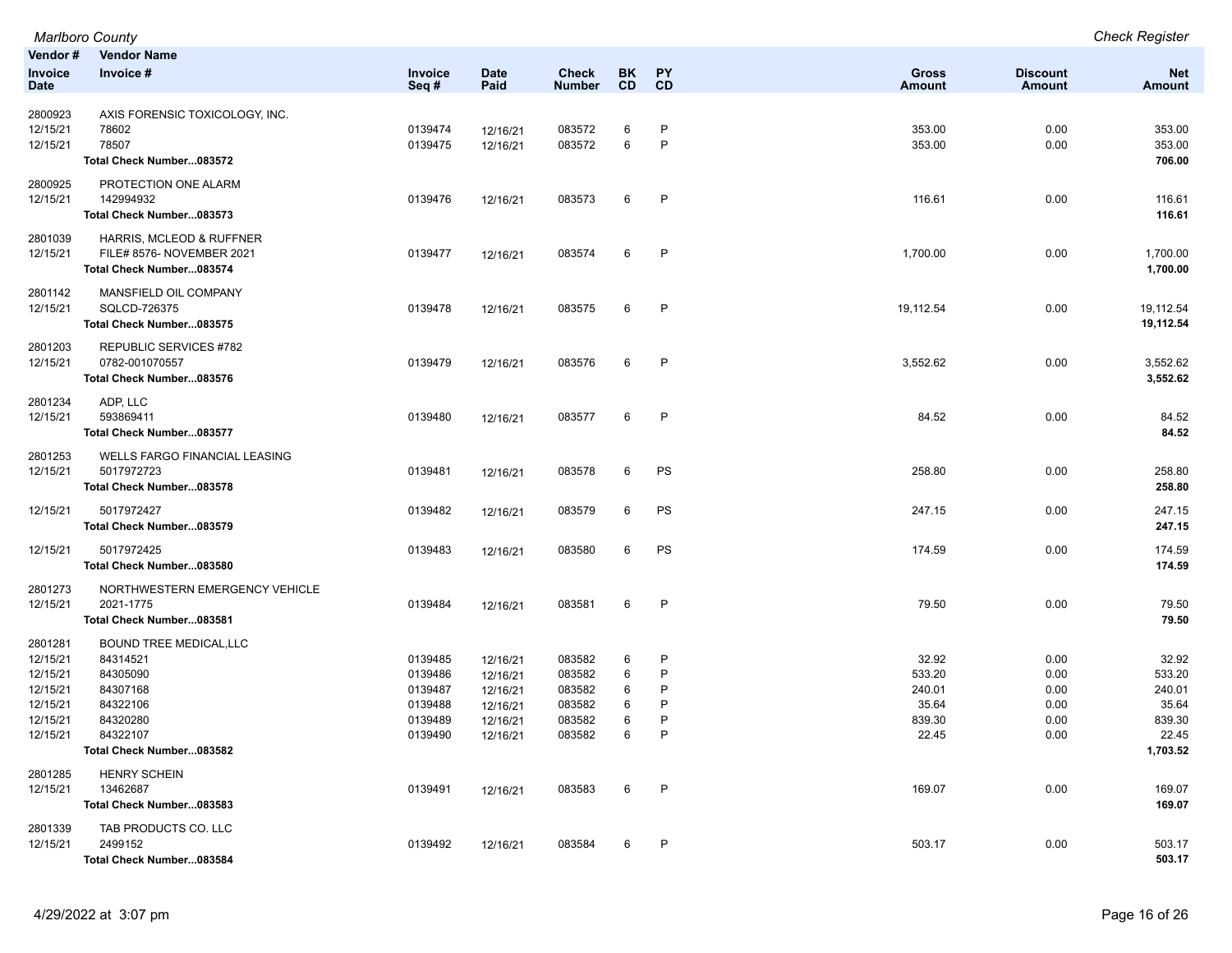*Marlboro County Check Register* **Vendor # Vendor Name Invoice Date Invoice # Invoice Seq # Date Paid Check Number BK CD PY CD Gross Amount Discount Amount Net Amount** 2800923 AXIS FORENSIC TOXICOLOGY, INC. 12/15/21 78602 0139474 12/16/21 083572 6 P 353.00 0.00 353.00 12/15/21 78507 0139475 12/16/21 083572 6 P 353.00 0.00 353.00 **Total Check Number...083572 706.00** 2800925 PROTECTION ONE ALARM 12/15/21 142994932 0139476 12/16/21 083573 6 P 116.61 0.00 116.61 **Total Check Number...083573 116.61** 2801039 HARRIS, MCLEOD & RUFFNER 12/15/21 FILE# 8576- NOVEMBER 2021 0139477 12/16/21 083574 6 P 1,700.00 0.00 1,700.00 **Total Check Number...083574 1,700.00** 2801142 MANSFIELD OIL COMPANY 12/15/21 SQLCD-726375 0139478 12/16/21 083575 6 P 19,112.54 0.00 19,112.54 **Total Check Number...083575 19,112.54** 2801203 REPUBLIC SERVICES #782 12/15/21 0782-001070557 0139479 12/16/21 083576 6 P 3,552.62 0.00 3,552.62 **Total Check Number...083576 3,552.62** 2801234 ADP, LLC 12/15/21 593869411 0139480 12/16/21 083577 6 P 84.52 0.00 84.52 **Total Check Number...083577 84.52** 2801253 WELLS FARGO FINANCIAL LEASING 12/15/21 5017972723 0139481 12/16/21 083578 6 PS 258.80 0.00 258.80 **Total Check Number...083578 258.80** 12/15/21 5017972427 0139482 12/16/21 083579 6 PS 247.15 0.00 247.15 **Total Check Number...083579 247.15** 12/15/21 5017972425 0139483 12/16/21 083580 6 PS 174.59 0.00 174.59 **Total Check Number...083580 174.59** 2801273 NORTHWESTERN EMERGENCY VEHICLE 12/15/21 2021-1775 0139484 12/16/21 083581 6 P 79.50 79.50 **Total Check Number...083581 79.50** 2801281 BOUND TREE MEDICAL,LLC 12/15/21 84314521 0139485 12/16/21 083582 6 P 32.92 0.00 32.92 12/15/21 84305090 0139486 12/16/21 083582 6 P 533.20 533.20 12/15/21 84307168 0139487 12/16/21 083582 6 P 240.01 240.01 12/15/21 84322106 0139488 12/16/21 083582 6 P 35.64 0.00 35.64 12/15/21 84320280 0139489 12/16/21 083582 6 P 839.30 0.00 839.30 12/15/21 84322107 0139490 12/16/21 083582 6 P 22.45 0.00 22.45 **Total Check Number...083582 1,703.52** 2801285 HENRY SCHEIN 12/15/21 13462687 0139491 12/16/21 083583 6 P 169.07 169.07 169.07 0.00 169.07 169.07 **Total Check Number...083583** 169.07 2801339 TAB PRODUCTS CO. LLC 12/15/21 2499152 0139492 12/16/21 083584 6 P 503.17 0.00 503.17 **Total Check Number...083584 503.17**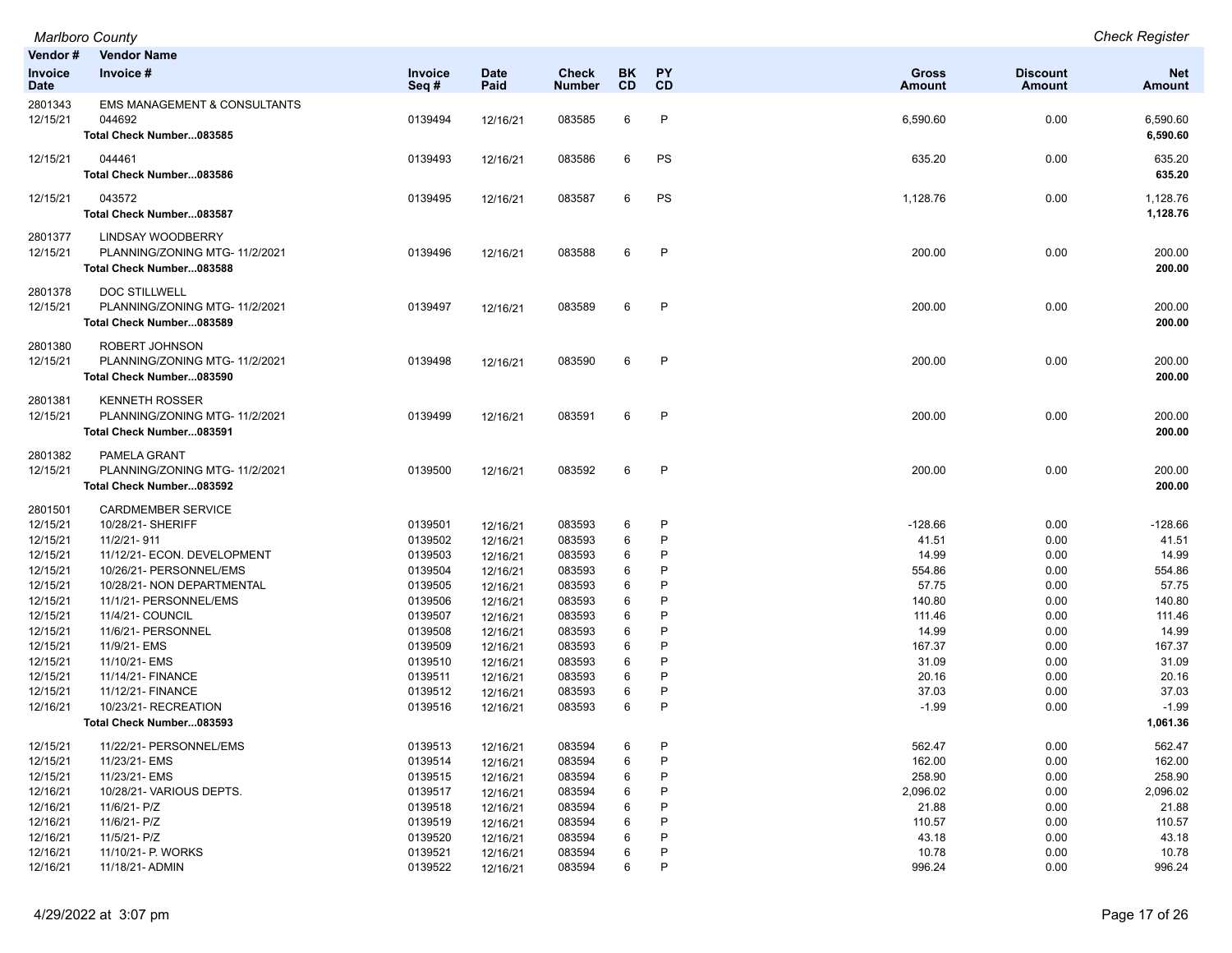| Vendor#<br>Invoice<br><b>Date</b> | <b>Vendor Name</b><br>Invoice #                                                        | <b>Invoice</b><br>Seq#        | <b>Date</b><br>Paid              | <b>Check</b><br><b>Number</b> | BK<br><b>CD</b> | <b>PY</b><br>CD | <b>Gross</b><br><b>Amount</b> | <b>Discount</b><br>Amount | <b>Net</b><br><b>Amount</b>  |
|-----------------------------------|----------------------------------------------------------------------------------------|-------------------------------|----------------------------------|-------------------------------|-----------------|-----------------|-------------------------------|---------------------------|------------------------------|
| 2801343<br>12/15/21               | EMS MANAGEMENT & CONSULTANTS<br>044692<br>Total Check Number083585                     | 0139494                       | 12/16/21                         | 083585                        | 6               | P               | 6,590.60                      | 0.00                      | 6,590.60<br>6,590.60         |
| 12/15/21                          | 044461<br>Total Check Number083586                                                     | 0139493                       | 12/16/21                         | 083586                        | 6               | PS              | 635.20                        | 0.00                      | 635.20<br>635.20             |
| 12/15/21                          | 043572<br>Total Check Number083587                                                     | 0139495                       | 12/16/21                         | 083587                        | 6               | PS              | 1,128.76                      | 0.00                      | 1,128.76<br>1,128.76         |
| 2801377<br>12/15/21               | <b>LINDSAY WOODBERRY</b><br>PLANNING/ZONING MTG- 11/2/2021<br>Total Check Number083588 | 0139496                       | 12/16/21                         | 083588                        | 6               | P               | 200.00                        | 0.00                      | 200.00<br>200.00             |
| 2801378<br>12/15/21               | DOC STILLWELL<br>PLANNING/ZONING MTG-11/2/2021<br>Total Check Number083589             | 0139497                       | 12/16/21                         | 083589                        | 6               | P               | 200.00                        | 0.00                      | 200.00<br>200.00             |
| 2801380<br>12/15/21               | ROBERT JOHNSON<br>PLANNING/ZONING MTG-11/2/2021<br>Total Check Number083590            | 0139498                       | 12/16/21                         | 083590                        | 6               | P               | 200.00                        | 0.00                      | 200.00<br>200.00             |
| 2801381<br>12/15/21               | <b>KENNETH ROSSER</b><br>PLANNING/ZONING MTG-11/2/2021<br>Total Check Number083591     | 0139499                       | 12/16/21                         | 083591                        | 6               | P               | 200.00                        | 0.00                      | 200.00<br>200.00             |
| 2801382<br>12/15/21               | PAMELA GRANT<br>PLANNING/ZONING MTG- 11/2/2021<br>Total Check Number083592             | 0139500                       | 12/16/21                         | 083592                        | 6               | P               | 200.00                        | 0.00                      | 200.00<br>200.00             |
| 2801501<br>12/15/21<br>12/15/21   | <b>CARDMEMBER SERVICE</b><br>10/28/21- SHERIFF<br>11/2/21-911                          | 0139501<br>0139502            | 12/16/21<br>12/16/21             | 083593<br>083593              | 6<br>6          | P<br>P          | $-128.66$<br>41.51            | 0.00<br>0.00              | $-128.66$<br>41.51           |
| 12/15/21<br>12/15/21<br>12/15/21  | 11/12/21- ECON. DEVELOPMENT<br>10/26/21- PERSONNEL/EMS<br>10/28/21- NON DEPARTMENTAL   | 0139503<br>0139504<br>0139505 | 12/16/21<br>12/16/21<br>12/16/21 | 083593<br>083593<br>083593    | 6<br>6<br>6     | P<br>P<br>P     | 14.99<br>554.86<br>57.75      | 0.00<br>0.00<br>0.00      | 14.99<br>554.86<br>57.75     |
| 12/15/21<br>12/15/21<br>12/15/21  | 11/1/21- PERSONNEL/EMS<br>11/4/21- COUNCIL<br>11/6/21- PERSONNEL                       | 0139506<br>0139507<br>0139508 | 12/16/21<br>12/16/21<br>12/16/21 | 083593<br>083593<br>083593    | 6<br>6<br>6     | P<br>P<br>P     | 140.80<br>111.46<br>14.99     | 0.00<br>0.00<br>0.00      | 140.80<br>111.46<br>14.99    |
| 12/15/21<br>12/15/21<br>12/15/21  | 11/9/21- EMS<br>11/10/21- EMS<br>11/14/21- FINANCE                                     | 0139509<br>0139510<br>0139511 | 12/16/21<br>12/16/21<br>12/16/21 | 083593<br>083593<br>083593    | 6<br>6<br>6     | P<br>P<br>P     | 167.37<br>31.09<br>20.16      | 0.00<br>0.00<br>0.00      | 167.37<br>31.09<br>20.16     |
| 12/15/21<br>12/16/21              | 11/12/21- FINANCE<br>10/23/21- RECREATION<br>Total Check Number083593                  | 0139512<br>0139516            | 12/16/21<br>12/16/21             | 083593<br>083593              | 6<br>6          | P<br>P          | 37.03<br>$-1.99$              | 0.00<br>0.00              | 37.03<br>$-1.99$<br>1,061.36 |
| 12/15/21                          | 11/22/21- PERSONNEL/EMS                                                                | 0139513                       | 12/16/21                         | 083594                        | 6               |                 | 562.47                        | 0.00                      | 562.47                       |
| 12/15/21<br>12/15/21<br>12/16/21  | 11/23/21- EMS<br>11/23/21- EMS<br>10/28/21- VARIOUS DEPTS.                             | 0139514<br>0139515<br>0139517 | 12/16/21<br>12/16/21<br>12/16/21 | 083594<br>083594<br>083594    | 6<br>6<br>6     | P<br>P<br>P     | 162.00<br>258.90<br>2,096.02  | 0.00<br>0.00<br>0.00      | 162.00<br>258.90<br>2,096.02 |
| 12/16/21<br>12/16/21              | 11/6/21- P/Z<br>11/6/21- P/Z                                                           | 0139518<br>0139519            | 12/16/21<br>12/16/21             | 083594<br>083594              | 6<br>6          | P<br>P          | 21.88<br>110.57               | 0.00<br>0.00              | 21.88<br>110.57              |
| 12/16/21<br>12/16/21<br>12/16/21  | 11/5/21- P/Z<br>11/10/21- P. WORKS<br>11/18/21- ADMIN                                  | 0139520<br>0139521<br>0139522 | 12/16/21<br>12/16/21<br>12/16/21 | 083594<br>083594<br>083594    | 6<br>6<br>6     | P<br>Ρ<br>P     | 43.18<br>10.78<br>996.24      | 0.00<br>0.00<br>0.00      | 43.18<br>10.78<br>996.24     |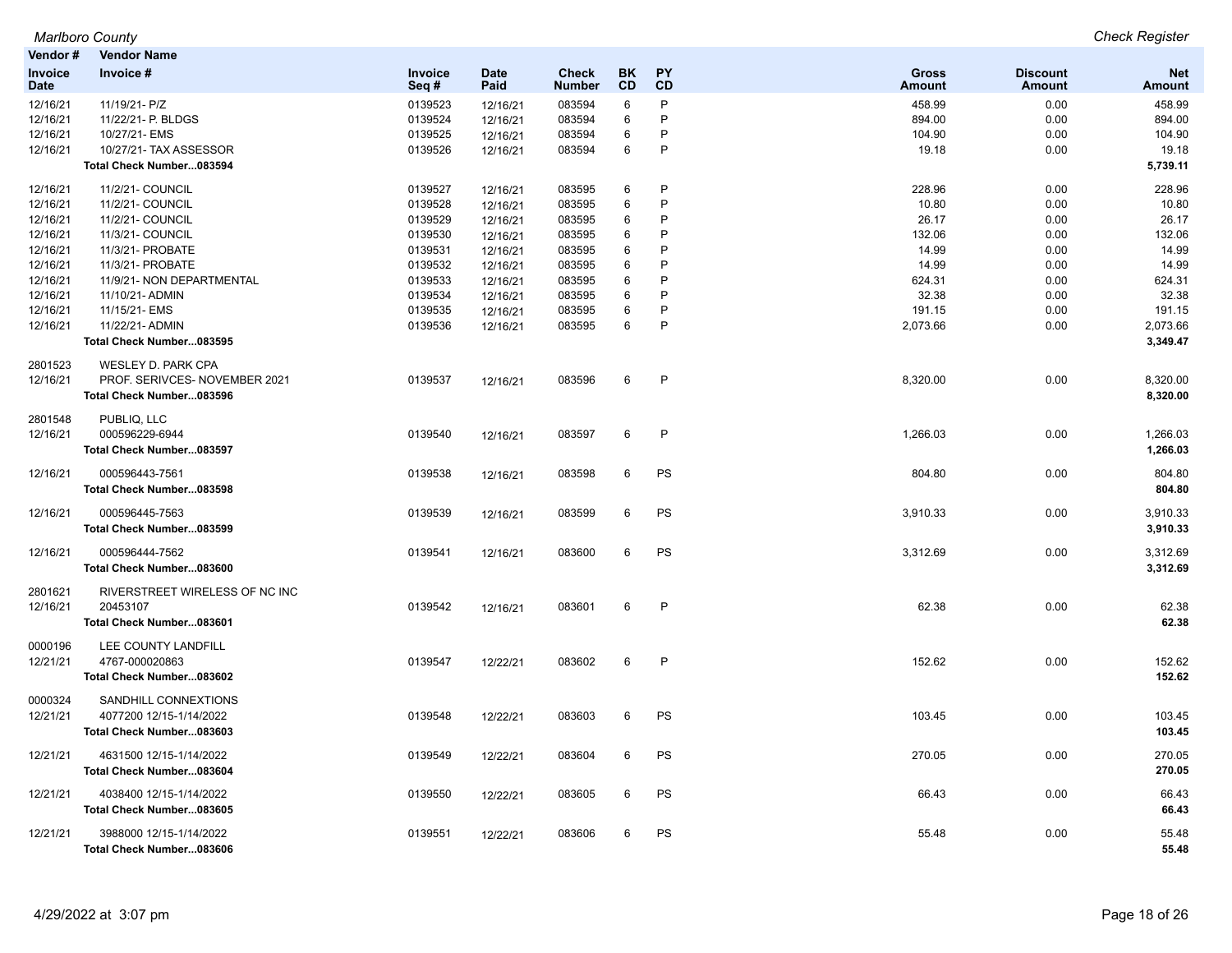| Vendor#                       | <b>Vendor Name</b>                                  |                    |                     |                               |                        |                        |                               |                                  |                      |
|-------------------------------|-----------------------------------------------------|--------------------|---------------------|-------------------------------|------------------------|------------------------|-------------------------------|----------------------------------|----------------------|
| <b>Invoice</b><br><b>Date</b> | Invoice #                                           | Invoice<br>Seq#    | <b>Date</b><br>Paid | <b>Check</b><br><b>Number</b> | <b>BK</b><br><b>CD</b> | <b>PY</b><br><b>CD</b> | <b>Gross</b><br><b>Amount</b> | <b>Discount</b><br><b>Amount</b> | <b>Net</b><br>Amount |
| 12/16/21                      | 11/19/21- P/Z                                       | 0139523            | 12/16/21            | 083594                        | 6                      | P                      | 458.99                        | 0.00                             | 458.99               |
| 12/16/21                      | 11/22/21- P. BLDGS                                  | 0139524            | 12/16/21            | 083594                        | 6                      | P                      | 894.00                        | 0.00                             | 894.00               |
| 12/16/21                      | 10/27/21- EMS                                       | 0139525            | 12/16/21            | 083594                        | 6                      | P                      | 104.90                        | 0.00                             | 104.90               |
| 12/16/21                      | 10/27/21- TAX ASSESSOR                              | 0139526            | 12/16/21            | 083594                        | 6                      | P                      | 19.18                         | 0.00                             | 19.18                |
|                               | Total Check Number083594                            |                    |                     |                               |                        |                        |                               |                                  | 5,739.11             |
| 12/16/21                      | 11/2/21- COUNCIL                                    | 0139527            | 12/16/21            | 083595                        | 6                      | P                      | 228.96                        | 0.00                             | 228.96               |
| 12/16/21                      | 11/2/21- COUNCIL                                    | 0139528            | 12/16/21            | 083595                        | 6                      | P                      | 10.80                         | 0.00                             | 10.80                |
| 12/16/21                      | 11/2/21- COUNCIL                                    | 0139529            | 12/16/21            | 083595                        | 6                      | P                      | 26.17                         | 0.00                             | 26.17                |
| 12/16/21                      | 11/3/21- COUNCIL                                    | 0139530            | 12/16/21            | 083595                        | 6                      | P                      | 132.06                        | 0.00                             | 132.06               |
| 12/16/21                      | 11/3/21- PROBATE                                    | 0139531            | 12/16/21            | 083595                        | 6                      | P                      | 14.99                         | 0.00                             | 14.99                |
| 12/16/21                      | 11/3/21- PROBATE                                    | 0139532            | 12/16/21            | 083595                        | 6                      | P<br>P                 | 14.99                         | 0.00                             | 14.99                |
| 12/16/21<br>12/16/21          | 11/9/21- NON DEPARTMENTAL<br>11/10/21- ADMIN        | 0139533<br>0139534 | 12/16/21            | 083595                        | 6<br>6                 | P                      | 624.31<br>32.38               | 0.00<br>0.00                     | 624.31<br>32.38      |
| 12/16/21                      | 11/15/21- EMS                                       | 0139535            | 12/16/21            | 083595<br>083595              | 6                      | P                      | 191.15                        | 0.00                             | 191.15               |
| 12/16/21                      | 11/22/21- ADMIN                                     | 0139536            | 12/16/21            | 083595                        | 6                      | P                      | 2,073.66                      | 0.00                             | 2,073.66             |
|                               | Total Check Number083595                            |                    | 12/16/21            |                               |                        |                        |                               |                                  | 3,349.47             |
| 2801523                       | WESLEY D. PARK CPA                                  |                    |                     |                               |                        |                        |                               |                                  |                      |
| 12/16/21                      | PROF. SERIVCES- NOVEMBER 2021                       | 0139537            | 12/16/21            | 083596                        | 6                      | P                      | 8,320.00                      | 0.00                             | 8,320.00             |
|                               | Total Check Number083596                            |                    |                     |                               |                        |                        |                               |                                  | 8,320.00             |
| 2801548                       | PUBLIQ. LLC                                         |                    |                     |                               |                        |                        |                               |                                  |                      |
| 12/16/21                      | 000596229-6944                                      | 0139540            | 12/16/21            | 083597                        | 6                      | P                      | 1,266.03                      | 0.00                             | 1,266.03             |
|                               | Total Check Number083597                            |                    |                     |                               |                        |                        |                               |                                  | 1,266.03             |
| 12/16/21                      | 000596443-7561                                      | 0139538            | 12/16/21            | 083598                        | 6                      | PS                     | 804.80                        | 0.00                             | 804.80               |
|                               | Total Check Number083598                            |                    |                     |                               |                        |                        |                               |                                  | 804.80               |
| 12/16/21                      | 000596445-7563<br>Total Check Number083599          | 0139539            | 12/16/21            | 083599                        | 6                      | PS                     | 3,910.33                      | 0.00                             | 3,910.33<br>3,910.33 |
|                               |                                                     |                    |                     |                               |                        |                        |                               |                                  |                      |
| 12/16/21                      | 000596444-7562                                      | 0139541            | 12/16/21            | 083600                        | 6                      | PS                     | 3,312.69                      | 0.00                             | 3,312.69             |
|                               | Total Check Number083600                            |                    |                     |                               |                        |                        |                               |                                  | 3,312.69             |
| 2801621                       | RIVERSTREET WIRELESS OF NC INC                      |                    |                     |                               |                        |                        |                               |                                  |                      |
| 12/16/21                      | 20453107                                            | 0139542            | 12/16/21            | 083601                        | 6                      | P                      | 62.38                         | 0.00                             | 62.38                |
|                               | Total Check Number083601                            |                    |                     |                               |                        |                        |                               |                                  | 62.38                |
| 0000196                       | LEE COUNTY LANDFILL                                 |                    |                     |                               |                        |                        |                               |                                  |                      |
| 12/21/21                      | 4767-000020863                                      | 0139547            | 12/22/21            | 083602                        | 6                      | P                      | 152.62                        | 0.00                             | 152.62               |
|                               | Total Check Number083602                            |                    |                     |                               |                        |                        |                               |                                  | 152.62               |
| 0000324                       | SANDHILL CONNEXTIONS                                |                    |                     |                               |                        |                        |                               |                                  |                      |
| 12/21/21                      | 4077200 12/15-1/14/2022                             | 0139548            | 12/22/21            | 083603                        | 6                      | PS                     | 103.45                        | 0.00                             | 103.45               |
|                               | Total Check Number083603                            |                    |                     |                               |                        |                        |                               |                                  | 103.45               |
| 12/21/21                      | 4631500 12/15-1/14/2022                             | 0139549            | 12/22/21            | 083604                        | 6                      | PS                     | 270.05                        | 0.00                             | 270.05               |
|                               | Total Check Number083604                            |                    |                     |                               |                        |                        |                               |                                  | 270.05               |
| 12/21/21                      | 4038400 12/15-1/14/2022                             | 0139550            | 12/22/21            | 083605                        | 6                      | PS                     | 66.43                         | 0.00                             | 66.43                |
|                               | Total Check Number083605                            |                    |                     |                               |                        |                        |                               |                                  | 66.43                |
| 12/21/21                      | 3988000 12/15-1/14/2022<br>Total Check Number083606 | 0139551            | 12/22/21            | 083606                        | 6                      | <b>PS</b>              | 55.48                         | 0.00                             | 55.48<br>55.48       |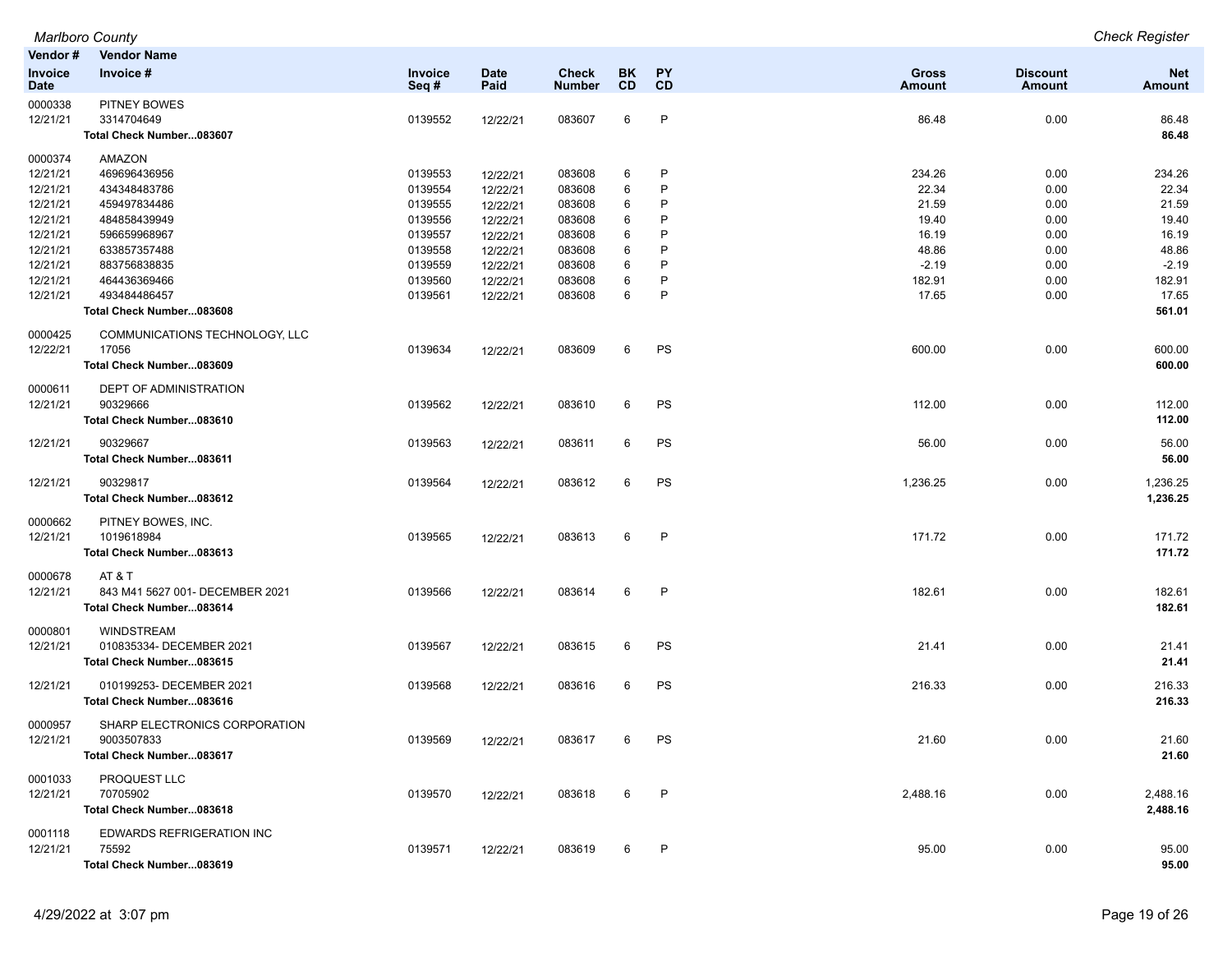| Vendor#                       | <b>Vendor Name</b>                |                 |                     |                        |                 |                        |                        |                                  |                      |
|-------------------------------|-----------------------------------|-----------------|---------------------|------------------------|-----------------|------------------------|------------------------|----------------------------------|----------------------|
| <b>Invoice</b><br><b>Date</b> | Invoice #                         | Invoice<br>Seq# | <b>Date</b><br>Paid | Check<br><b>Number</b> | BK<br><b>CD</b> | <b>PY</b><br><b>CD</b> | Gross<br><b>Amount</b> | <b>Discount</b><br><b>Amount</b> | <b>Net</b><br>Amount |
| 0000338<br>12/21/21           | <b>PITNEY BOWES</b><br>3314704649 | 0139552         | 12/22/21            | 083607                 | 6               | $\mathsf{P}$           | 86.48                  | 0.00                             | 86.48                |
|                               | Total Check Number083607          |                 |                     |                        |                 |                        |                        |                                  | 86.48                |
| 0000374                       | AMAZON                            |                 |                     |                        |                 |                        |                        |                                  |                      |
| 12/21/21                      | 469696436956                      | 0139553         | 12/22/21            | 083608                 | 6               | $\mathsf{P}$           | 234.26                 | 0.00                             | 234.26               |
| 12/21/21                      | 434348483786                      | 0139554         | 12/22/21            | 083608                 | 6               | P                      | 22.34                  | 0.00                             | 22.34                |
| 12/21/21                      | 459497834486                      | 0139555         | 12/22/21            | 083608                 | 6               | P                      | 21.59                  | 0.00                             | 21.59                |
| 12/21/21                      | 484858439949                      | 0139556         | 12/22/21            | 083608                 | 6               | P                      | 19.40                  | 0.00                             | 19.40                |
| 12/21/21                      | 596659968967                      | 0139557         | 12/22/21            | 083608                 | 6               | P                      | 16.19                  | 0.00                             | 16.19                |
| 12/21/21                      | 633857357488                      | 0139558         | 12/22/21            | 083608                 | 6               | P                      | 48.86                  | 0.00                             | 48.86                |
| 12/21/21                      | 883756838835                      | 0139559         | 12/22/21            | 083608                 | 6               | P                      | $-2.19$                | 0.00                             | $-2.19$              |
| 12/21/21                      | 464436369466                      | 0139560         | 12/22/21            | 083608                 | 6               | P                      | 182.91                 | 0.00                             | 182.91               |
| 12/21/21                      | 493484486457                      | 0139561         | 12/22/21            | 083608                 | 6               | P                      | 17.65                  | 0.00                             | 17.65                |
|                               | Total Check Number083608          |                 |                     |                        |                 |                        |                        |                                  | 561.01               |
| 0000425                       | COMMUNICATIONS TECHNOLOGY, LLC    |                 |                     |                        |                 |                        |                        |                                  |                      |
| 12/22/21                      | 17056                             | 0139634         | 12/22/21            | 083609                 | 6               | PS                     | 600.00                 | 0.00                             | 600.00               |
|                               | Total Check Number083609          |                 |                     |                        |                 |                        |                        |                                  | 600.00               |
| 0000611                       | <b>DEPT OF ADMINISTRATION</b>     |                 |                     |                        |                 |                        |                        |                                  |                      |
| 12/21/21                      | 90329666                          | 0139562         | 12/22/21            | 083610                 | 6               | PS                     | 112.00                 | 0.00                             | 112.00               |
|                               | Total Check Number083610          |                 |                     |                        |                 |                        |                        |                                  | 112.00               |
| 12/21/21                      | 90329667                          | 0139563         | 12/22/21            | 083611                 | 6               | PS                     | 56.00                  | 0.00                             | 56.00                |
|                               | Total Check Number083611          |                 |                     |                        |                 |                        |                        |                                  | 56.00                |
| 12/21/21                      | 90329817                          | 0139564         | 12/22/21            | 083612                 | 6               | PS                     | 1,236.25               | 0.00                             | 1,236.25             |
|                               | Total Check Number083612          |                 |                     |                        |                 |                        |                        |                                  | 1,236.25             |
| 0000662                       | PITNEY BOWES, INC.                |                 |                     |                        |                 |                        |                        |                                  |                      |
| 12/21/21                      | 1019618984                        | 0139565         | 12/22/21            | 083613                 | 6               | $\mathsf{P}$           | 171.72                 | 0.00                             | 171.72               |
|                               | Total Check Number083613          |                 |                     |                        |                 |                        |                        |                                  | 171.72               |
| 0000678                       | AT&T                              |                 |                     |                        |                 |                        |                        |                                  |                      |
| 12/21/21                      | 843 M41 5627 001- DECEMBER 2021   | 0139566         | 12/22/21            | 083614                 | 6               | $\mathsf{P}$           | 182.61                 | 0.00                             | 182.61               |
|                               | Total Check Number083614          |                 |                     |                        |                 |                        |                        |                                  | 182.61               |
| 0000801                       | <b>WINDSTREAM</b>                 |                 |                     |                        |                 |                        |                        |                                  |                      |
| 12/21/21                      | 010835334- DECEMBER 2021          | 0139567         | 12/22/21            | 083615                 | 6               | PS                     | 21.41                  | 0.00                             | 21.41                |
|                               | Total Check Number083615          |                 |                     |                        |                 |                        |                        |                                  | 21.41                |
| 12/21/21                      | 010199253-DECEMBER 2021           | 0139568         | 12/22/21            | 083616                 | 6               | PS                     | 216.33                 | 0.00                             | 216.33               |
|                               | Total Check Number083616          |                 |                     |                        |                 |                        |                        |                                  | 216.33               |
| 0000957                       | SHARP ELECTRONICS CORPORATION     |                 |                     |                        |                 |                        |                        |                                  |                      |
| 12/21/21                      | 9003507833                        | 0139569         | 12/22/21            | 083617                 | 6               | PS                     | 21.60                  | 0.00                             | 21.60                |
|                               | Total Check Number083617          |                 |                     |                        |                 |                        |                        |                                  | 21.60                |
| 0001033                       | PROQUEST LLC                      |                 |                     |                        |                 |                        |                        |                                  |                      |
| 12/21/21                      | 70705902                          | 0139570         | 12/22/21            | 083618                 | 6               | $\mathsf{P}$           | 2,488.16               | 0.00                             | 2,488.16             |
|                               | Total Check Number083618          |                 |                     |                        |                 |                        |                        |                                  | 2,488.16             |
| 0001118                       | EDWARDS REFRIGERATION INC         |                 |                     |                        |                 |                        |                        |                                  |                      |
| 12/21/21                      | 75592                             | 0139571         | 12/22/21            | 083619                 | 6               | P                      | 95.00                  | 0.00                             | 95.00                |
|                               | Total Check Number083619          |                 |                     |                        |                 |                        |                        |                                  | 95.00                |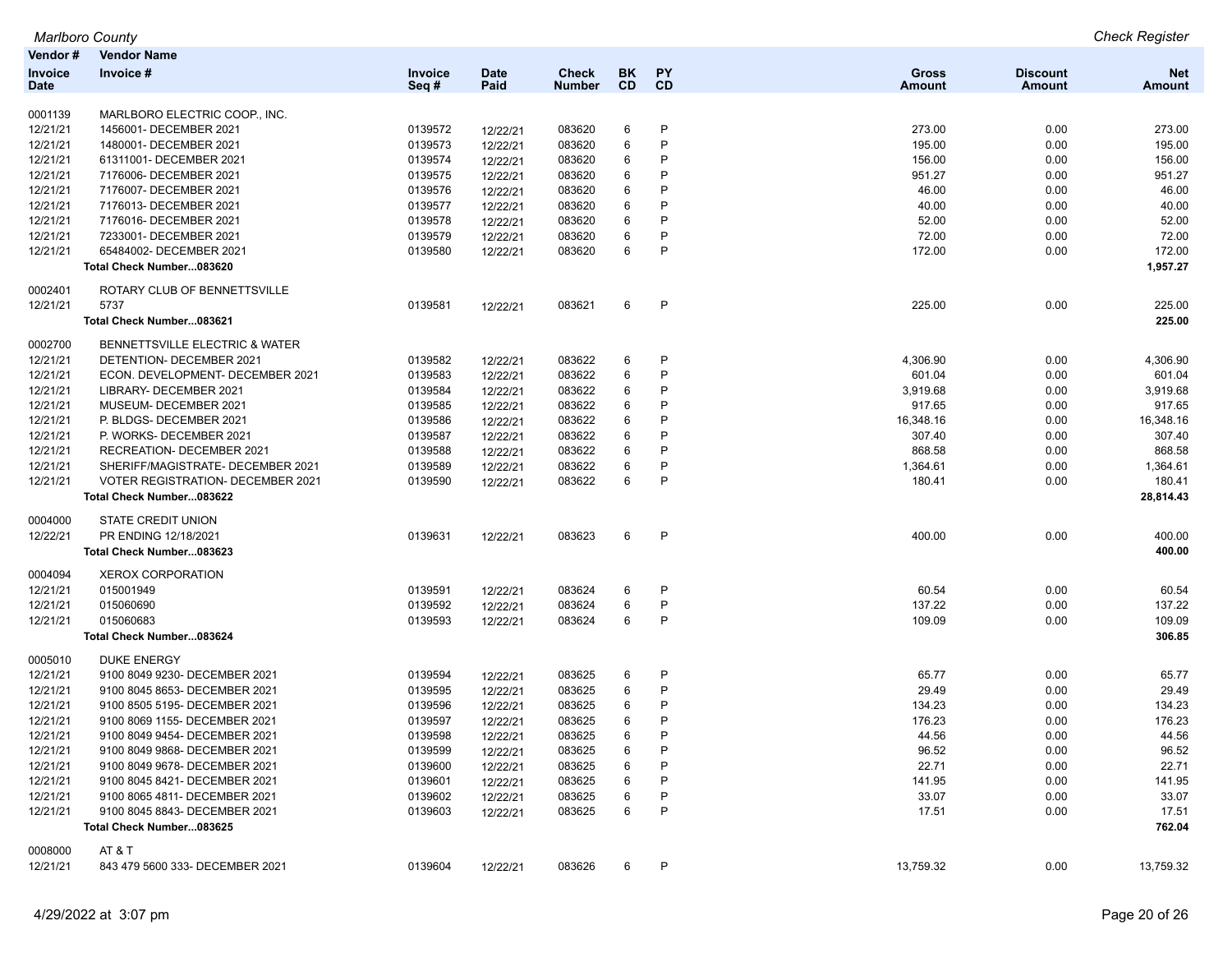| Marlboro Countv |  |
|-----------------|--|
|-----------------|--|

*Marlboro County Check Register*

| Vendor #               | <b>Vendor Name</b>                       |                 |                     |                        |          |              |                        |                           |                      |
|------------------------|------------------------------------------|-----------------|---------------------|------------------------|----------|--------------|------------------------|---------------------------|----------------------|
| Invoice<br><b>Date</b> | Invoice #                                | Invoice<br>Seq# | <b>Date</b><br>Paid | Check<br><b>Number</b> | BK<br>CD | PY<br>CD     | Gross<br><b>Amount</b> | <b>Discount</b><br>Amount | <b>Net</b><br>Amount |
| 0001139                | MARLBORO ELECTRIC COOP., INC.            |                 |                     |                        |          |              |                        |                           |                      |
| 12/21/21               | 1456001- DECEMBER 2021                   | 0139572         | 12/22/21            | 083620                 | 6        | P            | 273.00                 | 0.00                      | 273.00               |
| 12/21/21               | 1480001- DECEMBER 2021                   | 0139573         | 12/22/21            | 083620                 | 6        | P            | 195.00                 | 0.00                      | 195.00               |
| 12/21/21               | 61311001- DECEMBER 2021                  | 0139574         | 12/22/21            | 083620                 | 6        | P            | 156.00                 | 0.00                      | 156.00               |
| 12/21/21               | 7176006- DECEMBER 2021                   | 0139575         | 12/22/21            | 083620                 | 6        | P            | 951.27                 | 0.00                      | 951.27               |
| 12/21/21               | 7176007- DECEMBER 2021                   | 0139576         | 12/22/21            | 083620                 | 6        | P            | 46.00                  | 0.00                      | 46.00                |
| 12/21/21               | 7176013- DECEMBER 2021                   | 0139577         | 12/22/21            | 083620                 | 6        | P            | 40.00                  | 0.00                      | 40.00                |
| 12/21/21               | 7176016- DECEMBER 2021                   | 0139578         | 12/22/21            | 083620                 | 6        | P            | 52.00                  | 0.00                      | 52.00                |
| 12/21/21               | 7233001- DECEMBER 2021                   | 0139579         | 12/22/21            | 083620                 | 6        | P            | 72.00                  | 0.00                      | 72.00                |
| 12/21/21               | 65484002- DECEMBER 2021                  | 0139580         | 12/22/21            | 083620                 | 6        | P            | 172.00                 | 0.00                      | 172.00               |
|                        | Total Check Number083620                 |                 |                     |                        |          |              |                        |                           | 1,957.27             |
| 0002401                | ROTARY CLUB OF BENNETTSVILLE             |                 |                     |                        |          |              |                        |                           |                      |
| 12/21/21               | 5737                                     | 0139581         | 12/22/21            | 083621                 | 6        | P            | 225.00                 | 0.00                      | 225.00               |
|                        | Total Check Number083621                 |                 |                     |                        |          |              |                        |                           | 225.00               |
| 0002700                | BENNETTSVILLE ELECTRIC & WATER           |                 |                     |                        |          |              |                        |                           |                      |
| 12/21/21               | <b>DETENTION- DECEMBER 2021</b>          | 0139582         | 12/22/21            | 083622                 | 6        | P            | 4,306.90               | 0.00                      | 4,306.90             |
| 12/21/21               | ECON. DEVELOPMENT- DECEMBER 2021         | 0139583         | 12/22/21            | 083622                 | 6        | P            | 601.04                 | 0.00                      | 601.04               |
| 12/21/21               | LIBRARY- DECEMBER 2021                   | 0139584         | 12/22/21            | 083622                 | 6        | P            | 3,919.68               | 0.00                      | 3,919.68             |
| 12/21/21               | MUSEUM- DECEMBER 2021                    | 0139585         | 12/22/21            | 083622                 | 6        | P            | 917.65                 | 0.00                      | 917.65               |
| 12/21/21               | P. BLDGS- DECEMBER 2021                  | 0139586         | 12/22/21            | 083622                 | 6        | P            | 16,348.16              | 0.00                      | 16,348.16            |
| 12/21/21               | P. WORKS- DECEMBER 2021                  | 0139587         | 12/22/21            | 083622                 | 6        | P            | 307.40                 | 0.00                      | 307.40               |
| 12/21/21               | RECREATION- DECEMBER 2021                | 0139588         | 12/22/21            | 083622                 | 6        | P            | 868.58                 | 0.00                      | 868.58               |
| 12/21/21               | SHERIFF/MAGISTRATE- DECEMBER 2021        | 0139589         | 12/22/21            | 083622                 | 6        | P            | 1,364.61               | 0.00                      | 1,364.61             |
| 12/21/21               | <b>VOTER REGISTRATION- DECEMBER 2021</b> | 0139590         | 12/22/21            | 083622                 | 6        | P            | 180.41                 | 0.00                      | 180.41               |
|                        | Total Check Number083622                 |                 |                     |                        |          |              |                        |                           | 28,814.43            |
| 0004000                | STATE CREDIT UNION                       |                 |                     |                        |          |              |                        |                           |                      |
| 12/22/21               | PR ENDING 12/18/2021                     | 0139631         | 12/22/21            | 083623                 | 6        | $\mathsf{P}$ | 400.00                 | 0.00                      | 400.00               |
|                        | Total Check Number083623                 |                 |                     |                        |          |              |                        |                           | 400.00               |
| 0004094                | <b>XEROX CORPORATION</b>                 |                 |                     |                        |          |              |                        |                           |                      |
| 12/21/21               | 015001949                                | 0139591         | 12/22/21            | 083624                 | 6        | P            | 60.54                  | 0.00                      | 60.54                |
| 12/21/21               | 015060690                                | 0139592         | 12/22/21            | 083624                 | 6        | P            | 137.22                 | 0.00                      | 137.22               |
| 12/21/21               | 015060683                                | 0139593         | 12/22/21            | 083624                 | 6        | P            | 109.09                 | 0.00                      | 109.09               |
|                        | Total Check Number083624                 |                 |                     |                        |          |              |                        |                           | 306.85               |
| 0005010                | <b>DUKE ENERGY</b>                       |                 |                     |                        |          |              |                        |                           |                      |
| 12/21/21               | 9100 8049 9230- DECEMBER 2021            | 0139594         | 12/22/21            | 083625                 | 6        | P            | 65.77                  | 0.00                      | 65.77                |
| 12/21/21               | 9100 8045 8653- DECEMBER 2021            | 0139595         | 12/22/21            | 083625                 | 6        | P            | 29.49                  | 0.00                      | 29.49                |
| 12/21/21               | 9100 8505 5195- DECEMBER 2021            | 0139596         | 12/22/21            | 083625                 | 6        | P            | 134.23                 | 0.00                      | 134.23               |
| 12/21/21               | 9100 8069 1155- DECEMBER 2021            | 0139597         | 12/22/21            | 083625                 | 6        | P            | 176.23                 | 0.00                      | 176.23               |
| 12/21/21               | 9100 8049 9454- DECEMBER 2021            | 0139598         | 12/22/21            | 083625                 | 6        | P            | 44.56                  | 0.00                      | 44.56                |
| 12/21/21               | 9100 8049 9868- DECEMBER 2021            | 0139599         | 12/22/21            | 083625                 | $\,6$    | D            | 96.52                  | 0.00                      | 96.52                |
| 12/21/21               | 9100 8049 9678- DECEMBER 2021            | 0139600         | 12/22/21            | 083625                 | 6        | P            | 22.71                  | 0.00                      | 22.71                |
| 12/21/21               | 9100 8045 8421- DECEMBER 2021            | 0139601         | 12/22/21            | 083625                 | 6        |              | 141.95                 | 0.00                      | 141.95               |
| 12/21/21               | 9100 8065 4811- DECEMBER 2021            | 0139602         | 12/22/21            | 083625                 | 6        | P            | 33.07                  | 0.00                      | 33.07                |
| 12/21/21               | 9100 8045 8843- DECEMBER 2021            | 0139603         | 12/22/21            | 083625                 | 6        | P            | 17.51                  | 0.00                      | 17.51                |
|                        | Total Check Number083625                 |                 |                     |                        |          |              |                        |                           | 762.04               |
| 0008000                | AT&T                                     |                 |                     |                        |          |              |                        |                           |                      |
| 12/21/21               | 843 479 5600 333- DECEMBER 2021          | 0139604         | 12/22/21            | 083626                 | 6        | P            | 13,759.32              | 0.00                      | 13,759.32            |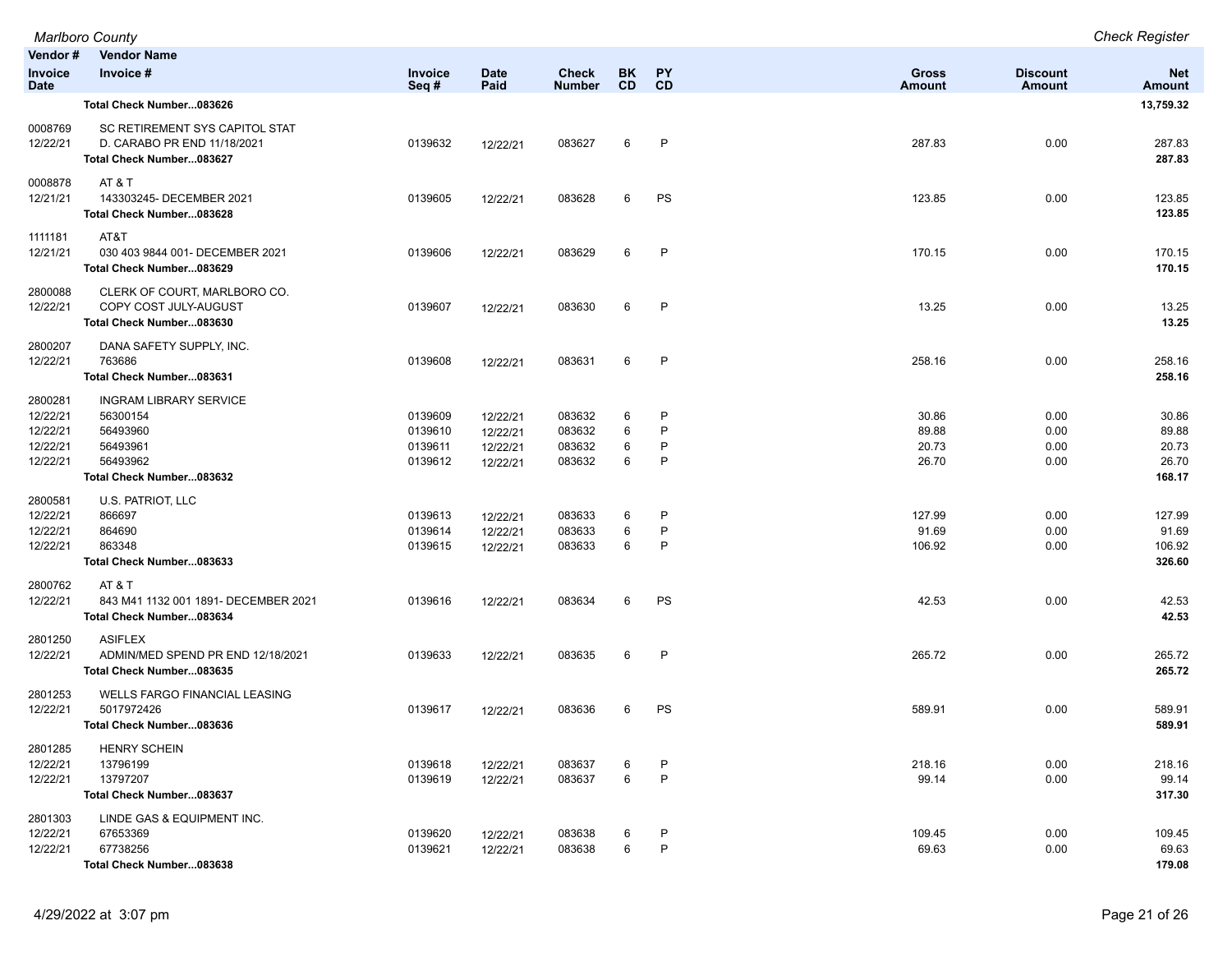|                                                         | <b>Marlboro County</b>                                                                                    |                                          |                                              |                                      |                  |                        |                                  |                              | <b>Check Register</b>                      |
|---------------------------------------------------------|-----------------------------------------------------------------------------------------------------------|------------------------------------------|----------------------------------------------|--------------------------------------|------------------|------------------------|----------------------------------|------------------------------|--------------------------------------------|
| Vendor#                                                 | <b>Vendor Name</b>                                                                                        |                                          |                                              |                                      |                  |                        |                                  |                              |                                            |
| <b>Invoice</b><br><b>Date</b>                           | Invoice #                                                                                                 | Invoice<br>Seq#                          | <b>Date</b><br>Paid                          | <b>Check</b><br><b>Number</b>        | BK<br><b>CD</b>  | PY<br>CD               | <b>Gross</b><br>Amount           | <b>Discount</b><br>Amount    | <b>Net</b><br><b>Amount</b>                |
|                                                         | Total Check Number083626                                                                                  |                                          |                                              |                                      |                  |                        |                                  |                              | 13,759.32                                  |
| 0008769<br>12/22/21                                     | SC RETIREMENT SYS CAPITOL STAT<br>D. CARABO PR END 11/18/2021<br>Total Check Number083627                 | 0139632                                  | 12/22/21                                     | 083627                               | 6                | P                      | 287.83                           | 0.00                         | 287.83<br>287.83                           |
| 0008878<br>12/21/21                                     | AT & T<br>143303245- DECEMBER 2021<br>Total Check Number083628                                            | 0139605                                  | 12/22/21                                     | 083628                               | 6                | PS                     | 123.85                           | 0.00                         | 123.85<br>123.85                           |
| 1111181<br>12/21/21                                     | AT&T<br>030 403 9844 001- DECEMBER 2021<br>Total Check Number083629                                       | 0139606                                  | 12/22/21                                     | 083629                               | 6                | P                      | 170.15                           | 0.00                         | 170.15<br>170.15                           |
| 2800088<br>12/22/21                                     | CLERK OF COURT, MARLBORO CO.<br>COPY COST JULY-AUGUST<br>Total Check Number083630                         | 0139607                                  | 12/22/21                                     | 083630                               | 6                | P                      | 13.25                            | 0.00                         | 13.25<br>13.25                             |
| 2800207<br>12/22/21                                     | DANA SAFETY SUPPLY, INC.<br>763686<br>Total Check Number083631                                            | 0139608                                  | 12/22/21                                     | 083631                               | 6                | $\mathsf{P}$           | 258.16                           | 0.00                         | 258.16<br>258.16                           |
| 2800281<br>12/22/21<br>12/22/21<br>12/22/21<br>12/22/21 | <b>INGRAM LIBRARY SERVICE</b><br>56300154<br>56493960<br>56493961<br>56493962<br>Total Check Number083632 | 0139609<br>0139610<br>0139611<br>0139612 | 12/22/21<br>12/22/21<br>12/22/21<br>12/22/21 | 083632<br>083632<br>083632<br>083632 | 6<br>6<br>6<br>6 | P<br>P<br>P<br>P       | 30.86<br>89.88<br>20.73<br>26.70 | 0.00<br>0.00<br>0.00<br>0.00 | 30.86<br>89.88<br>20.73<br>26.70<br>168.17 |
| 2800581<br>12/22/21<br>12/22/21<br>12/22/21             | U.S. PATRIOT, LLC<br>866697<br>864690<br>863348<br>Total Check Number083633                               | 0139613<br>0139614<br>0139615            | 12/22/21<br>12/22/21<br>12/22/21             | 083633<br>083633<br>083633           | 6<br>6<br>6      | P<br>$\mathsf{P}$<br>P | 127.99<br>91.69<br>106.92        | 0.00<br>0.00<br>0.00         | 127.99<br>91.69<br>106.92<br>326.60        |
| 2800762<br>12/22/21                                     | AT&T<br>843 M41 1132 001 1891- DECEMBER 2021<br>Total Check Number083634                                  | 0139616                                  | 12/22/21                                     | 083634                               | 6                | PS                     | 42.53                            | 0.00                         | 42.53<br>42.53                             |
| 2801250<br>12/22/21                                     | <b>ASIFLEX</b><br>ADMIN/MED SPEND PR END 12/18/2021<br>Total Check Number083635                           | 0139633                                  | 12/22/21                                     | 083635                               | 6                | P                      | 265.72                           | 0.00                         | 265.72<br>265.72                           |
| 2801253<br>12/22/21                                     | <b>WELLS FARGO FINANCIAL LEASING</b><br>5017972426<br>Total Check Number083636                            | 0139617                                  | 12/22/21                                     | 083636                               | 6                | PS                     | 589.91                           | 0.00                         | 589.91<br>589.91                           |
| 2801285<br>12/22/21<br>12/22/21                         | <b>HENRY SCHEIN</b><br>13796199<br>13797207<br>Total Check Number083637                                   | 0139618<br>0139619                       | 12/22/21<br>12/22/21                         | 083637<br>083637                     | 6<br>6           | P<br>P                 | 218.16<br>99.14                  | 0.00<br>0.00                 | 218.16<br>99.14<br>317.30                  |
| 2801303<br>12/22/21<br>12/22/21                         | LINDE GAS & EQUIPMENT INC.<br>67653369<br>67738256<br>Total Check Number083638                            | 0139620<br>0139621                       | 12/22/21<br>12/22/21                         | 083638<br>083638                     | 6<br>6           | P<br>P                 | 109.45<br>69.63                  | 0.00<br>0.00                 | 109.45<br>69.63<br>179.08                  |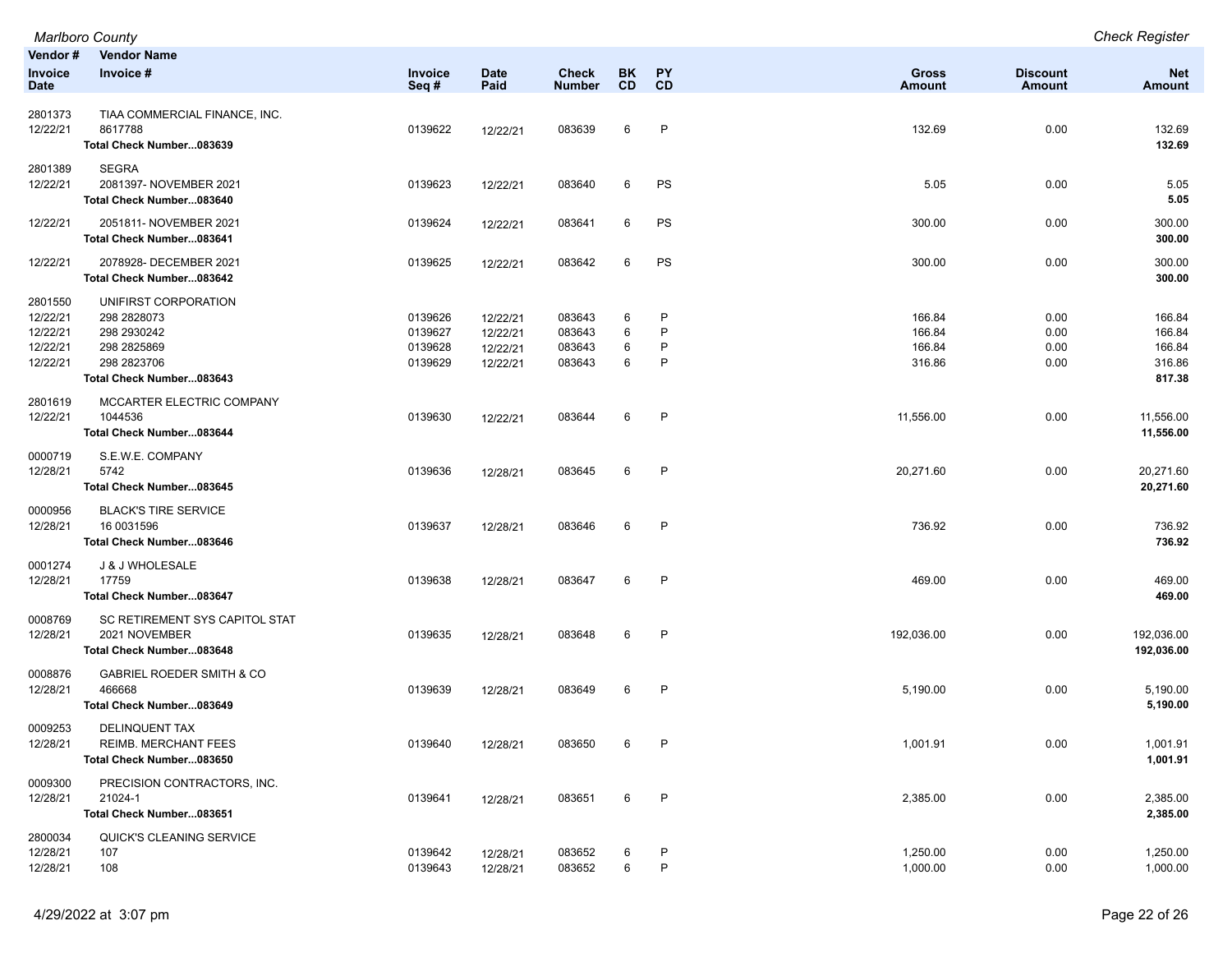|                                                         | <b>Marlboro County</b>                                                                                       |                                          |                                              |                                      |                        |                                        |                                      |                                  | <b>Check Register</b>                          |
|---------------------------------------------------------|--------------------------------------------------------------------------------------------------------------|------------------------------------------|----------------------------------------------|--------------------------------------|------------------------|----------------------------------------|--------------------------------------|----------------------------------|------------------------------------------------|
| Vendor#<br>Invoice<br>Date                              | <b>Vendor Name</b><br>Invoice #                                                                              | <b>Invoice</b><br>Seq#                   | <b>Date</b><br>Paid                          | <b>Check</b><br><b>Number</b>        | <b>BK</b><br><b>CD</b> | <b>PY</b><br><b>CD</b>                 | <b>Gross</b><br><b>Amount</b>        | <b>Discount</b><br><b>Amount</b> | <b>Net</b><br><b>Amount</b>                    |
| 2801373<br>12/22/21                                     | TIAA COMMERCIAL FINANCE, INC.<br>8617788<br>Total Check Number083639                                         | 0139622                                  | 12/22/21                                     | 083639                               | 6                      | P                                      | 132.69                               | 0.00                             | 132.69<br>132.69                               |
| 2801389<br>12/22/21                                     | <b>SEGRA</b><br>2081397- NOVEMBER 2021<br>Total Check Number083640                                           | 0139623                                  | 12/22/21                                     | 083640                               | 6                      | PS                                     | 5.05                                 | 0.00                             | 5.05<br>5.05                                   |
| 12/22/21                                                | 2051811- NOVEMBER 2021<br>Total Check Number083641                                                           | 0139624                                  | 12/22/21                                     | 083641                               | 6                      | PS                                     | 300.00                               | 0.00                             | 300.00<br>300.00                               |
| 12/22/21                                                | 2078928- DECEMBER 2021<br>Total Check Number083642                                                           | 0139625                                  | 12/22/21                                     | 083642                               | 6                      | PS                                     | 300.00                               | 0.00                             | 300.00<br>300.00                               |
| 2801550<br>12/22/21<br>12/22/21<br>12/22/21<br>12/22/21 | UNIFIRST CORPORATION<br>298 2828073<br>298 2930242<br>298 2825869<br>298 2823706<br>Total Check Number083643 | 0139626<br>0139627<br>0139628<br>0139629 | 12/22/21<br>12/22/21<br>12/22/21<br>12/22/21 | 083643<br>083643<br>083643<br>083643 | 6<br>6<br>6<br>6       | P<br>P<br>$\mathsf{P}$<br>$\mathsf{P}$ | 166.84<br>166.84<br>166.84<br>316.86 | 0.00<br>0.00<br>0.00<br>0.00     | 166.84<br>166.84<br>166.84<br>316.86<br>817.38 |
| 2801619<br>12/22/21                                     | MCCARTER ELECTRIC COMPANY<br>1044536<br>Total Check Number083644                                             | 0139630                                  | 12/22/21                                     | 083644                               | 6                      | P                                      | 11,556.00                            | 0.00                             | 11,556.00<br>11,556.00                         |
| 0000719<br>12/28/21                                     | S.E.W.E. COMPANY<br>5742<br>Total Check Number083645                                                         | 0139636                                  | 12/28/21                                     | 083645                               | 6                      | $\mathsf{P}$                           | 20,271.60                            | 0.00                             | 20,271.60<br>20,271.60                         |
| 0000956<br>12/28/21                                     | <b>BLACK'S TIRE SERVICE</b><br>16 0031596<br>Total Check Number083646                                        | 0139637                                  | 12/28/21                                     | 083646                               | 6                      | P                                      | 736.92                               | 0.00                             | 736.92<br>736.92                               |
| 0001274<br>12/28/21                                     | J & J WHOLESALE<br>17759<br>Total Check Number083647                                                         | 0139638                                  | 12/28/21                                     | 083647                               | 6                      | $\mathsf{P}$                           | 469.00                               | 0.00                             | 469.00<br>469.00                               |
| 0008769<br>12/28/21                                     | SC RETIREMENT SYS CAPITOL STAT<br>2021 NOVEMBER<br>Total Check Number083648                                  | 0139635                                  | 12/28/21                                     | 083648                               | 6                      | $\mathsf{P}$                           | 192,036.00                           | 0.00                             | 192,036.00<br>192,036.00                       |
| 0008876<br>12/28/21                                     | <b>GABRIEL ROEDER SMITH &amp; CO</b><br>466668<br>Total Check Number083649                                   | 0139639                                  | 12/28/21                                     | 083649                               | 6                      | $\mathsf{P}$                           | 5,190.00                             | 0.00                             | 5,190.00<br>5,190.00                           |
| 0009253<br>12/28/21                                     | DELINQUENT TAX<br>REIMB. MERCHANT FEES<br>Total Check Number083650                                           | 0139640                                  | 12/28/21                                     | 083650                               | 6                      | P                                      | 1,001.91                             | 0.00                             | 1,001.91<br>1,001.91                           |
| 0009300<br>12/28/21                                     | PRECISION CONTRACTORS, INC.<br>21024-1<br>Total Check Number083651                                           | 0139641                                  | 12/28/21                                     | 083651                               | 6                      | $\mathsf{P}$                           | 2,385.00                             | 0.00                             | 2,385.00<br>2,385.00                           |
| 2800034<br>12/28/21<br>12/28/21                         | QUICK'S CLEANING SERVICE<br>107<br>108                                                                       | 0139642<br>0139643                       | 12/28/21<br>12/28/21                         | 083652<br>083652                     | 6<br>6                 | P<br>P                                 | 1,250.00<br>1,000.00                 | 0.00<br>0.00                     | 1,250.00<br>1,000.00                           |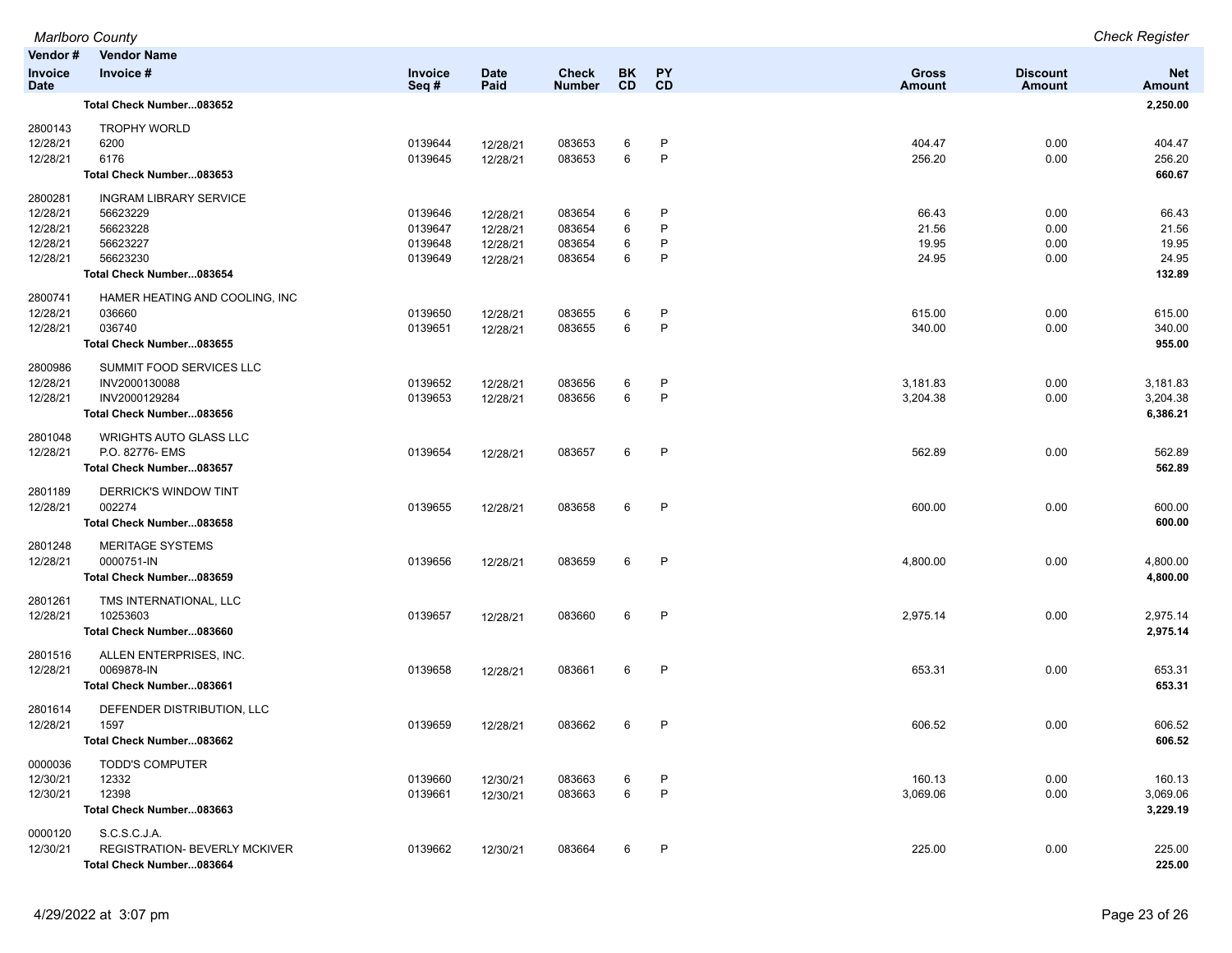|                                                         | <b>Marlboro County</b>                                                                                    |                                          |                                              |                                      |                        |                   |                                  |                              | <b>Check Register</b>                      |
|---------------------------------------------------------|-----------------------------------------------------------------------------------------------------------|------------------------------------------|----------------------------------------------|--------------------------------------|------------------------|-------------------|----------------------------------|------------------------------|--------------------------------------------|
| Vendor#                                                 | <b>Vendor Name</b>                                                                                        |                                          |                                              |                                      |                        |                   |                                  |                              |                                            |
| <b>Invoice</b><br><b>Date</b>                           | Invoice #                                                                                                 | Invoice<br>Seq#                          | <b>Date</b><br>Paid                          | <b>Check</b><br><b>Number</b>        | <b>BK</b><br><b>CD</b> | <b>PY</b><br>CD   | Gross<br><b>Amount</b>           | <b>Discount</b><br>Amount    | <b>Net</b><br><b>Amount</b>                |
|                                                         | Total Check Number083652                                                                                  |                                          |                                              |                                      |                        |                   |                                  |                              | 2,250.00                                   |
| 2800143<br>12/28/21<br>12/28/21                         | <b>TROPHY WORLD</b><br>6200<br>6176<br>Total Check Number083653                                           | 0139644<br>0139645                       | 12/28/21<br>12/28/21                         | 083653<br>083653                     | 6<br>6                 | P<br>$\mathsf{P}$ | 404.47<br>256.20                 | 0.00<br>0.00                 | 404.47<br>256.20<br>660.67                 |
| 2800281<br>12/28/21<br>12/28/21<br>12/28/21<br>12/28/21 | <b>INGRAM LIBRARY SERVICE</b><br>56623229<br>56623228<br>56623227<br>56623230<br>Total Check Number083654 | 0139646<br>0139647<br>0139648<br>0139649 | 12/28/21<br>12/28/21<br>12/28/21<br>12/28/21 | 083654<br>083654<br>083654<br>083654 | 6<br>6<br>6<br>6       | P<br>P<br>P<br>P  | 66.43<br>21.56<br>19.95<br>24.95 | 0.00<br>0.00<br>0.00<br>0.00 | 66.43<br>21.56<br>19.95<br>24.95<br>132.89 |
| 2800741<br>12/28/21<br>12/28/21                         | HAMER HEATING AND COOLING, INC<br>036660<br>036740<br>Total Check Number083655                            | 0139650<br>0139651                       | 12/28/21<br>12/28/21                         | 083655<br>083655                     | 6<br>6                 | P<br>$\mathsf{P}$ | 615.00<br>340.00                 | 0.00<br>0.00                 | 615.00<br>340.00<br>955.00                 |
| 2800986<br>12/28/21<br>12/28/21                         | SUMMIT FOOD SERVICES LLC<br>INV2000130088<br>INV2000129284<br>Total Check Number083656                    | 0139652<br>0139653                       | 12/28/21<br>12/28/21                         | 083656<br>083656                     | 6<br>6                 | P<br>$\mathsf{P}$ | 3,181.83<br>3,204.38             | 0.00<br>0.00                 | 3,181.83<br>3,204.38<br>6,386.21           |
| 2801048<br>12/28/21                                     | <b>WRIGHTS AUTO GLASS LLC</b><br>P.O. 82776- EMS<br>Total Check Number083657                              | 0139654                                  | 12/28/21                                     | 083657                               | 6                      | $\mathsf{P}$      | 562.89                           | 0.00                         | 562.89<br>562.89                           |
| 2801189<br>12/28/21                                     | DERRICK'S WINDOW TINT<br>002274<br>Total Check Number083658                                               | 0139655                                  | 12/28/21                                     | 083658                               | 6                      | $\mathsf{P}$      | 600.00                           | 0.00                         | 600.00<br>600.00                           |
| 2801248<br>12/28/21                                     | <b>MERITAGE SYSTEMS</b><br>0000751-IN<br>Total Check Number083659                                         | 0139656                                  | 12/28/21                                     | 083659                               | 6                      | P                 | 4,800.00                         | 0.00                         | 4,800.00<br>4,800.00                       |
| 2801261<br>12/28/21                                     | TMS INTERNATIONAL, LLC<br>10253603<br>Total Check Number083660                                            | 0139657                                  | 12/28/21                                     | 083660                               | 6                      | $\mathsf{P}$      | 2,975.14                         | 0.00                         | 2,975.14<br>2,975.14                       |
| 2801516<br>12/28/21                                     | ALLEN ENTERPRISES, INC.<br>0069878-IN<br>Total Check Number083661                                         | 0139658                                  | 12/28/21                                     | 083661                               | 6                      | P                 | 653.31                           | 0.00                         | 653.31<br>653.31                           |
| 2801614<br>12/28/21                                     | DEFENDER DISTRIBUTION, LLC<br>1597<br>Total Check Number083662                                            | 0139659                                  | 12/28/21                                     | 083662                               | 6                      | P                 | 606.52                           | 0.00                         | 606.52<br>606.52                           |
| 0000036<br>12/30/21<br>12/30/21                         | <b>TODD'S COMPUTER</b><br>12332<br>12398<br>Total Check Number083663                                      | 0139660<br>0139661                       | 12/30/21<br>12/30/21                         | 083663<br>083663                     | 6<br>6                 | P<br>$\mathsf{P}$ | 160.13<br>3,069.06               | 0.00<br>0.00                 | 160.13<br>3,069.06<br>3,229.19             |
| 0000120<br>12/30/21                                     | S.C.S.C.J.A.<br><b>REGISTRATION- BEVERLY MCKIVER</b><br>Total Check Number083664                          | 0139662                                  | 12/30/21                                     | 083664                               | 6                      | P                 | 225.00                           | 0.00                         | 225.00<br>225.00                           |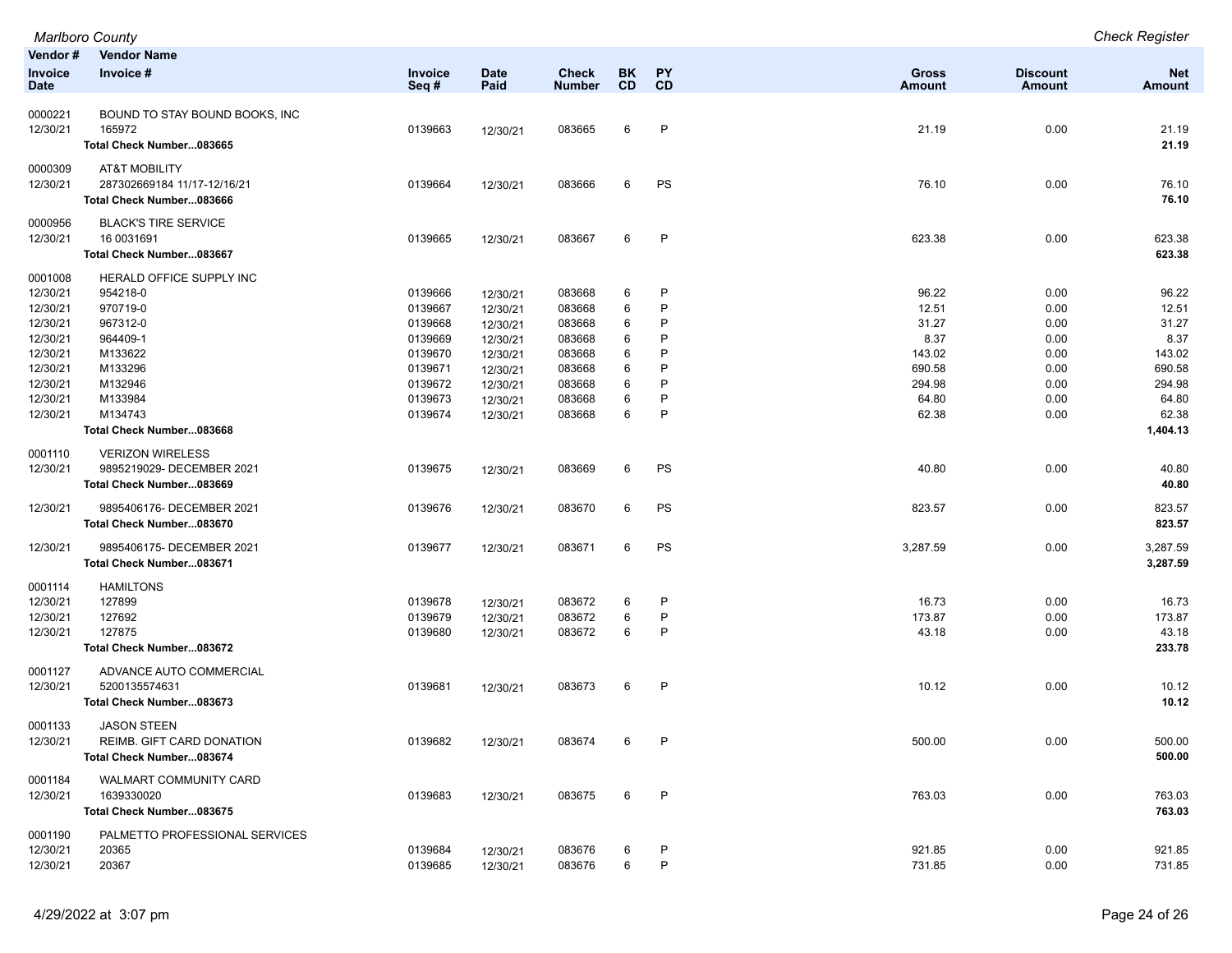|                     | <b>Marlboro County</b>                   |         |             |               |           |              |               |                 | <b>Check Register</b> |
|---------------------|------------------------------------------|---------|-------------|---------------|-----------|--------------|---------------|-----------------|-----------------------|
| Vendor#             | <b>Vendor Name</b>                       |         |             |               |           |              |               |                 |                       |
| Invoice             | Invoice #                                | Invoice | <b>Date</b> | <b>Check</b>  | <b>BK</b> | PY           | <b>Gross</b>  | <b>Discount</b> | <b>Net</b>            |
| <b>Date</b>         |                                          | Seq#    | Paid        | <b>Number</b> | <b>CD</b> | CD           | <b>Amount</b> | <b>Amount</b>   | <b>Amount</b>         |
| 0000221             | BOUND TO STAY BOUND BOOKS, INC           |         |             |               |           |              |               |                 |                       |
| 12/30/21            | 165972                                   | 0139663 | 12/30/21    | 083665        | 6         | P            | 21.19         | 0.00            | 21.19                 |
|                     | Total Check Number083665                 |         |             |               |           |              |               |                 | 21.19                 |
|                     |                                          |         |             |               |           |              |               |                 |                       |
| 0000309             | <b>AT&amp;T MOBILITY</b>                 |         |             |               |           |              |               |                 |                       |
| 12/30/21            | 287302669184 11/17-12/16/21              | 0139664 | 12/30/21    | 083666        | 6         | PS           | 76.10         | 0.00            | 76.10                 |
|                     | Total Check Number083666                 |         |             |               |           |              |               |                 | 76.10                 |
| 0000956             | <b>BLACK'S TIRE SERVICE</b>              |         |             |               |           |              |               |                 |                       |
| 12/30/21            | 16 0031691                               | 0139665 | 12/30/21    | 083667        | 6         | $\mathsf{P}$ | 623.38        | 0.00            | 623.38                |
|                     | Total Check Number083667                 |         |             |               |           |              |               |                 | 623.38                |
| 0001008             | HERALD OFFICE SUPPLY INC                 |         |             |               |           |              |               |                 |                       |
| 12/30/21            | 954218-0                                 | 0139666 | 12/30/21    | 083668        | 6         | P            | 96.22         | 0.00            | 96.22                 |
| 12/30/21            | 970719-0                                 | 0139667 | 12/30/21    | 083668        | 6         | P            | 12.51         | 0.00            | 12.51                 |
| 12/30/21            | 967312-0                                 | 0139668 | 12/30/21    | 083668        | 6         | P            | 31.27         | 0.00            | 31.27                 |
| 12/30/21            | 964409-1                                 | 0139669 | 12/30/21    | 083668        | 6         | P            | 8.37          | 0.00            | 8.37                  |
| 12/30/21            | M133622                                  | 0139670 | 12/30/21    | 083668        | 6         | P            | 143.02        | 0.00            | 143.02                |
| 12/30/21            | M133296                                  | 0139671 | 12/30/21    | 083668        | 6         | P            | 690.58        | 0.00            | 690.58                |
| 12/30/21            | M132946                                  | 0139672 | 12/30/21    | 083668        | 6         | P            | 294.98        | 0.00            | 294.98                |
| 12/30/21            | M133984                                  | 0139673 | 12/30/21    | 083668        | 6         | P            | 64.80         | 0.00            | 64.80                 |
| 12/30/21            | M134743                                  | 0139674 | 12/30/21    | 083668        | 6         | P            | 62.38         | 0.00            | 62.38                 |
|                     | Total Check Number083668                 |         |             |               |           |              |               |                 | 1,404.13              |
| 0001110             | <b>VERIZON WIRELESS</b>                  |         |             |               |           |              |               |                 |                       |
| 12/30/21            | 9895219029- DECEMBER 2021                | 0139675 | 12/30/21    | 083669        | 6         | PS           | 40.80         | 0.00            | 40.80                 |
|                     | Total Check Number083669                 |         |             |               |           |              |               |                 | 40.80                 |
|                     |                                          |         |             |               |           |              |               |                 |                       |
| 12/30/21            | 9895406176- DECEMBER 2021                | 0139676 | 12/30/21    | 083670        | 6         | PS           | 823.57        | 0.00            | 823.57                |
|                     | Total Check Number083670                 |         |             |               |           |              |               |                 | 823.57                |
| 12/30/21            | 9895406175- DECEMBER 2021                | 0139677 | 12/30/21    | 083671        | 6         | PS           | 3,287.59      | 0.00            | 3,287.59              |
|                     | Total Check Number083671                 |         |             |               |           |              |               |                 | 3,287.59              |
| 0001114             | <b>HAMILTONS</b>                         |         |             |               |           |              |               |                 |                       |
| 12/30/21            | 127899                                   | 0139678 | 12/30/21    | 083672        | 6         | P            | 16.73         | 0.00            | 16.73                 |
| 12/30/21            | 127692                                   | 0139679 | 12/30/21    | 083672        | 6         | P            | 173.87        | 0.00            | 173.87                |
| 12/30/21            | 127875                                   | 0139680 | 12/30/21    | 083672        | 6         | P            | 43.18         | 0.00            | 43.18                 |
|                     | Total Check Number083672                 |         |             |               |           |              |               |                 | 233.78                |
|                     |                                          |         |             |               |           |              |               |                 |                       |
| 0001127<br>12/30/21 | ADVANCE AUTO COMMERCIAL<br>5200135574631 | 0139681 |             | 083673        | 6         | $\mathsf{P}$ | 10.12         | 0.00            | 10.12                 |
|                     | Total Check Number083673                 |         | 12/30/21    |               |           |              |               |                 | 10.12                 |
|                     |                                          |         |             |               |           |              |               |                 |                       |
| 0001133             | JASON STEEN                              |         |             |               |           |              |               |                 |                       |
| 12/30/21            | REIMB. GIFT CARD DONATION                | 0139682 | 12/30/21    | 083674        | 6         | P            | 500.00        | 0.00            | 500.00                |
|                     | Total Check Number083674                 |         |             |               |           |              |               |                 | 500.00                |
| 0001184             | WALMART COMMUNITY CARD                   |         |             |               |           |              |               |                 |                       |
| 12/30/21            | 1639330020                               | 0139683 | 12/30/21    | 083675        | 6         | $\mathsf{P}$ | 763.03        | 0.00            | 763.03                |
|                     | Total Check Number083675                 |         |             |               |           |              |               |                 | 763.03                |
| 0001190             | PALMETTO PROFESSIONAL SERVICES           |         |             |               |           |              |               |                 |                       |
| 12/30/21            | 20365                                    | 0139684 | 12/30/21    | 083676        | 6         | P            | 921.85        | 0.00            | 921.85                |
| 12/30/21            | 20367                                    | 0139685 | 12/30/21    | 083676        | 6         | P            | 731.85        | 0.00            | 731.85                |
|                     |                                          |         |             |               |           |              |               |                 |                       |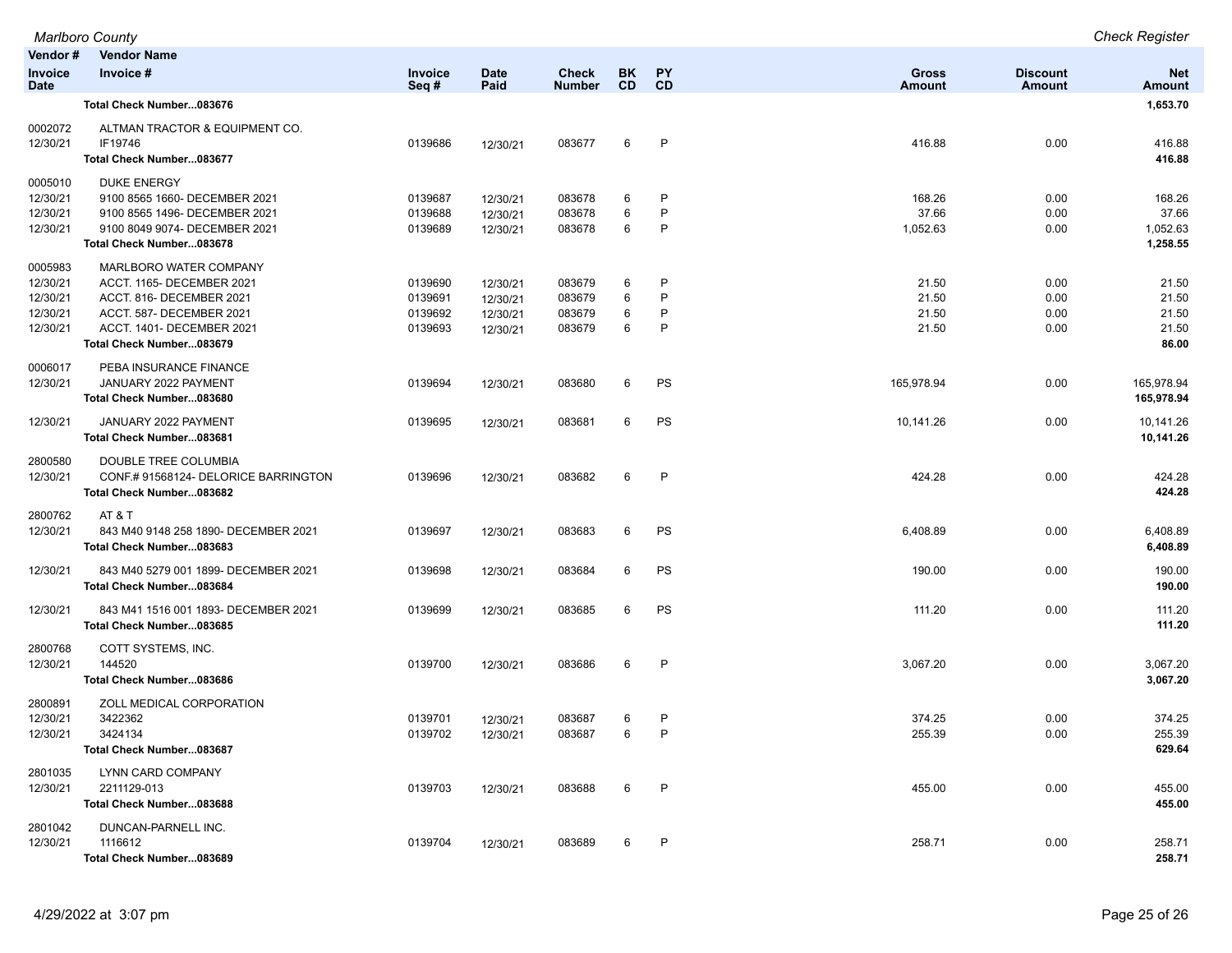| Vendor#                                                 | <b>Vendor Name</b>                                                                                                                                                   |                                          |                                              |                                      |                        |                  |                                  |                              |                                           |
|---------------------------------------------------------|----------------------------------------------------------------------------------------------------------------------------------------------------------------------|------------------------------------------|----------------------------------------------|--------------------------------------|------------------------|------------------|----------------------------------|------------------------------|-------------------------------------------|
| <b>Invoice</b><br><b>Date</b>                           | Invoice #                                                                                                                                                            | Invoice<br>Seq#                          | <b>Date</b><br>Paid                          | <b>Check</b><br><b>Number</b>        | <b>BK</b><br><b>CD</b> | PY<br>CD         | <b>Gross</b><br>Amount           | <b>Discount</b><br>Amount    | <b>Net</b><br><b>Amount</b>               |
|                                                         | Total Check Number083676                                                                                                                                             |                                          |                                              |                                      |                        |                  |                                  |                              | 1,653.70                                  |
| 0002072<br>12/30/21                                     | ALTMAN TRACTOR & EQUIPMENT CO.<br>IF19746<br>Total Check Number083677                                                                                                | 0139686                                  | 12/30/21                                     | 083677                               | 6                      | P                | 416.88                           | 0.00                         | 416.88<br>416.88                          |
| 0005010<br>12/30/21<br>12/30/21<br>12/30/21             | <b>DUKE ENERGY</b><br>9100 8565 1660- DECEMBER 2021<br>9100 8565 1496- DECEMBER 2021<br>9100 8049 9074- DECEMBER 2021<br>Total Check Number083678                    | 0139687<br>0139688<br>0139689            | 12/30/21<br>12/30/21<br>12/30/21             | 083678<br>083678<br>083678           | 6<br>6<br>6            | P<br>P<br>P      | 168.26<br>37.66<br>1,052.63      | 0.00<br>0.00<br>0.00         | 168.26<br>37.66<br>1,052.63<br>1,258.55   |
| 0005983<br>12/30/21<br>12/30/21<br>12/30/21<br>12/30/21 | MARLBORO WATER COMPANY<br>ACCT. 1165- DECEMBER 2021<br>ACCT. 816- DECEMBER 2021<br>ACCT. 587- DECEMBER 2021<br>ACCT. 1401- DECEMBER 2021<br>Total Check Number083679 | 0139690<br>0139691<br>0139692<br>0139693 | 12/30/21<br>12/30/21<br>12/30/21<br>12/30/21 | 083679<br>083679<br>083679<br>083679 | 6<br>6<br>6<br>6       | P<br>P<br>P<br>P | 21.50<br>21.50<br>21.50<br>21.50 | 0.00<br>0.00<br>0.00<br>0.00 | 21.50<br>21.50<br>21.50<br>21.50<br>86.00 |
| 0006017<br>12/30/21                                     | PEBA INSURANCE FINANCE<br>JANUARY 2022 PAYMENT<br>Total Check Number083680                                                                                           | 0139694                                  | 12/30/21                                     | 083680                               | 6                      | PS               | 165,978.94                       | 0.00                         | 165,978.94<br>165,978.94                  |
| 12/30/21                                                | JANUARY 2022 PAYMENT<br>Total Check Number083681                                                                                                                     | 0139695                                  | 12/30/21                                     | 083681                               | 6                      | PS               | 10,141.26                        | 0.00                         | 10,141.26<br>10,141.26                    |
| 2800580<br>12/30/21                                     | DOUBLE TREE COLUMBIA<br>CONF.#91568124-DELORICE BARRINGTON<br>Total Check Number083682                                                                               | 0139696                                  | 12/30/21                                     | 083682                               | 6                      | P                | 424.28                           | 0.00                         | 424.28<br>424.28                          |
| 2800762<br>12/30/21                                     | AT & T<br>843 M40 9148 258 1890- DECEMBER 2021<br>Total Check Number083683                                                                                           | 0139697                                  | 12/30/21                                     | 083683                               | 6                      | PS               | 6,408.89                         | 0.00                         | 6,408.89<br>6,408.89                      |
| 12/30/21                                                | 843 M40 5279 001 1899- DECEMBER 2021<br>Total Check Number083684                                                                                                     | 0139698                                  | 12/30/21                                     | 083684                               | 6                      | PS               | 190.00                           | 0.00                         | 190.00<br>190.00                          |
| 12/30/21                                                | 843 M41 1516 001 1893- DECEMBER 2021<br>Total Check Number083685                                                                                                     | 0139699                                  | 12/30/21                                     | 083685                               | 6                      | PS               | 111.20                           | 0.00                         | 111.20<br>111.20                          |
| 2800768<br>12/30/21                                     | COTT SYSTEMS, INC.<br>144520<br>Total Check Number083686                                                                                                             | 0139700                                  | 12/30/21                                     | 083686                               | 6                      | P                | 3,067.20                         | 0.00                         | 3,067.20<br>3,067.20                      |
| 2800891<br>12/30/21<br>12/30/21                         | ZOLL MEDICAL CORPORATION<br>3422362<br>3424134<br>Total Check Number083687                                                                                           | 0139701<br>0139702                       | 12/30/21<br>12/30/21                         | 083687<br>083687                     | 6<br>6                 | P<br>P           | 374.25<br>255.39                 | 0.00<br>0.00                 | 374.25<br>255.39<br>629.64                |
| 2801035<br>12/30/21                                     | LYNN CARD COMPANY<br>2211129-013<br>Total Check Number083688                                                                                                         | 0139703                                  | 12/30/21                                     | 083688                               | 6                      | P                | 455.00                           | 0.00                         | 455.00<br>455.00                          |
| 2801042<br>12/30/21                                     | DUNCAN-PARNELL INC.<br>1116612<br>Total Check Number083689                                                                                                           | 0139704                                  | 12/30/21                                     | 083689                               | 6                      | P                | 258.71                           | 0.00                         | 258.71<br>258.71                          |